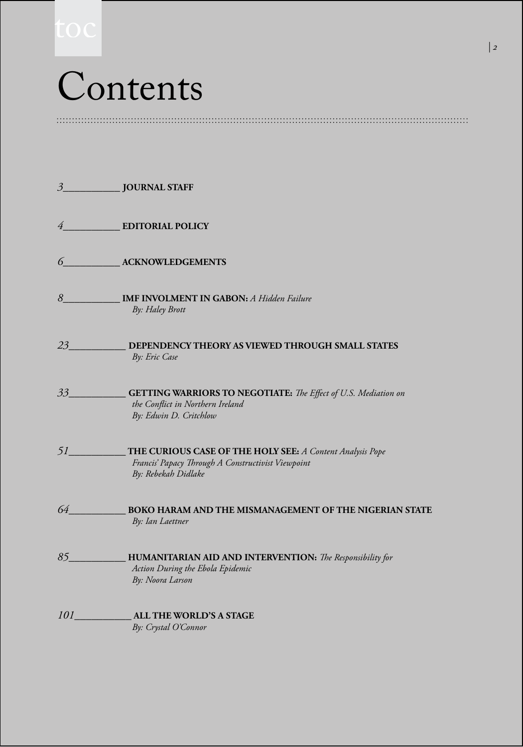# Contents

*3***\_\_\_\_\_\_\_\_\_\_ JOURNAL STAFF** *4***\_\_\_\_\_\_\_\_\_\_ EDITORIAL POLICY** *6***\_\_\_\_\_\_\_\_\_\_ ACKNOWLEDGEMENTS** *8\_\_\_\_\_\_\_\_\_\_* **IMF INVOLMENT IN GABON:** *A Hidden Failure By: Haley Brott 23\_\_\_\_\_\_\_\_\_\_* **DEPENDENCY THEORY AS VIEWED THROUGH SMALL STATES**   *By: Eric Case 33\_\_\_\_\_\_\_\_\_\_* **GETTING WARRIORS TO NEGOTIATE:** *The Effect of U.S. Mediation on the Conflict in Northern Ireland By: Edwin D. Critchlow 51\_\_\_\_\_\_\_\_\_\_* **THE CURIOUS CASE OF THE HOLY SEE:** *A Content Analysis Pope Francis' Papacy Through A Constructivist Viewpoint* *By: Rebekah Didlake 64\_\_\_\_\_\_\_\_\_\_* **BOKO HARAM AND THE MISMANAGEMENT OF THE NIGERIAN STATE**  *By: Ian Laettner 85\_\_\_\_\_\_\_\_\_\_* **HUMANITARIAN AID AND INTERVENTION:** *The Responsibility for Action During the Ebola Epidemic By: Noora Larson 101\_\_\_\_\_\_\_\_\_\_* **ALL THE WORLD'S A STAGE** *By: Crystal O'Connor*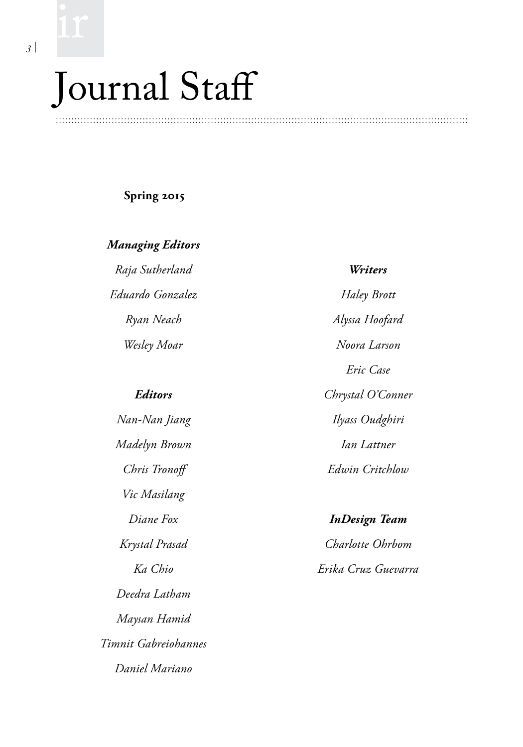## Journal Staff

#### **Spring 2015**

*Managing Editors*

*Raja Sutherland Eduardo Gonzalez Ryan Neach Wesley Moar* 

#### *Editors*

*Nan-Nan Jiang Madelyn Brown Chris Tronoff Vic Masilang Diane Fox Krystal Prasad Ka Chio Deedra Latham Maysan Hamid Timnit Gabreiohannes Daniel Mariano*

*Writers Haley Brott Alyssa Hoofard Noora Larson Eric Case Chrystal O'Conner Ilyass Oudghiri Ian Lattner Edwin Critchlow*

*InDesign Team Charlotte Ohrbom Erika Cruz Guevarra*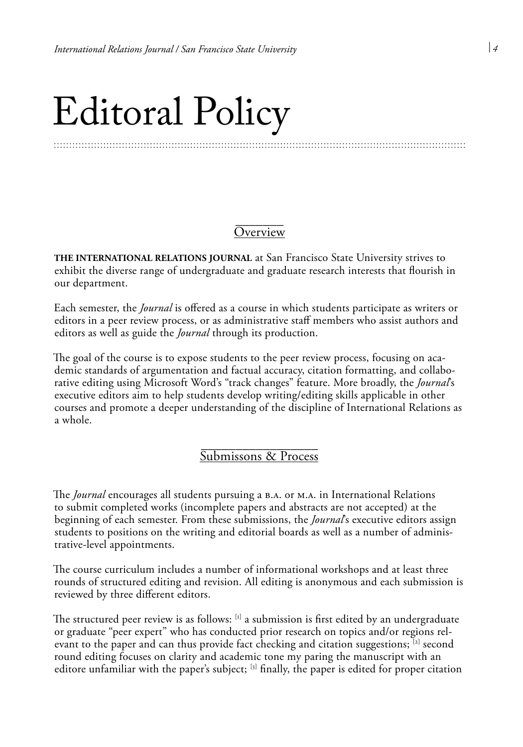## Editoral Policy

#### \_<br>\_\_\_\_\_\_\_\_\_ <u>Overview</u>

**THE INTERNATIONAL RELATIONS JOURNAL** at San Francisco State University strives to exhibit the diverse range of undergraduate and graduate research interests that flourish in our department.

Each semester, the *Journal* is offered as a course in which students participate as writers or editors in a peer review process, or as administrative staff members who assist authors and editors as well as guide the *Journal* through its production.

The goal of the course is to expose students to the peer review process, focusing on academic standards of argumentation and factual accuracy, citation formatting, and collaborative editing using Microsoft Word's "track changes" feature. More broadly, the *Journal*'s executive editors aim to help students develop writing/editing skills applicable in other courses and promote a deeper understanding of the discipline of International Relations as a whole.

#### \_\_\_\_\_\_\_\_\_\_\_\_\_\_\_\_\_ Submissons & Process

The *Journal* encourages all students pursuing a B.A. or M.A. in International Relations to submit completed works (incomplete papers and abstracts are not accepted) at the beginning of each semester. From these submissions, the *Journal*'s executive editors assign students to positions on the writing and editorial boards as well as a number of administrative-level appointments.

The course curriculum includes a number of informational workshops and at least three rounds of structured editing and revision. All editing is anonymous and each submission is reviewed by three different editors.

The structured peer review is as follows:  $\left[1\right]$  a submission is first edited by an undergraduate or graduate "peer expert" who has conducted prior research on topics and/or regions relevant to the paper and can thus provide fact checking and citation suggestions;  $^{[2]}$  second round editing focuses on clarity and academic tone my paring the manuscript with an editore unfamiliar with the paper's subject; [3] finally, the paper is edited for proper citation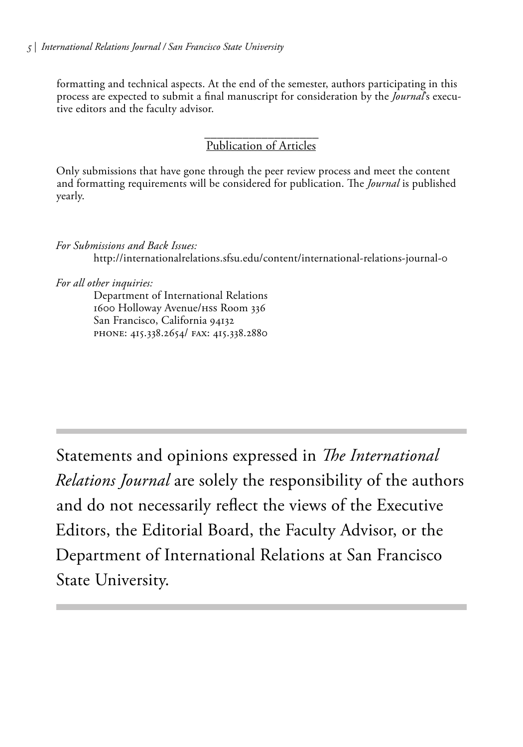formatting and technical aspects. At the end of the semester, authors participating in this process are expected to submit a final manuscript for consideration by the *Journal*'s executive editors and the faculty advisor.

#### \_\_\_\_\_\_\_\_\_\_\_\_\_\_\_\_\_\_ Publication of Articles

Only submissions that have gone through the peer review process and meet the content and formatting requirements will be considered for publication. The *Journal* is published yearly.

*For Submissions and Back Issues:* http://internationalrelations.sfsu.edu/content/international-relations-journal-0

*For all other inquiries:*

Department of International Relations 1600 Holloway Avenue/HSS Room 336 San Francisco, California 94132 PHONE: 415.338.2654/ FAX: 415.338.2880

Statements and opinions expressed in *The International Relations Journal* are solely the responsibility of the authors and do not necessarily reflect the views of the Executive Editors, the Editorial Board, the Faculty Advisor, or the Department of International Relations at San Francisco State University.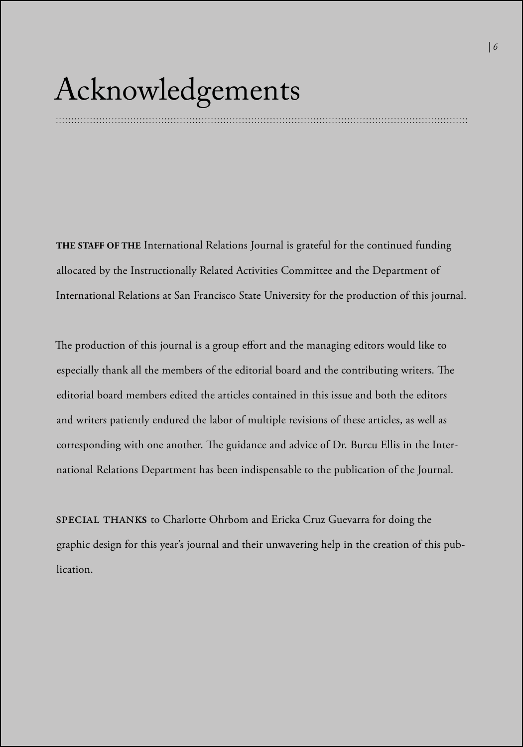### Acknowledgements

**THE STAFF OF THE** International Relations Journal is grateful for the continued funding allocated by the Instructionally Related Activities Committee and the Department of International Relations at San Francisco State University for the production of this journal.

The production of this journal is a group effort and the managing editors would like to especially thank all the members of the editorial board and the contributing writers. The editorial board members edited the articles contained in this issue and both the editors and writers patiently endured the labor of multiple revisions of these articles, as well as corresponding with one another. The guidance and advice of Dr. Burcu Ellis in the International Relations Department has been indispensable to the publication of the Journal.

SPECIAL THANK**<sup>S</sup>** to Charlotte Ohrbom and Ericka Cruz Guevarra for doing the graphic design for this year's journal and their unwavering help in the creation of this publication.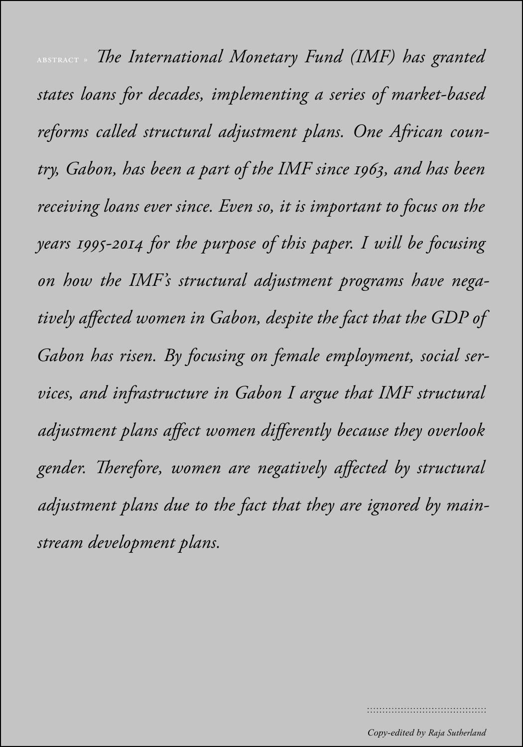*| 8* abstract » *The International Monetary Fund (IMF) has granted states loans for decades, implementing a series of market-based reforms called structural adjustment plans. One African country, Gabon, has been a part of the IMF since 1963, and has been receiving loans ever since. Even so, it is important to focus on the years 1995-2014 for the purpose of this paper. I will be focusing on how the IMF's structural adjustment programs have negatively affected women in Gabon, despite the fact that the GDP of Gabon has risen. By focusing on female employment, social services, and infrastructure in Gabon I argue that IMF structural adjustment plans affect women differently because they overlook gender. Therefore, women are negatively affected by structural adjustment plans due to the fact that they are ignored by mainstream development plans.*

......................................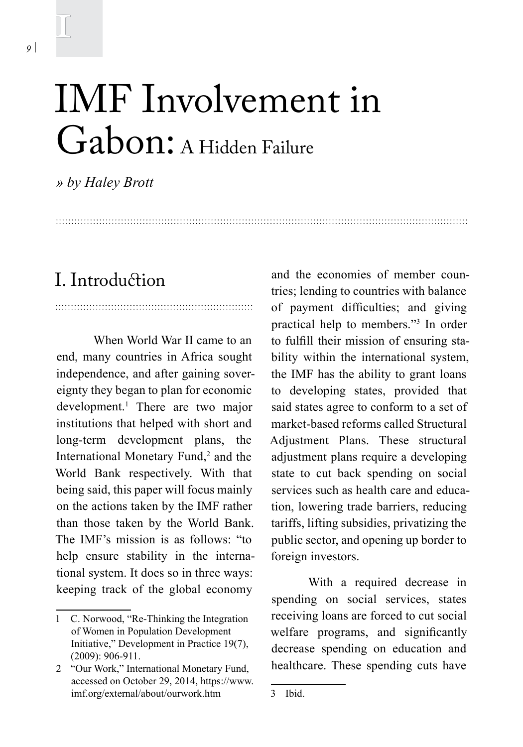### IMF Involvement in Gabon: A Hidden Failure

*» by Haley Brott* 

#### I. Introduction

When World War II came to an end, many countries in Africa sought independence, and after gaining sovereignty they began to plan for economic development.1 There are two major institutions that helped with short and long-term development plans, the International Monetary Fund,<sup>2</sup> and the World Bank respectively. With that being said, this paper will focus mainly on the actions taken by the IMF rather than those taken by the World Bank. The IMF's mission is as follows: "to help ensure stability in the international system. It does so in three ways: keeping track of the global economy

and the economies of member countries; lending to countries with balance of payment difficulties; and giving practical help to members."3 In order to fulfill their mission of ensuring stability within the international system, the IMF has the ability to grant loans to developing states, provided that said states agree to conform to a set of market-based reforms called Structural Adjustment Plans. These structural adjustment plans require a developing state to cut back spending on social services such as health care and education, lowering trade barriers, reducing tariffs, lifting subsidies, privatizing the public sector, and opening up border to foreign investors.

With a required decrease in spending on social services, states receiving loans are forced to cut social welfare programs, and significantly decrease spending on education and healthcare. These spending cuts have

1

<sup>1</sup> C. Norwood, "Re-Thinking the Integration of Women in Population Development Initiative," Development in Practice 19(7), (2009): 906-911.

<sup>2</sup> "Our Work," International Monetary Fund, accessed on October 29, 2014, https://www. imf.org/external/about/ourwork.htm

<sup>3</sup> Ibid.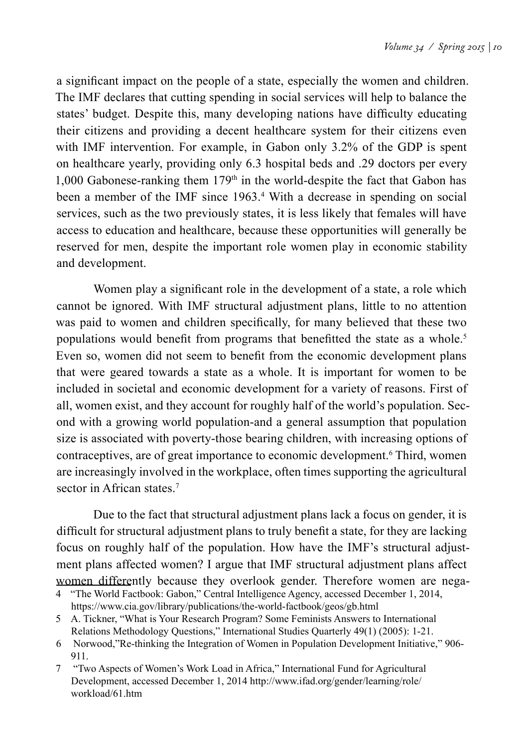a significant impact on the people of a state, especially the women and children. The IMF declares that cutting spending in social services will help to balance the states' budget. Despite this, many developing nations have difficulty educating their citizens and providing a decent healthcare system for their citizens even with IMF intervention. For example, in Gabon only 3.2% of the GDP is spent on healthcare yearly, providing only 6.3 hospital beds and .29 doctors per every 1,000 Gabonese-ranking them  $179<sup>th</sup>$  in the world-despite the fact that Gabon has been a member of the IMF since 1963.<sup>4</sup> With a decrease in spending on social services, such as the two previously states, it is less likely that females will have access to education and healthcare, because these opportunities will generally be reserved for men, despite the important role women play in economic stability and development.

Women play a significant role in the development of a state, a role which cannot be ignored. With IMF structural adjustment plans, little to no attention was paid to women and children specifically, for many believed that these two populations would benefit from programs that benefitted the state as a whole.<sup>5</sup> Even so, women did not seem to benefit from the economic development plans that were geared towards a state as a whole. It is important for women to be included in societal and economic development for a variety of reasons. First of all, women exist, and they account for roughly half of the world's population. Second with a growing world population-and a general assumption that population size is associated with poverty-those bearing children, with increasing options of contraceptives, are of great importance to economic development.<sup>6</sup> Third, women are increasingly involved in the workplace, often times supporting the agricultural sector in African states.<sup>7</sup>

Due to the fact that structural adjustment plans lack a focus on gender, it is difficult for structural adjustment plans to truly benefit a state, for they are lacking focus on roughly half of the population. How have the IMF's structural adjustment plans affected women? I argue that IMF structural adjustment plans affect women differently because they overlook gender. Therefore women are nega-

<sup>4</sup> "The World Factbook: Gabon," Central Intelligence Agency, accessed December 1, 2014, https://www.cia.gov/library/publications/the-world-factbook/geos/gb.html

<sup>5</sup> A. Tickner, "What is Your Research Program? Some Feminists Answers to International Relations Methodology Questions," International Studies Quarterly 49(1) (2005): 1-21.

<sup>6</sup> Norwood,"Re-thinking the Integration of Women in Population Development Initiative," 906- 911.

<sup>7 &</sup>quot;Two Aspects of Women's Work Load in Africa," International Fund for Agricultural Development, accessed December 1, 2014 http://www.ifad.org/gender/learning/role/ workload/61.htm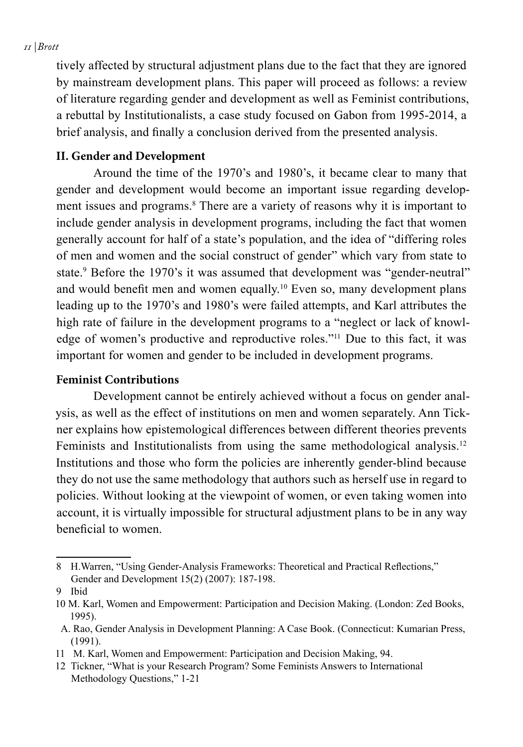#### *11 | Brott*

tively affected by structural adjustment plans due to the fact that they are ignored by mainstream development plans. This paper will proceed as follows: a review of literature regarding gender and development as well as Feminist contributions, a rebuttal by Institutionalists, a case study focused on Gabon from 1995-2014, a brief analysis, and finally a conclusion derived from the presented analysis.

#### **II. Gender and Development**

Around the time of the 1970's and 1980's, it became clear to many that gender and development would become an important issue regarding development issues and programs.<sup>8</sup> There are a variety of reasons why it is important to include gender analysis in development programs, including the fact that women generally account for half of a state's population, and the idea of "differing roles of men and women and the social construct of gender" which vary from state to state.<sup>9</sup> Before the 1970's it was assumed that development was "gender-neutral" and would benefit men and women equally.<sup>10</sup> Even so, many development plans leading up to the 1970's and 1980's were failed attempts, and Karl attributes the high rate of failure in the development programs to a "neglect or lack of knowledge of women's productive and reproductive roles."11 Due to this fact, it was important for women and gender to be included in development programs.

#### **Feminist Contributions**

Development cannot be entirely achieved without a focus on gender analysis, as well as the effect of institutions on men and women separately. Ann Tickner explains how epistemological differences between different theories prevents Feminists and Institutionalists from using the same methodological analysis.<sup>12</sup> Institutions and those who form the policies are inherently gender-blind because they do not use the same methodology that authors such as herself use in regard to policies. Without looking at the viewpoint of women, or even taking women into account, it is virtually impossible for structural adjustment plans to be in any way beneficial to women.

<sup>8</sup> H.Warren, "Using Gender-Analysis Frameworks: Theoretical and Practical Reflections," Gender and Development 15(2) (2007): 187-198.

<sup>9</sup> Ibid

<sup>10</sup> M. Karl, Women and Empowerment: Participation and Decision Making. (London: Zed Books, 1995).

A. Rao, Gender Analysis in Development Planning: A Case Book. (Connecticut: Kumarian Press, (1991).

<sup>11</sup> M. Karl, Women and Empowerment: Participation and Decision Making, 94.

<sup>12</sup> Tickner, "What is your Research Program? Some Feminists Answers to International Methodology Questions," 1-21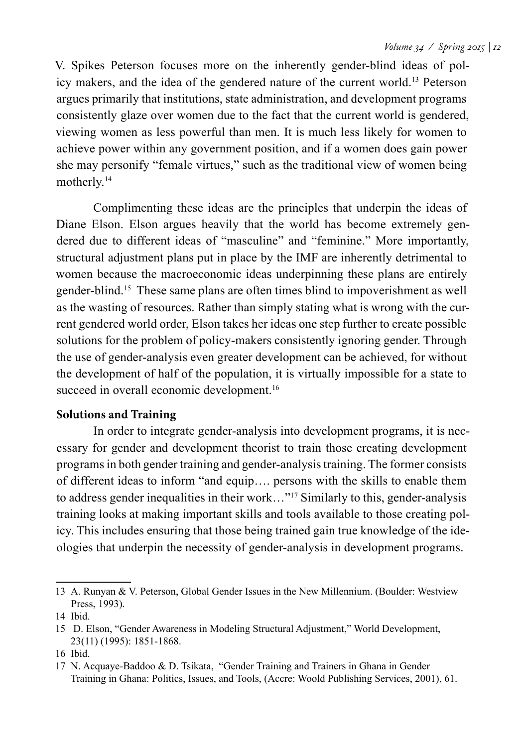V. Spikes Peterson focuses more on the inherently gender-blind ideas of policy makers, and the idea of the gendered nature of the current world.13 Peterson argues primarily that institutions, state administration, and development programs consistently glaze over women due to the fact that the current world is gendered, viewing women as less powerful than men. It is much less likely for women to achieve power within any government position, and if a women does gain power she may personify "female virtues," such as the traditional view of women being motherly.14

Complimenting these ideas are the principles that underpin the ideas of Diane Elson. Elson argues heavily that the world has become extremely gendered due to different ideas of "masculine" and "feminine." More importantly, structural adjustment plans put in place by the IMF are inherently detrimental to women because the macroeconomic ideas underpinning these plans are entirely gender-blind.15 These same plans are often times blind to impoverishment as well as the wasting of resources. Rather than simply stating what is wrong with the current gendered world order, Elson takes her ideas one step further to create possible solutions for the problem of policy-makers consistently ignoring gender. Through the use of gender-analysis even greater development can be achieved, for without the development of half of the population, it is virtually impossible for a state to succeed in overall economic development.<sup>16</sup>

#### **Solutions and Training**

In order to integrate gender-analysis into development programs, it is necessary for gender and development theorist to train those creating development programs in both gender training and gender-analysis training. The former consists of different ideas to inform "and equip…. persons with the skills to enable them to address gender inequalities in their work…"17 Similarly to this, gender-analysis training looks at making important skills and tools available to those creating policy. This includes ensuring that those being trained gain true knowledge of the ideologies that underpin the necessity of gender-analysis in development programs.

<sup>13</sup> A. Runyan & V. Peterson, Global Gender Issues in the New Millennium. (Boulder: Westview Press, 1993).

<sup>14</sup> Ibid.

<sup>15</sup> D. Elson, "Gender Awareness in Modeling Structural Adjustment," World Development, 23(11) (1995): 1851-1868.

<sup>16</sup> Ibid.

<sup>17</sup> N. Acquaye-Baddoo & D. Tsikata, "Gender Training and Trainers in Ghana in Gender Training in Ghana: Politics, Issues, and Tools, (Accre: Woold Publishing Services, 2001), 61.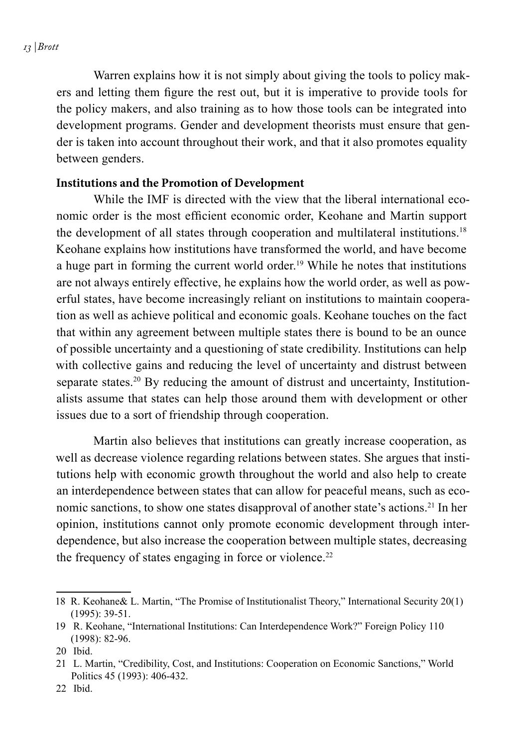*13 | Brott*

Warren explains how it is not simply about giving the tools to policy makers and letting them figure the rest out, but it is imperative to provide tools for the policy makers, and also training as to how those tools can be integrated into development programs. Gender and development theorists must ensure that gender is taken into account throughout their work, and that it also promotes equality between genders.

#### **Institutions and the Promotion of Development**

While the IMF is directed with the view that the liberal international economic order is the most efficient economic order, Keohane and Martin support the development of all states through cooperation and multilateral institutions.<sup>18</sup> Keohane explains how institutions have transformed the world, and have become a huge part in forming the current world order.<sup>19</sup> While he notes that institutions are not always entirely effective, he explains how the world order, as well as powerful states, have become increasingly reliant on institutions to maintain cooperation as well as achieve political and economic goals. Keohane touches on the fact that within any agreement between multiple states there is bound to be an ounce of possible uncertainty and a questioning of state credibility. Institutions can help with collective gains and reducing the level of uncertainty and distrust between separate states.<sup>20</sup> By reducing the amount of distrust and uncertainty, Institutionalists assume that states can help those around them with development or other issues due to a sort of friendship through cooperation.

Martin also believes that institutions can greatly increase cooperation, as well as decrease violence regarding relations between states. She argues that institutions help with economic growth throughout the world and also help to create an interdependence between states that can allow for peaceful means, such as economic sanctions, to show one states disapproval of another state's actions.<sup>21</sup> In her opinion, institutions cannot only promote economic development through interdependence, but also increase the cooperation between multiple states, decreasing the frequency of states engaging in force or violence.<sup>22</sup>

<sup>18</sup> R. Keohane& L. Martin, "The Promise of Institutionalist Theory," International Security 20(1) (1995): 39-51.

<sup>19</sup> R. Keohane, "International Institutions: Can Interdependence Work?" Foreign Policy 110 (1998): 82-96.

<sup>20</sup> Ibid.

<sup>21</sup> L. Martin, "Credibility, Cost, and Institutions: Cooperation on Economic Sanctions," World Politics 45 (1993): 406-432.

<sup>22</sup> Ibid.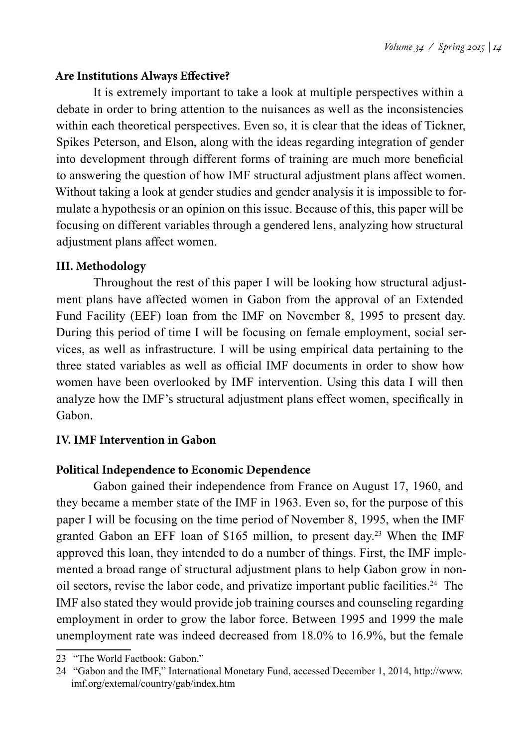#### **Are Institutions Always Effective?**

It is extremely important to take a look at multiple perspectives within a debate in order to bring attention to the nuisances as well as the inconsistencies within each theoretical perspectives. Even so, it is clear that the ideas of Tickner, Spikes Peterson, and Elson, along with the ideas regarding integration of gender into development through different forms of training are much more beneficial to answering the question of how IMF structural adjustment plans affect women. Without taking a look at gender studies and gender analysis it is impossible to formulate a hypothesis or an opinion on this issue. Because of this, this paper will be focusing on different variables through a gendered lens, analyzing how structural adjustment plans affect women.

#### **III. Methodology**

Throughout the rest of this paper I will be looking how structural adjustment plans have affected women in Gabon from the approval of an Extended Fund Facility (EEF) loan from the IMF on November 8, 1995 to present day. During this period of time I will be focusing on female employment, social services, as well as infrastructure. I will be using empirical data pertaining to the three stated variables as well as official IMF documents in order to show how women have been overlooked by IMF intervention. Using this data I will then analyze how the IMF's structural adjustment plans effect women, specifically in Gabon.

#### **IV. IMF Intervention in Gabon**

#### **Political Independence to Economic Dependence**

Gabon gained their independence from France on August 17, 1960, and they became a member state of the IMF in 1963. Even so, for the purpose of this paper I will be focusing on the time period of November 8, 1995, when the IMF granted Gabon an EFF loan of \$165 million, to present day.23 When the IMF approved this loan, they intended to do a number of things. First, the IMF implemented a broad range of structural adjustment plans to help Gabon grow in nonoil sectors, revise the labor code, and privatize important public facilities.24 The IMF also stated they would provide job training courses and counseling regarding employment in order to grow the labor force. Between 1995 and 1999 the male unemployment rate was indeed decreased from 18.0% to 16.9%, but the female

<sup>23 &</sup>quot;The World Factbook: Gabon."

<sup>24 &</sup>quot;Gabon and the IMF," International Monetary Fund, accessed December 1, 2014, http://www. imf.org/external/country/gab/index.htm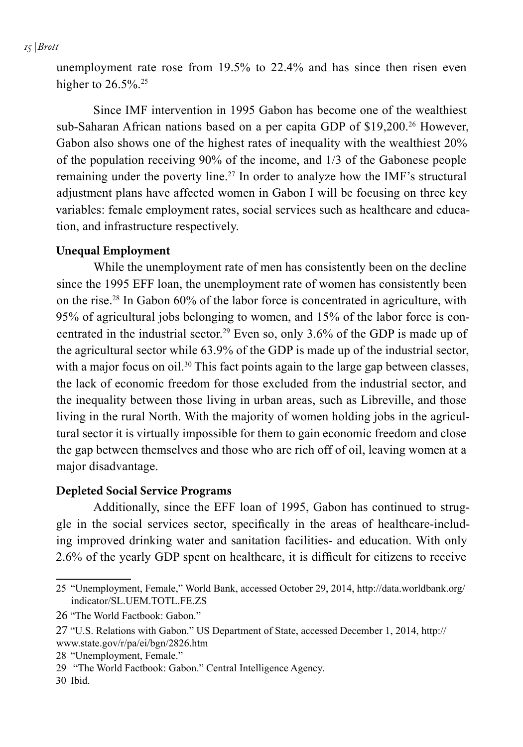#### *15 | Brott*

unemployment rate rose from 19.5% to 22.4% and has since then risen even higher to  $26.5\%$ <sup>25</sup>

Since IMF intervention in 1995 Gabon has become one of the wealthiest sub-Saharan African nations based on a per capita GDP of \$19,200.<sup>26</sup> However, Gabon also shows one of the highest rates of inequality with the wealthiest 20% of the population receiving 90% of the income, and 1/3 of the Gabonese people remaining under the poverty line.27 In order to analyze how the IMF's structural adjustment plans have affected women in Gabon I will be focusing on three key variables: female employment rates, social services such as healthcare and education, and infrastructure respectively.

#### **Unequal Employment**

While the unemployment rate of men has consistently been on the decline since the 1995 EFF loan, the unemployment rate of women has consistently been on the rise.28 In Gabon 60% of the labor force is concentrated in agriculture, with 95% of agricultural jobs belonging to women, and 15% of the labor force is concentrated in the industrial sector.<sup>29</sup> Even so, only  $3.6\%$  of the GDP is made up of the agricultural sector while 63.9% of the GDP is made up of the industrial sector, with a major focus on oil.<sup>30</sup> This fact points again to the large gap between classes, the lack of economic freedom for those excluded from the industrial sector, and the inequality between those living in urban areas, such as Libreville, and those living in the rural North. With the majority of women holding jobs in the agricultural sector it is virtually impossible for them to gain economic freedom and close the gap between themselves and those who are rich off of oil, leaving women at a major disadvantage.

#### **Depleted Social Service Programs**

Additionally, since the EFF loan of 1995, Gabon has continued to struggle in the social services sector, specifically in the areas of healthcare-including improved drinking water and sanitation facilities- and education. With only 2.6% of the yearly GDP spent on healthcare, it is difficult for citizens to receive

<sup>25</sup> "Unemployment, Female," World Bank, accessed October 29, 2014, http://data.worldbank.org/ indicator/SL.UEM.TOTL.FE.ZS

<sup>26</sup> "The World Factbook: Gabon."

<sup>27</sup> "U.S. Relations with Gabon." US Department of State, accessed December 1, 2014, http:// www.state.gov/r/pa/ei/bgn/2826.htm

<sup>28</sup> "Unemployment, Female."

<sup>29 &</sup>quot;The World Factbook: Gabon." Central Intelligence Agency.

<sup>30</sup> Ibid.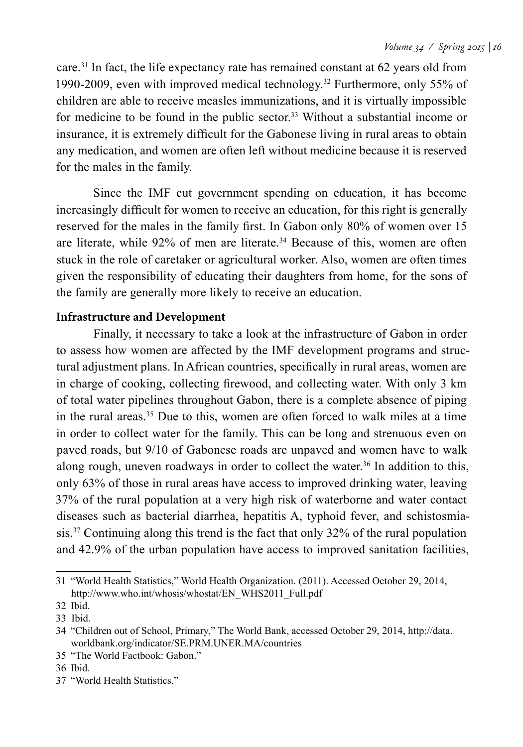care.31 In fact, the life expectancy rate has remained constant at 62 years old from 1990-2009, even with improved medical technology.32 Furthermore, only 55% of children are able to receive measles immunizations, and it is virtually impossible for medicine to be found in the public sector.33 Without a substantial income or insurance, it is extremely difficult for the Gabonese living in rural areas to obtain any medication, and women are often left without medicine because it is reserved for the males in the family.

Since the IMF cut government spending on education, it has become increasingly difficult for women to receive an education, for this right is generally reserved for the males in the family first. In Gabon only 80% of women over 15 are literate, while 92% of men are literate.<sup>34</sup> Because of this, women are often stuck in the role of caretaker or agricultural worker. Also, women are often times given the responsibility of educating their daughters from home, for the sons of the family are generally more likely to receive an education.

#### **Infrastructure and Development**

Finally, it necessary to take a look at the infrastructure of Gabon in order to assess how women are affected by the IMF development programs and structural adjustment plans. In African countries, specifically in rural areas, women are in charge of cooking, collecting firewood, and collecting water. With only 3 km of total water pipelines throughout Gabon, there is a complete absence of piping in the rural areas.35 Due to this, women are often forced to walk miles at a time in order to collect water for the family. This can be long and strenuous even on paved roads, but 9/10 of Gabonese roads are unpaved and women have to walk along rough, uneven roadways in order to collect the water.<sup>36</sup> In addition to this, only 63% of those in rural areas have access to improved drinking water, leaving 37% of the rural population at a very high risk of waterborne and water contact diseases such as bacterial diarrhea, hepatitis A, typhoid fever, and schistosmiasis.37 Continuing along this trend is the fact that only 32% of the rural population and 42.9% of the urban population have access to improved sanitation facilities,

<sup>31</sup> "World Health Statistics," World Health Organization. (2011). Accessed October 29, 2014, http://www.who.int/whosis/whostat/EN\_WHS2011\_Full.pdf

<sup>32</sup> Ibid.

<sup>33</sup> Ibid.

<sup>34</sup> "Children out of School, Primary," The World Bank, accessed October 29, 2014, http://data. worldbank.org/indicator/SE.PRM.UNER.MA/countries

<sup>35</sup> "The World Factbook: Gabon."

<sup>36</sup> Ibid.

<sup>37</sup> "World Health Statistics."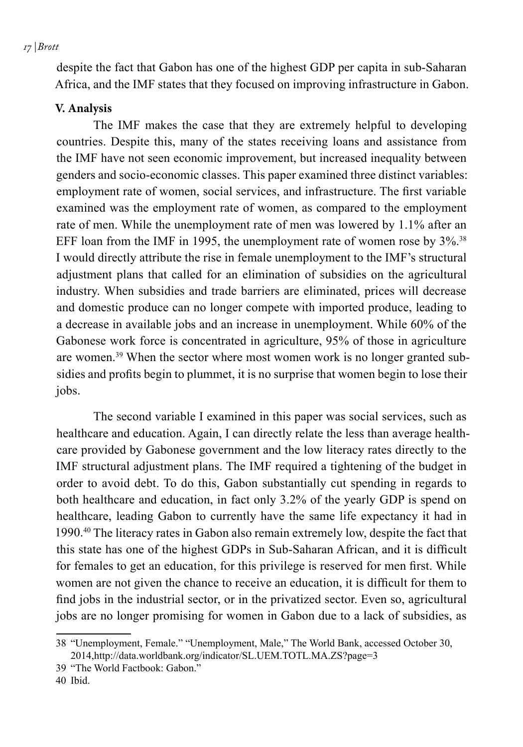*17 | Brott*

despite the fact that Gabon has one of the highest GDP per capita in sub-Saharan Africa, and the IMF states that they focused on improving infrastructure in Gabon.

#### **V. Analysis**

The IMF makes the case that they are extremely helpful to developing countries. Despite this, many of the states receiving loans and assistance from the IMF have not seen economic improvement, but increased inequality between genders and socio-economic classes. This paper examined three distinct variables: employment rate of women, social services, and infrastructure. The first variable examined was the employment rate of women, as compared to the employment rate of men. While the unemployment rate of men was lowered by 1.1% after an EFF loan from the IMF in 1995, the unemployment rate of women rose by  $3\%$ <sup>38</sup>. I would directly attribute the rise in female unemployment to the IMF's structural adjustment plans that called for an elimination of subsidies on the agricultural industry. When subsidies and trade barriers are eliminated, prices will decrease and domestic produce can no longer compete with imported produce, leading to a decrease in available jobs and an increase in unemployment. While 60% of the Gabonese work force is concentrated in agriculture, 95% of those in agriculture are women.39 When the sector where most women work is no longer granted subsidies and profits begin to plummet, it is no surprise that women begin to lose their jobs.

The second variable I examined in this paper was social services, such as healthcare and education. Again, I can directly relate the less than average healthcare provided by Gabonese government and the low literacy rates directly to the IMF structural adjustment plans. The IMF required a tightening of the budget in order to avoid debt. To do this, Gabon substantially cut spending in regards to both healthcare and education, in fact only 3.2% of the yearly GDP is spend on healthcare, leading Gabon to currently have the same life expectancy it had in 1990.40 The literacy rates in Gabon also remain extremely low, despite the fact that this state has one of the highest GDPs in Sub-Saharan African, and it is difficult for females to get an education, for this privilege is reserved for men first. While women are not given the chance to receive an education, it is difficult for them to find jobs in the industrial sector, or in the privatized sector. Even so, agricultural jobs are no longer promising for women in Gabon due to a lack of subsidies, as

<sup>38</sup> "Unemployment, Female." "Unemployment, Male," The World Bank, accessed October 30, 2014,http://data.worldbank.org/indicator/SL.UEM.TOTL.MA.ZS?page=3

<sup>39</sup> "The World Factbook: Gabon."

<sup>40</sup> Ibid.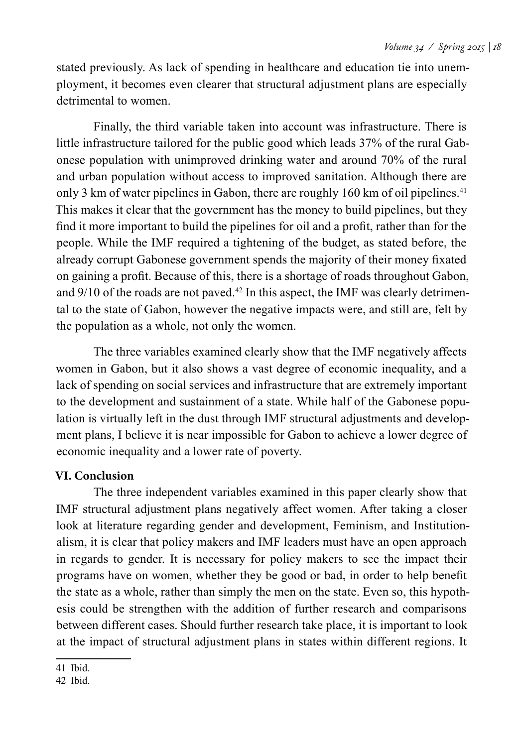stated previously. As lack of spending in healthcare and education tie into unemployment, it becomes even clearer that structural adjustment plans are especially detrimental to women.

Finally, the third variable taken into account was infrastructure. There is little infrastructure tailored for the public good which leads 37% of the rural Gabonese population with unimproved drinking water and around 70% of the rural and urban population without access to improved sanitation. Although there are only 3 km of water pipelines in Gabon, there are roughly 160 km of oil pipelines.<sup>41</sup> This makes it clear that the government has the money to build pipelines, but they find it more important to build the pipelines for oil and a profit, rather than for the people. While the IMF required a tightening of the budget, as stated before, the already corrupt Gabonese government spends the majority of their money fixated on gaining a profit. Because of this, there is a shortage of roads throughout Gabon, and  $9/10$  of the roads are not paved.<sup>42</sup> In this aspect, the IMF was clearly detrimental to the state of Gabon, however the negative impacts were, and still are, felt by the population as a whole, not only the women.

The three variables examined clearly show that the IMF negatively affects women in Gabon, but it also shows a vast degree of economic inequality, and a lack of spending on social services and infrastructure that are extremely important to the development and sustainment of a state. While half of the Gabonese population is virtually left in the dust through IMF structural adjustments and development plans, I believe it is near impossible for Gabon to achieve a lower degree of economic inequality and a lower rate of poverty.

#### **VI. Conclusion**

The three independent variables examined in this paper clearly show that IMF structural adjustment plans negatively affect women. After taking a closer look at literature regarding gender and development, Feminism, and Institutionalism, it is clear that policy makers and IMF leaders must have an open approach in regards to gender. It is necessary for policy makers to see the impact their programs have on women, whether they be good or bad, in order to help benefit the state as a whole, rather than simply the men on the state. Even so, this hypothesis could be strengthen with the addition of further research and comparisons between different cases. Should further research take place, it is important to look at the impact of structural adjustment plans in states within different regions. It

<sup>41</sup> Ibid.

<sup>42</sup> Ibid.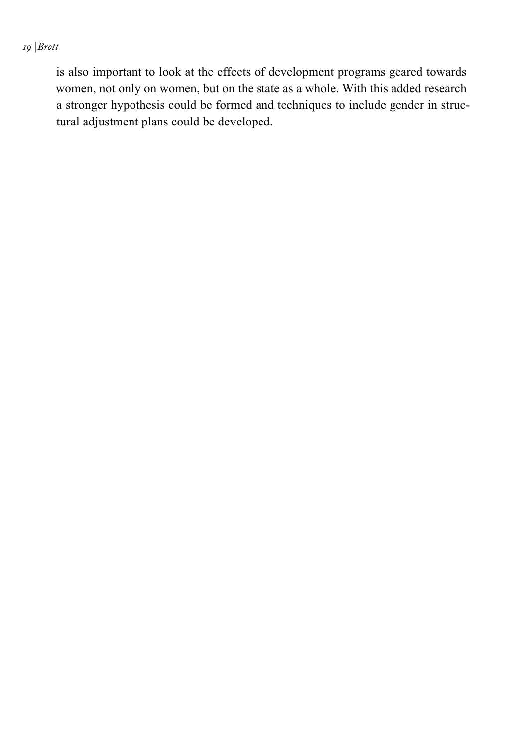#### *19 | Brott*

is also important to look at the effects of development programs geared towards women, not only on women, but on the state as a whole. With this added research a stronger hypothesis could be formed and techniques to include gender in structural adjustment plans could be developed.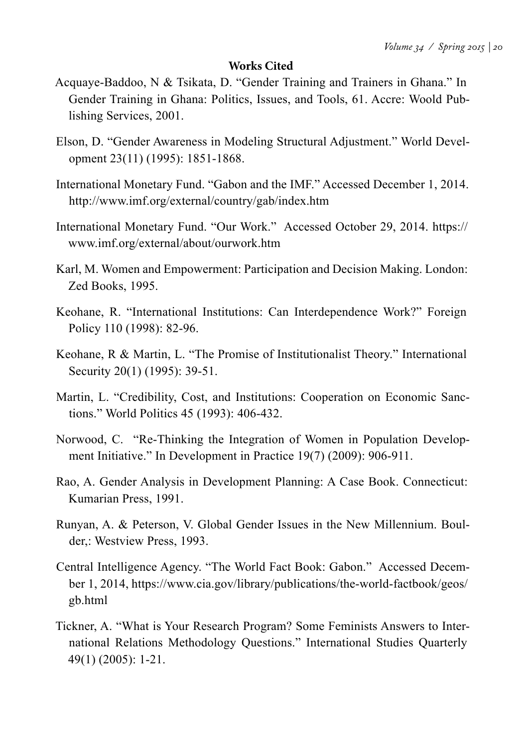#### **Works Cited**

- Acquaye-Baddoo, N & Tsikata, D. "Gender Training and Trainers in Ghana." In Gender Training in Ghana: Politics, Issues, and Tools, 61. Accre: Woold Publishing Services, 2001.
- Elson, D. "Gender Awareness in Modeling Structural Adjustment." World Development 23(11) (1995): 1851-1868.
- International Monetary Fund. "Gabon and the IMF." Accessed December 1, 2014. http://www.imf.org/external/country/gab/index.htm
- International Monetary Fund. "Our Work." Accessed October 29, 2014. https:// www.imf.org/external/about/ourwork.htm
- Karl, M. Women and Empowerment: Participation and Decision Making. London: Zed Books, 1995.
- Keohane, R. "International Institutions: Can Interdependence Work?" Foreign Policy 110 (1998): 82-96.
- Keohane, R & Martin, L. "The Promise of Institutionalist Theory." International Security 20(1) (1995): 39-51.
- Martin, L. "Credibility, Cost, and Institutions: Cooperation on Economic Sanctions." World Politics 45 (1993): 406-432.
- Norwood, C. "Re-Thinking the Integration of Women in Population Development Initiative." In Development in Practice 19(7) (2009): 906-911.
- Rao, A. Gender Analysis in Development Planning: A Case Book. Connecticut: Kumarian Press, 1991.
- Runyan, A. & Peterson, V. Global Gender Issues in the New Millennium. Boulder,: Westview Press, 1993.
- Central Intelligence Agency. "The World Fact Book: Gabon." Accessed December 1, 2014, https://www.cia.gov/library/publications/the-world-factbook/geos/ gb.html
- Tickner, A. "What is Your Research Program? Some Feminists Answers to International Relations Methodology Questions." International Studies Quarterly 49(1) (2005): 1-21.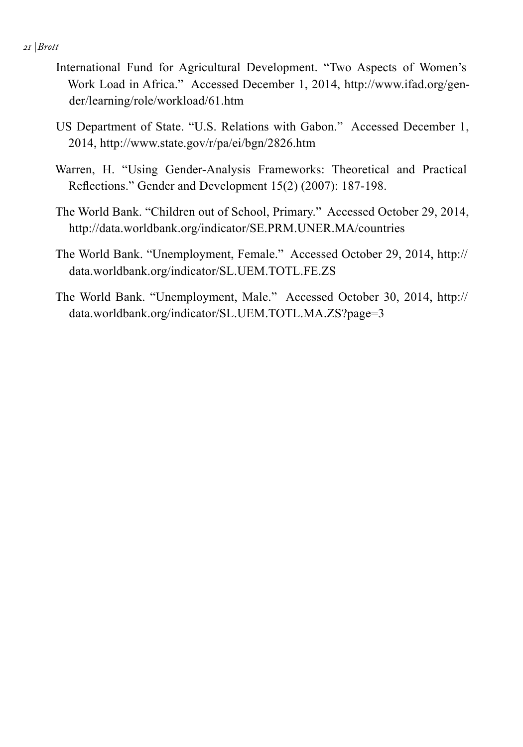*21 | Brott*

- International Fund for Agricultural Development. "Two Aspects of Women's Work Load in Africa." Accessed December 1, 2014, http://www.ifad.org/gender/learning/role/workload/61.htm
- US Department of State. "U.S. Relations with Gabon." Accessed December 1, 2014, http://www.state.gov/r/pa/ei/bgn/2826.htm
- Warren, H. "Using Gender-Analysis Frameworks: Theoretical and Practical Reflections." Gender and Development 15(2) (2007): 187-198.
- The World Bank. "Children out of School, Primary." Accessed October 29, 2014, http://data.worldbank.org/indicator/SE.PRM.UNER.MA/countries
- The World Bank. "Unemployment, Female." Accessed October 29, 2014, http:// data.worldbank.org/indicator/SL.UEM.TOTL.FE.ZS
- The World Bank. "Unemployment, Male." Accessed October 30, 2014, http:// data.worldbank.org/indicator/SL.UEM.TOTL.MA.ZS?page=3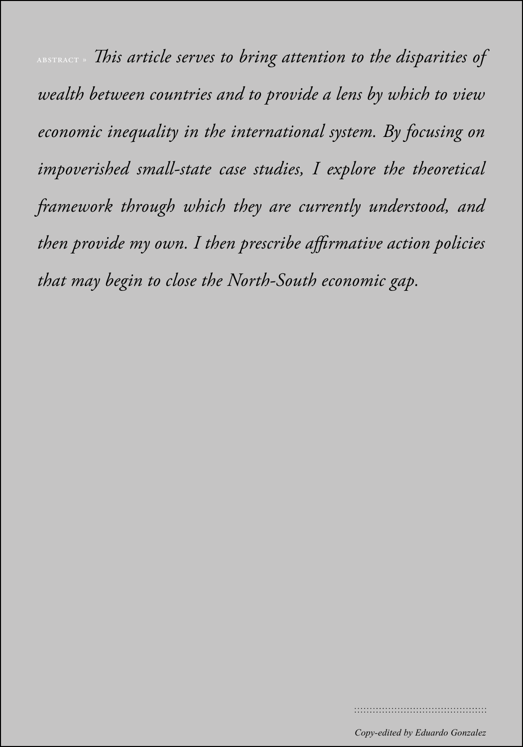*23 | Last name*  abstract » *This article serves to bring attention to the disparities of wealth between countries and to provide a lens by which to view economic inequality in the international system. By focusing on impoverished small-state case studies, I explore the theoretical framework through which they are currently understood, and then provide my own. I then prescribe affirmative action policies that may begin to close the North-South economic gap.*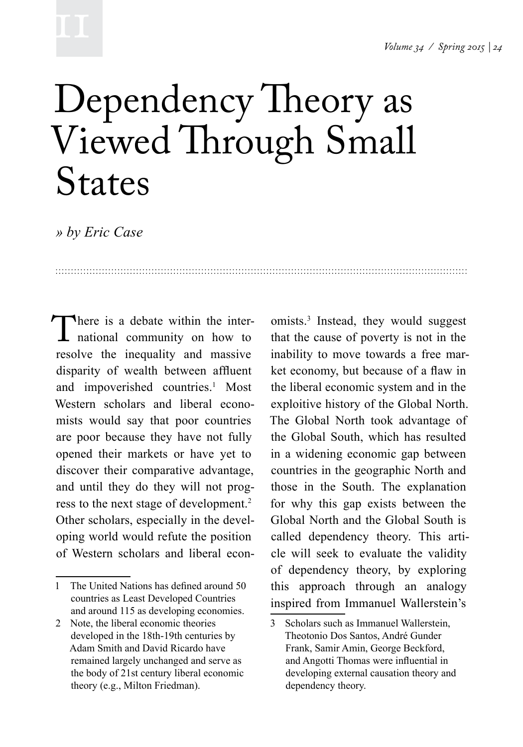### Dependency Theory as Viewed Through Small States

*» by Eric Case*

There is a debate within the inter-<br>national community on how to<br>resolve the inequality and massive national community on how to resolve the inequality and massive disparity of wealth between affluent and impoverished countries.<sup>1</sup> Most Western scholars and liberal economists would say that poor countries are poor because they have not fully opened their markets or have yet to discover their comparative advantage, and until they do they will not progress to the next stage of development.<sup>2</sup> Other scholars, especially in the developing world would refute the position of Western scholars and liberal econ-

omists.3 Instead, they would suggest that the cause of poverty is not in the inability to move towards a free market economy, but because of a flaw in the liberal economic system and in the exploitive history of the Global North. The Global North took advantage of the Global South, which has resulted in a widening economic gap between countries in the geographic North and those in the South. The explanation for why this gap exists between the Global North and the Global South is called dependency theory. This article will seek to evaluate the validity of dependency theory, by exploring this approach through an analogy inspired from Immanuel Wallerstein's

<sup>1</sup> The United Nations has defined around 50 countries as Least Developed Countries and around 115 as developing economies.

<sup>2</sup> Note, the liberal economic theories developed in the 18th-19th centuries by Adam Smith and David Ricardo have remained largely unchanged and serve as the body of 21st century liberal economic theory (e.g., Milton Friedman).

<sup>3</sup> Scholars such as Immanuel Wallerstein, Theotonio Dos Santos, André Gunder Frank, Samir Amin, George Beckford, and Angotti Thomas were influential in developing external causation theory and dependency theory.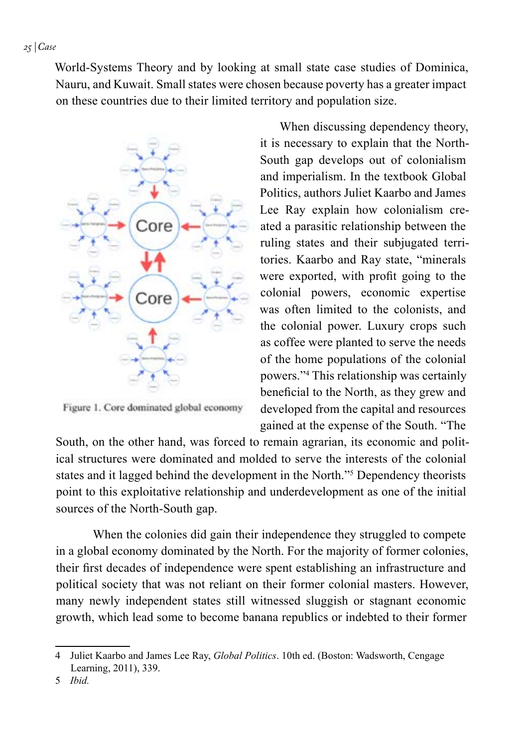World-Systems Theory and by looking at small state case studies of Dominica, Nauru, and Kuwait. Small states were chosen because poverty has a greater impact on these countries due to their limited territory and population size.



Figure 1. Core dominated global economy

When discussing dependency theory, it is necessary to explain that the North-South gap develops out of colonialism and imperialism. In the textbook Global Politics, authors Juliet Kaarbo and James Lee Ray explain how colonialism created a parasitic relationship between the ruling states and their subjugated territories. Kaarbo and Ray state, "minerals were exported, with profit going to the colonial powers, economic expertise was often limited to the colonists, and the colonial power. Luxury crops such as coffee were planted to serve the needs of the home populations of the colonial powers."4 This relationship was certainly beneficial to the North, as they grew and developed from the capital and resources gained at the expense of the South. "The

South, on the other hand, was forced to remain agrarian, its economic and political structures were dominated and molded to serve the interests of the colonial states and it lagged behind the development in the North."5 Dependency theorists point to this exploitative relationship and underdevelopment as one of the initial sources of the North-South gap.

When the colonies did gain their independence they struggled to compete in a global economy dominated by the North. For the majority of former colonies, their first decades of independence were spent establishing an infrastructure and political society that was not reliant on their former colonial masters. However, many newly independent states still witnessed sluggish or stagnant economic growth, which lead some to become banana republics or indebted to their former

<sup>4</sup> Juliet Kaarbo and James Lee Ray, *Global Politics*. 10th ed. (Boston: Wadsworth, Cengage Learning, 2011), 339.

<sup>5</sup> *Ibid.*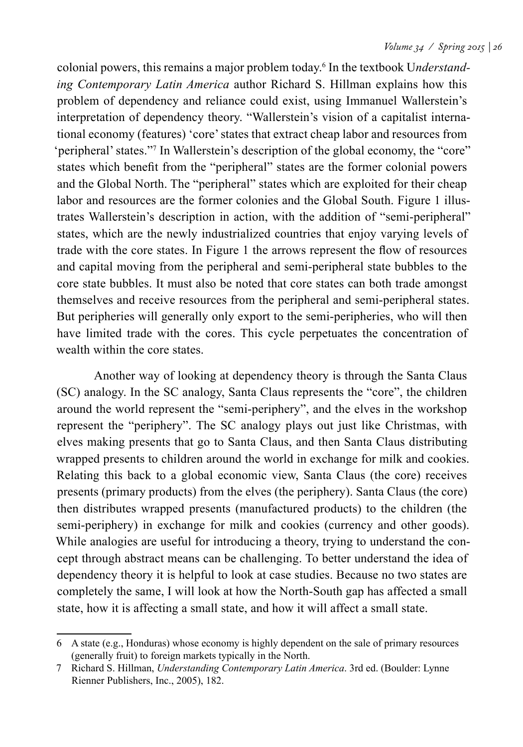colonial powers, this remains a major problem today.6 In the textbook U*nderstanding Contemporary Latin America* author Richard S. Hillman explains how this problem of dependency and reliance could exist, using Immanuel Wallerstein's interpretation of dependency theory. "Wallerstein's vision of a capitalist international economy (features) 'core' states that extract cheap labor and resources from 'peripheral' states."7 In Wallerstein's description of the global economy, the "core" states which benefit from the "peripheral" states are the former colonial powers and the Global North. The "peripheral" states which are exploited for their cheap labor and resources are the former colonies and the Global South. Figure 1 illustrates Wallerstein's description in action, with the addition of "semi-peripheral" states, which are the newly industrialized countries that enjoy varying levels of trade with the core states. In Figure 1 the arrows represent the flow of resources and capital moving from the peripheral and semi-peripheral state bubbles to the core state bubbles. It must also be noted that core states can both trade amongst themselves and receive resources from the peripheral and semi-peripheral states. But peripheries will generally only export to the semi-peripheries, who will then have limited trade with the cores. This cycle perpetuates the concentration of wealth within the core states.

Another way of looking at dependency theory is through the Santa Claus (SC) analogy. In the SC analogy, Santa Claus represents the "core", the children around the world represent the "semi-periphery", and the elves in the workshop represent the "periphery". The SC analogy plays out just like Christmas, with elves making presents that go to Santa Claus, and then Santa Claus distributing wrapped presents to children around the world in exchange for milk and cookies. Relating this back to a global economic view, Santa Claus (the core) receives presents (primary products) from the elves (the periphery). Santa Claus (the core) then distributes wrapped presents (manufactured products) to the children (the semi-periphery) in exchange for milk and cookies (currency and other goods). While analogies are useful for introducing a theory, trying to understand the concept through abstract means can be challenging. To better understand the idea of dependency theory it is helpful to look at case studies. Because no two states are completely the same, I will look at how the North-South gap has affected a small state, how it is affecting a small state, and how it will affect a small state.

<sup>6</sup> A state (e.g., Honduras) whose economy is highly dependent on the sale of primary resources (generally fruit) to foreign markets typically in the North.

<sup>7</sup> Richard S. Hillman, *Understanding Contemporary Latin America*. 3rd ed. (Boulder: Lynne Rienner Publishers, Inc., 2005), 182.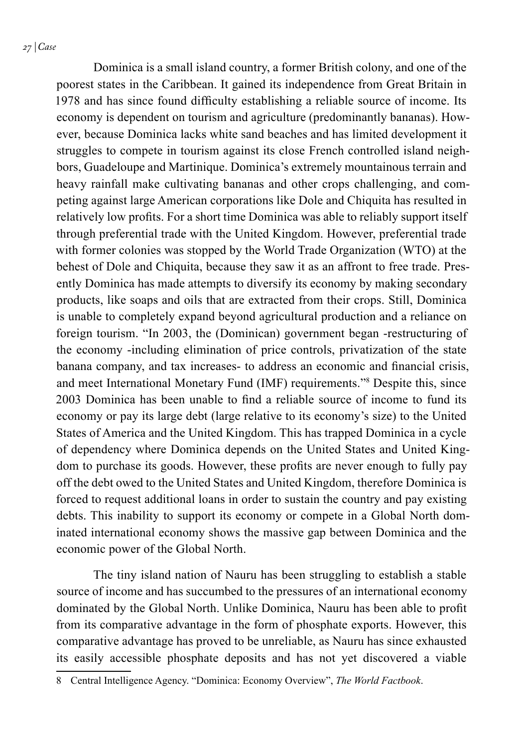*27 | Case*

Dominica is a small island country, a former British colony, and one of the poorest states in the Caribbean. It gained its independence from Great Britain in 1978 and has since found difficulty establishing a reliable source of income. Its economy is dependent on tourism and agriculture (predominantly bananas). However, because Dominica lacks white sand beaches and has limited development it struggles to compete in tourism against its close French controlled island neighbors, Guadeloupe and Martinique. Dominica's extremely mountainous terrain and heavy rainfall make cultivating bananas and other crops challenging, and competing against large American corporations like Dole and Chiquita has resulted in relatively low profits. For a short time Dominica was able to reliably support itself through preferential trade with the United Kingdom. However, preferential trade with former colonies was stopped by the World Trade Organization (WTO) at the behest of Dole and Chiquita, because they saw it as an affront to free trade. Presently Dominica has made attempts to diversify its economy by making secondary products, like soaps and oils that are extracted from their crops. Still, Dominica is unable to completely expand beyond agricultural production and a reliance on foreign tourism. "In 2003, the (Dominican) government began -restructuring of the economy -including elimination of price controls, privatization of the state banana company, and tax increases- to address an economic and financial crisis, and meet International Monetary Fund (IMF) requirements."8 Despite this, since 2003 Dominica has been unable to find a reliable source of income to fund its economy or pay its large debt (large relative to its economy's size) to the United States of America and the United Kingdom. This has trapped Dominica in a cycle of dependency where Dominica depends on the United States and United Kingdom to purchase its goods. However, these profits are never enough to fully pay off the debt owed to the United States and United Kingdom, therefore Dominica is forced to request additional loans in order to sustain the country and pay existing debts. This inability to support its economy or compete in a Global North dominated international economy shows the massive gap between Dominica and the economic power of the Global North.

The tiny island nation of Nauru has been struggling to establish a stable source of income and has succumbed to the pressures of an international economy dominated by the Global North. Unlike Dominica, Nauru has been able to profit from its comparative advantage in the form of phosphate exports. However, this comparative advantage has proved to be unreliable, as Nauru has since exhausted its easily accessible phosphate deposits and has not yet discovered a viable

<sup>8</sup> Central Intelligence Agency. "Dominica: Economy Overview", *The World Factbook*.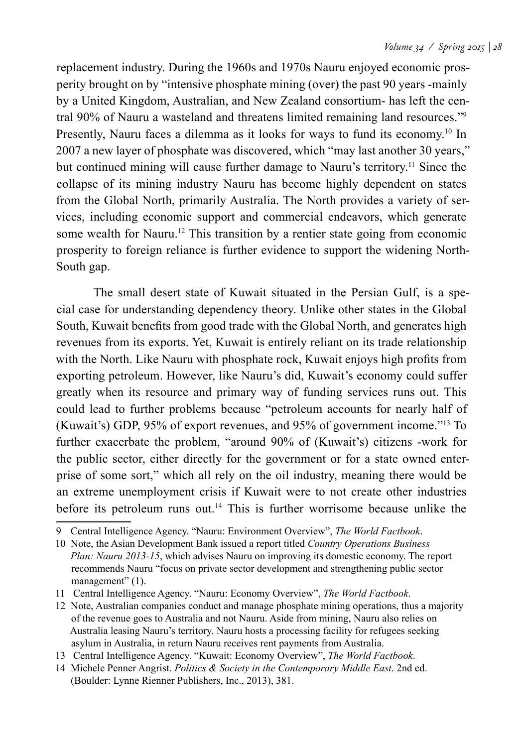replacement industry. During the 1960s and 1970s Nauru enjoyed economic prosperity brought on by "intensive phosphate mining (over) the past 90 years -mainly by a United Kingdom, Australian, and New Zealand consortium- has left the central 90% of Nauru a wasteland and threatens limited remaining land resources."9 Presently, Nauru faces a dilemma as it looks for ways to fund its economy.<sup>10</sup> In 2007 a new layer of phosphate was discovered, which "may last another 30 years," but continued mining will cause further damage to Nauru's territory.<sup>11</sup> Since the collapse of its mining industry Nauru has become highly dependent on states from the Global North, primarily Australia. The North provides a variety of services, including economic support and commercial endeavors, which generate some wealth for Nauru.<sup>12</sup> This transition by a rentier state going from economic prosperity to foreign reliance is further evidence to support the widening North-South gap.

The small desert state of Kuwait situated in the Persian Gulf, is a special case for understanding dependency theory. Unlike other states in the Global South, Kuwait benefits from good trade with the Global North, and generates high revenues from its exports. Yet, Kuwait is entirely reliant on its trade relationship with the North. Like Nauru with phosphate rock, Kuwait enjoys high profits from exporting petroleum. However, like Nauru's did, Kuwait's economy could suffer greatly when its resource and primary way of funding services runs out. This could lead to further problems because "petroleum accounts for nearly half of (Kuwait's) GDP, 95% of export revenues, and 95% of government income."13 To further exacerbate the problem, "around 90% of (Kuwait's) citizens -work for the public sector, either directly for the government or for a state owned enterprise of some sort," which all rely on the oil industry, meaning there would be an extreme unemployment crisis if Kuwait were to not create other industries before its petroleum runs out.14 This is further worrisome because unlike the

<sup>9</sup> Central Intelligence Agency. "Nauru: Environment Overview", *The World Factbook*.

<sup>10</sup> Note, the Asian Development Bank issued a report titled *Country Operations Business Plan: Nauru 2013-15*, which advises Nauru on improving its domestic economy. The report recommends Nauru "focus on private sector development and strengthening public sector management" (1).

<sup>11</sup> Central Intelligence Agency. "Nauru: Economy Overview", *The World Factbook*.

<sup>12</sup> Note, Australian companies conduct and manage phosphate mining operations, thus a majority of the revenue goes to Australia and not Nauru. Aside from mining, Nauru also relies on Australia leasing Nauru's territory. Nauru hosts a processing facility for refugees seeking asylum in Australia, in return Nauru receives rent payments from Australia.

<sup>13</sup> Central Intelligence Agency. "Kuwait: Economy Overview", *The World Factbook*.

<sup>14</sup> Michele Penner Angrist. *Politics & Society in the Contemporary Middle East*. 2nd ed. (Boulder: Lynne Rienner Publishers, Inc., 2013), 381.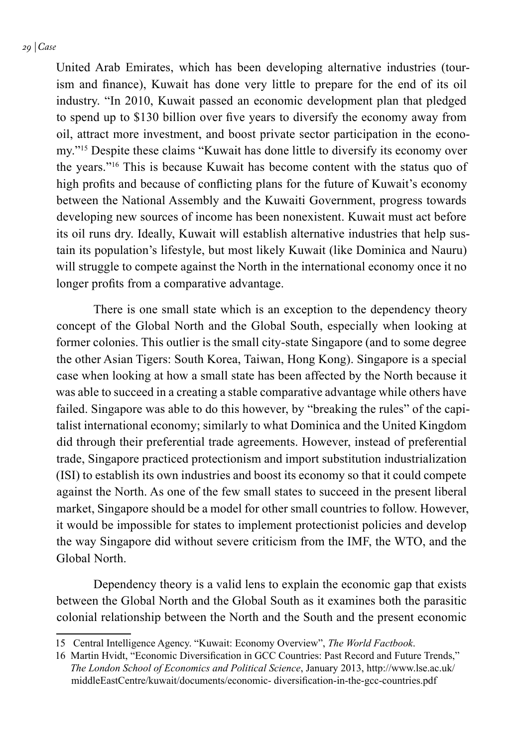United Arab Emirates, which has been developing alternative industries (tourism and finance), Kuwait has done very little to prepare for the end of its oil industry. "In 2010, Kuwait passed an economic development plan that pledged to spend up to \$130 billion over five years to diversify the economy away from oil, attract more investment, and boost private sector participation in the economy."15 Despite these claims "Kuwait has done little to diversify its economy over the years."16 This is because Kuwait has become content with the status quo of high profits and because of conflicting plans for the future of Kuwait's economy between the National Assembly and the Kuwaiti Government, progress towards developing new sources of income has been nonexistent. Kuwait must act before its oil runs dry. Ideally, Kuwait will establish alternative industries that help sustain its population's lifestyle, but most likely Kuwait (like Dominica and Nauru) will struggle to compete against the North in the international economy once it no longer profits from a comparative advantage.

There is one small state which is an exception to the dependency theory concept of the Global North and the Global South, especially when looking at former colonies. This outlier is the small city-state Singapore (and to some degree the other Asian Tigers: South Korea, Taiwan, Hong Kong). Singapore is a special case when looking at how a small state has been affected by the North because it was able to succeed in a creating a stable comparative advantage while others have failed. Singapore was able to do this however, by "breaking the rules" of the capitalist international economy; similarly to what Dominica and the United Kingdom did through their preferential trade agreements. However, instead of preferential trade, Singapore practiced protectionism and import substitution industrialization (ISI) to establish its own industries and boost its economy so that it could compete against the North. As one of the few small states to succeed in the present liberal market, Singapore should be a model for other small countries to follow. However, it would be impossible for states to implement protectionist policies and develop the way Singapore did without severe criticism from the IMF, the WTO, and the Global North.

Dependency theory is a valid lens to explain the economic gap that exists between the Global North and the Global South as it examines both the parasitic colonial relationship between the North and the South and the present economic

<sup>15</sup> Central Intelligence Agency. "Kuwait: Economy Overview", *The World Factbook*.

<sup>16</sup> Martin Hvidt, "Economic Diversification in GCC Countries: Past Record and Future Trends," *The London School of Economics and Political Science*, January 2013, http://www.lse.ac.uk/ middleEastCentre/kuwait/documents/economic- diversification-in-the-gcc-countries.pdf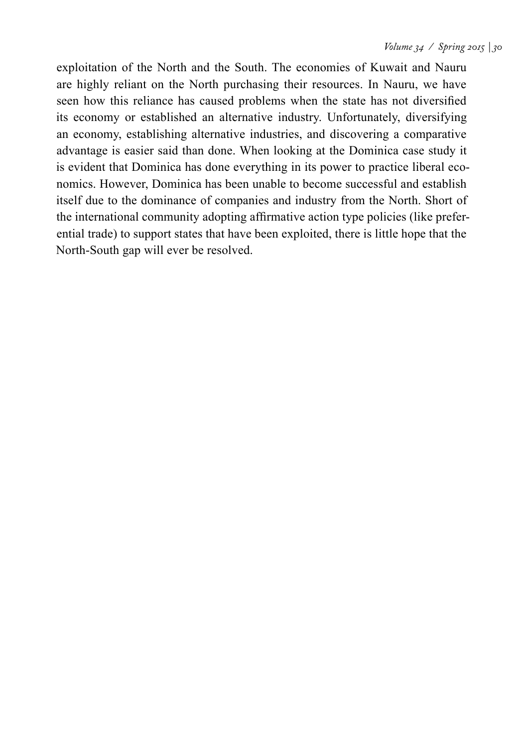exploitation of the North and the South. The economies of Kuwait and Nauru are highly reliant on the North purchasing their resources. In Nauru, we have seen how this reliance has caused problems when the state has not diversified its economy or established an alternative industry. Unfortunately, diversifying an economy, establishing alternative industries, and discovering a comparative advantage is easier said than done. When looking at the Dominica case study it is evident that Dominica has done everything in its power to practice liberal economics. However, Dominica has been unable to become successful and establish itself due to the dominance of companies and industry from the North. Short of the international community adopting affirmative action type policies (like preferential trade) to support states that have been exploited, there is little hope that the North-South gap will ever be resolved.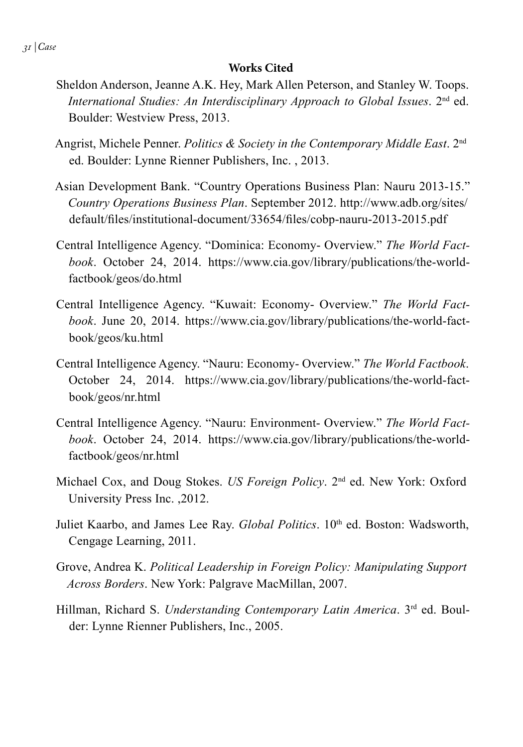#### **Works Cited**

- Sheldon Anderson, Jeanne A.K. Hey, Mark Allen Peterson, and Stanley W. Toops. *International Studies: An Interdisciplinary Approach to Global Issues*. 2nd ed. Boulder: Westview Press, 2013.
- Angrist, Michele Penner. *Politics & Society in the Contemporary Middle East*. 2nd ed. Boulder: Lynne Rienner Publishers, Inc. , 2013.
- Asian Development Bank. "Country Operations Business Plan: Nauru 2013-15." *Country Operations Business Plan*. September 2012. http://www.adb.org/sites/ default/files/institutional-document/33654/files/cobp-nauru-2013-2015.pdf
- Central Intelligence Agency. "Dominica: Economy- Overview." *The World Factbook*. October 24, 2014. https://www.cia.gov/library/publications/the-worldfactbook/geos/do.html
- Central Intelligence Agency. "Kuwait: Economy- Overview." *The World Factbook*. June 20, 2014. https://www.cia.gov/library/publications/the-world-factbook/geos/ku.html
- Central Intelligence Agency. "Nauru: Economy- Overview." *The World Factbook*. October 24, 2014. https://www.cia.gov/library/publications/the-world-factbook/geos/nr.html
- Central Intelligence Agency. "Nauru: Environment- Overview." *The World Factbook*. October 24, 2014. https://www.cia.gov/library/publications/the-worldfactbook/geos/nr.html
- Michael Cox, and Doug Stokes. *US Foreign Policy*. 2nd ed. New York: Oxford University Press Inc. ,2012.
- Juliet Kaarbo, and James Lee Ray. *Global Politics*. 10<sup>th</sup> ed. Boston: Wadsworth, Cengage Learning, 2011.
- Grove, Andrea K. *Political Leadership in Foreign Policy: Manipulating Support Across Borders*. New York: Palgrave MacMillan, 2007.
- Hillman, Richard S. *Understanding Contemporary Latin America*. 3rd ed. Boulder: Lynne Rienner Publishers, Inc., 2005.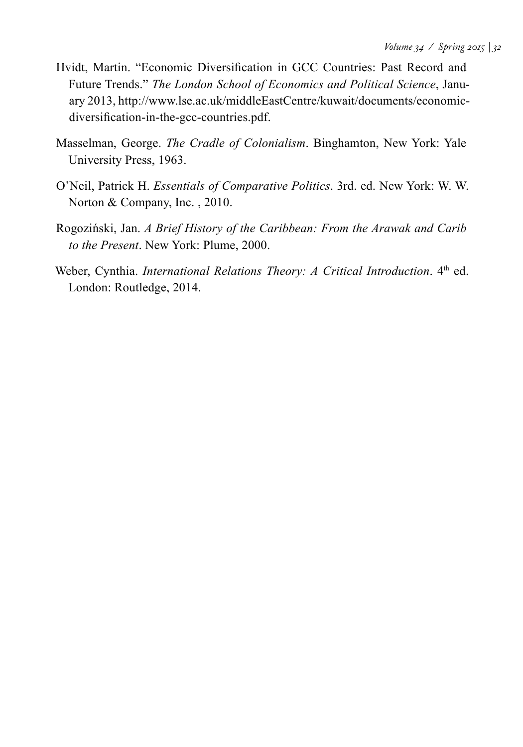- Hvidt, Martin. "Economic Diversification in GCC Countries: Past Record and Future Trends." *The London School of Economics and Political Science*, January 2013, http://www.lse.ac.uk/middleEastCentre/kuwait/documents/economicdiversification-in-the-gcc-countries.pdf.
- Masselman, George. *The Cradle of Colonialism*. Binghamton, New York: Yale University Press, 1963.
- O'Neil, Patrick H. *Essentials of Comparative Politics*. 3rd. ed. New York: W. W. Norton & Company, Inc. , 2010.
- Rogoziński, Jan. *A Brief History of the Caribbean: From the Arawak and Carib to the Present*. New York: Plume, 2000.
- Weber, Cynthia. *International Relations Theory: A Critical Introduction*. 4<sup>th</sup> ed. London: Routledge, 2014.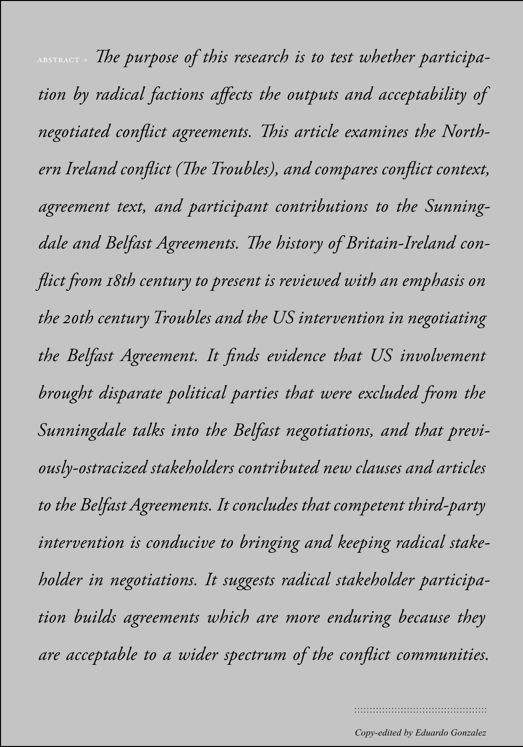*ABSTRACT* » The purpose of this research is to test whether participa*tion by radical factions affects the outputs and acceptability of negotiated conflict agreements. This article examines the Northern Ireland conflict (The Troubles), and compares conflict context, agreement text, and participant contributions to the Sunningdale and Belfast Agreements. The history of Britain-Ireland conflict from 18th century to present is reviewed with an emphasis on the 20th century Troubles and the US intervention in negotiating the Belfast Agreement. It finds evidence that US involvement brought disparate political parties that were excluded from the Sunningdale talks into the Belfast negotiations, and that previously-ostracized stakeholders contributed new clauses and articles to the Belfast Agreements. It concludes that competent third-party intervention is conducive to bringing and keeping radical stakeholder in negotiations. It suggests radical stakeholder participation builds agreements which are more enduring because they are acceptable to a wider spectrum of the conflict communities.*

*Copy-edited by Eduardo Gonzalez*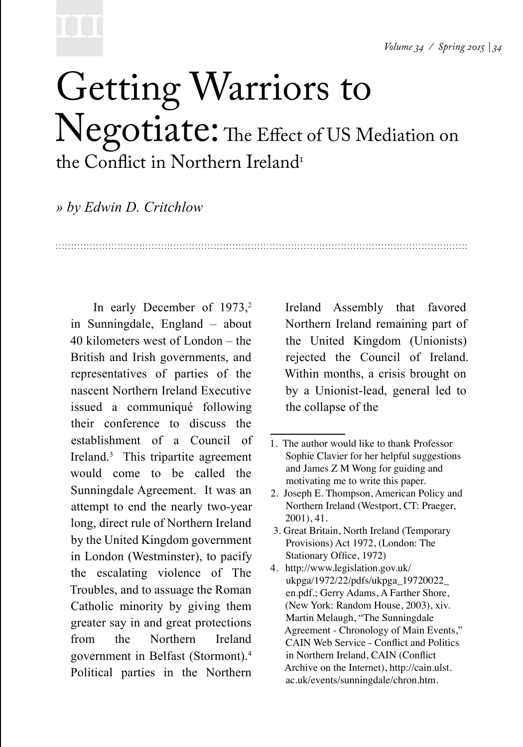# 1111

### Getting Warriors to Negotiate: The Effect of US Mediation on the Conflict in Northern Ireland<sup>1</sup>

*» by Edwin D. Critchlow*

In early December of  $1973$ ,<sup>2</sup> in Sunningdale, England – about 40 kilometers west of London – the British and Irish governments, and representatives of parties of the nascent Northern Ireland Executive issued a communiqué following their conference to discuss the establishment of a Council of Ireland.<sup>3</sup> This tripartite agreement would come to be called the Sunningdale Agreement. It was an attempt to end the nearly two-year long, direct rule of Northern Ireland by the United Kingdom government in London (Westminster), to pacify the escalating violence of The Troubles, and to assuage the Roman Catholic minority by giving them greater say in and great protections from the Northern Ireland government in Belfast (Stormont).4 Political parties in the Northern

Ireland Assembly that favored Northern Ireland remaining part of the United Kingdom (Unionists) rejected the Council of Ireland. Within months, a crisis brought on by a Unionist-lead, general led to the collapse of the

- 3. Great Britain, North Ireland (Temporary Provisions) Act 1972, (London: The Stationary Office, 1972)
- 4. http://www.legislation.gov.uk/ ukpga/1972/22/pdfs/ukpga\_19720022\_ en.pdf.; Gerry Adams, A Farther Shore, (New York: Random House, 2003), xiv. Martin Melaugh, "The Sunningdale Agreement - Chronology of Main Events," CAIN Web Service - Conflict and Politics in Northern Ireland, CAIN (Conflict Archive on the Internet), http://cain.ulst. ac.uk/events/sunningdale/chron.htm.

<sup>1</sup>. The author would like to thank Professor Sophie Clavier for her helpful suggestions and James Z M Wong for guiding and motivating me to write this paper.

<sup>2.</sup> Joseph E. Thompson, American Policy and Northern Ireland (Westport, CT: Praeger, 2001), 41.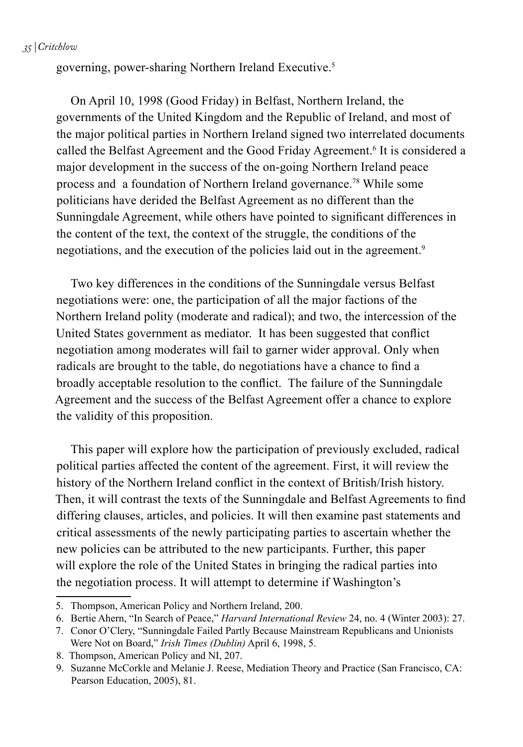*35 | Critchlow*

governing, power-sharing Northern Ireland Executive.5

On April 10, 1998 (Good Friday) in Belfast, Northern Ireland, the governments of the United Kingdom and the Republic of Ireland, and most of the major political parties in Northern Ireland signed two interrelated documents called the Belfast Agreement and the Good Friday Agreement.<sup>6</sup> It is considered a major development in the success of the on-going Northern Ireland peace process and a foundation of Northern Ireland governance.78 While some politicians have derided the Belfast Agreement as no different than the Sunningdale Agreement, while others have pointed to significant differences in the content of the text, the context of the struggle, the conditions of the negotiations, and the execution of the policies laid out in the agreement.<sup>9</sup>

Two key differences in the conditions of the Sunningdale versus Belfast negotiations were: one, the participation of all the major factions of the Northern Ireland polity (moderate and radical); and two, the intercession of the United States government as mediator. It has been suggested that conflict negotiation among moderates will fail to garner wider approval. Only when radicals are brought to the table, do negotiations have a chance to find a broadly acceptable resolution to the conflict. The failure of the Sunningdale Agreement and the success of the Belfast Agreement offer a chance to explore the validity of this proposition.

This paper will explore how the participation of previously excluded, radical political parties affected the content of the agreement. First, it will review the history of the Northern Ireland conflict in the context of British/Irish history. Then, it will contrast the texts of the Sunningdale and Belfast Agreements to find differing clauses, articles, and policies. It will then examine past statements and critical assessments of the newly participating parties to ascertain whether the new policies can be attributed to the new participants. Further, this paper will explore the role of the United States in bringing the radical parties into the negotiation process. It will attempt to determine if Washington's

<sup>5.</sup> Thompson, American Policy and Northern Ireland, 200.

<sup>6.</sup> Bertie Ahern, "In Search of Peace," *Harvard International Review* 24, no. 4 (Winter 2003): 27.

<sup>7.</sup> Conor O'Clery, "Sunningdale Failed Partly Because Mainstream Republicans and Unionists Were Not on Board," *Irish Times (Dublin)* April 6, 1998, 5.

<sup>8.</sup> Thompson, American Policy and NI, 207.

<sup>9.</sup> Suzanne McCorkle and Melanie J. Reese, Mediation Theory and Practice (San Francisco, CA: Pearson Education, 2005), 81.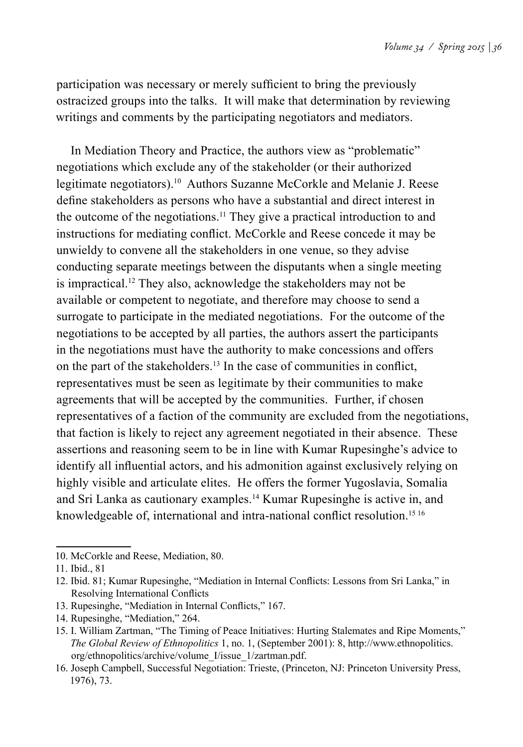participation was necessary or merely sufficient to bring the previously ostracized groups into the talks. It will make that determination by reviewing writings and comments by the participating negotiators and mediators.

In Mediation Theory and Practice, the authors view as "problematic" negotiations which exclude any of the stakeholder (or their authorized legitimate negotiators).<sup>10</sup> Authors Suzanne McCorkle and Melanie J. Reese define stakeholders as persons who have a substantial and direct interest in the outcome of the negotiations.11 They give a practical introduction to and instructions for mediating conflict. McCorkle and Reese concede it may be unwieldy to convene all the stakeholders in one venue, so they advise conducting separate meetings between the disputants when a single meeting is impractical.12 They also, acknowledge the stakeholders may not be available or competent to negotiate, and therefore may choose to send a surrogate to participate in the mediated negotiations. For the outcome of the negotiations to be accepted by all parties, the authors assert the participants in the negotiations must have the authority to make concessions and offers on the part of the stakeholders.13 In the case of communities in conflict, representatives must be seen as legitimate by their communities to make agreements that will be accepted by the communities. Further, if chosen representatives of a faction of the community are excluded from the negotiations, that faction is likely to reject any agreement negotiated in their absence. These assertions and reasoning seem to be in line with Kumar Rupesinghe's advice to identify all influential actors, and his admonition against exclusively relying on highly visible and articulate elites. He offers the former Yugoslavia, Somalia and Sri Lanka as cautionary examples.14 Kumar Rupesinghe is active in, and knowledgeable of, international and intra-national conflict resolution.<sup>15 16</sup>

<sup>10.</sup> McCorkle and Reese, Mediation, 80.

<sup>11.</sup> Ibid., 81

<sup>12.</sup> Ibid. 81; Kumar Rupesinghe, "Mediation in Internal Conflicts: Lessons from Sri Lanka," in Resolving International Conflicts

<sup>13.</sup> Rupesinghe, "Mediation in Internal Conflicts," 167.

<sup>14.</sup> Rupesinghe, "Mediation," 264.

<sup>15.</sup> I. William Zartman, "The Timing of Peace Initiatives: Hurting Stalemates and Ripe Moments," *The Global Review of Ethnopolitics* 1, no. 1, (September 2001): 8, http://www.ethnopolitics. org/ethnopolitics/archive/volume\_I/issue\_1/zartman.pdf.

<sup>16.</sup> Joseph Campbell, Successful Negotiation: Trieste, (Princeton, NJ: Princeton University Press, 1976), 73.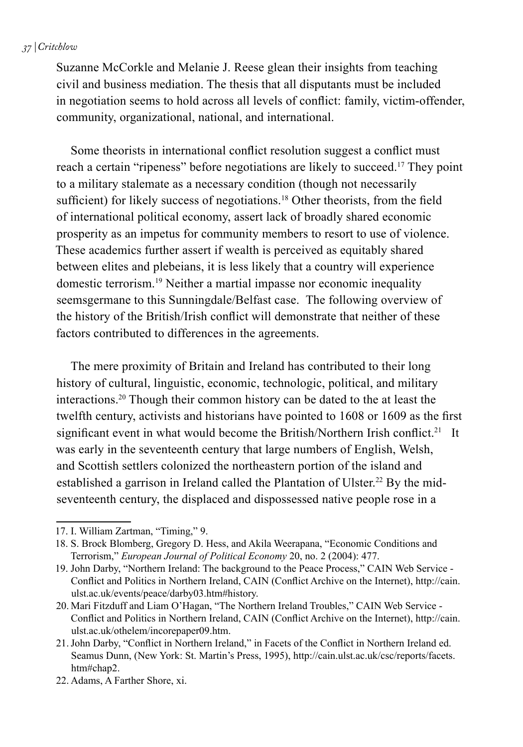#### *37 | Critchlow*

Suzanne McCorkle and Melanie J. Reese glean their insights from teaching civil and business mediation. The thesis that all disputants must be included in negotiation seems to hold across all levels of conflict: family, victim-offender, community, organizational, national, and international.

Some theorists in international conflict resolution suggest a conflict must reach a certain "ripeness" before negotiations are likely to succeed.17 They point to a military stalemate as a necessary condition (though not necessarily sufficient) for likely success of negotiations.<sup>18</sup> Other theorists, from the field of international political economy, assert lack of broadly shared economic prosperity as an impetus for community members to resort to use of violence. These academics further assert if wealth is perceived as equitably shared between elites and plebeians, it is less likely that a country will experience domestic terrorism.19 Neither a martial impasse nor economic inequality seemsgermane to this Sunningdale/Belfast case. The following overview of the history of the British/Irish conflict will demonstrate that neither of these factors contributed to differences in the agreements.

The mere proximity of Britain and Ireland has contributed to their long history of cultural, linguistic, economic, technologic, political, and military interactions.20 Though their common history can be dated to the at least the twelfth century, activists and historians have pointed to 1608 or 1609 as the first significant event in what would become the British/Northern Irish conflict.<sup>21</sup> It was early in the seventeenth century that large numbers of English, Welsh, and Scottish settlers colonized the northeastern portion of the island and established a garrison in Ireland called the Plantation of Ulster.<sup>22</sup> By the midseventeenth century, the displaced and dispossessed native people rose in a

<sup>17.</sup> I. William Zartman, "Timing," 9.

<sup>18.</sup> S. Brock Blomberg, Gregory D. Hess, and Akila Weerapana, "Economic Conditions and Terrorism," *European Journal of Political Economy* 20, no. 2 (2004): 477.

<sup>19.</sup> John Darby, "Northern Ireland: The background to the Peace Process," CAIN Web Service - Conflict and Politics in Northern Ireland, CAIN (Conflict Archive on the Internet), http://cain. ulst.ac.uk/events/peace/darby03.htm#history.

<sup>20.</sup> Mari Fitzduff and Liam O'Hagan, "The Northern Ireland Troubles," CAIN Web Service - Conflict and Politics in Northern Ireland, CAIN (Conflict Archive on the Internet), http://cain. ulst.ac.uk/othelem/incorepaper09.htm.

<sup>21.</sup>John Darby, "Conflict in Northern Ireland," in Facets of the Conflict in Northern Ireland ed. Seamus Dunn, (New York: St. Martin's Press, 1995), http://cain.ulst.ac.uk/csc/reports/facets. htm#chap2.

<sup>22.</sup> Adams, A Farther Shore, xi.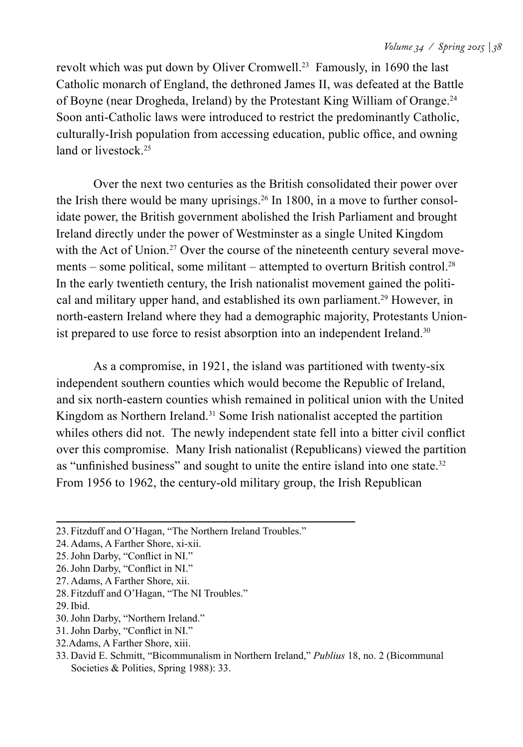revolt which was put down by Oliver Cromwell.23 Famously, in 1690 the last Catholic monarch of England, the dethroned James II, was defeated at the Battle of Boyne (near Drogheda, Ireland) by the Protestant King William of Orange.24 Soon anti-Catholic laws were introduced to restrict the predominantly Catholic, culturally-Irish population from accessing education, public office, and owning land or livestock.<sup>25</sup>

Over the next two centuries as the British consolidated their power over the Irish there would be many uprisings.<sup>26</sup> In 1800, in a move to further consolidate power, the British government abolished the Irish Parliament and brought Ireland directly under the power of Westminster as a single United Kingdom with the Act of Union.<sup>27</sup> Over the course of the nineteenth century several movements – some political, some militant – attempted to overturn British control.<sup>28</sup> In the early twentieth century, the Irish nationalist movement gained the political and military upper hand, and established its own parliament.29 However, in north-eastern Ireland where they had a demographic majority, Protestants Unionist prepared to use force to resist absorption into an independent Ireland.<sup>30</sup>

As a compromise, in 1921, the island was partitioned with twenty-six independent southern counties which would become the Republic of Ireland, and six north-eastern counties whish remained in political union with the United Kingdom as Northern Ireland.<sup>31</sup> Some Irish nationalist accepted the partition whiles others did not. The newly independent state fell into a bitter civil conflict over this compromise. Many Irish nationalist (Republicans) viewed the partition as "unfinished business" and sought to unite the entire island into one state.<sup>32</sup> From 1956 to 1962, the century-old military group, the Irish Republican

- 31.John Darby, "Conflict in NI."
- 32.Adams, A Farther Shore, xiii.
- 33. David E. Schmitt, "Bicommunalism in Northern Ireland," *Publius* 18, no. 2 (Bicommunal Societies & Polities, Spring 1988): 33.

<sup>23.</sup> Fitzduff and O'Hagan, "The Northern Ireland Troubles."

<sup>24.</sup> Adams, A Farther Shore, xi-xii.

<sup>25.</sup>John Darby, "Conflict in NI."

<sup>26.</sup>John Darby, "Conflict in NI."

<sup>27.</sup> Adams, A Farther Shore, xii.

<sup>28.</sup> Fitzduff and O'Hagan, "The NI Troubles."

<sup>29.</sup>Ibid.

<sup>30.</sup>John Darby, "Northern Ireland."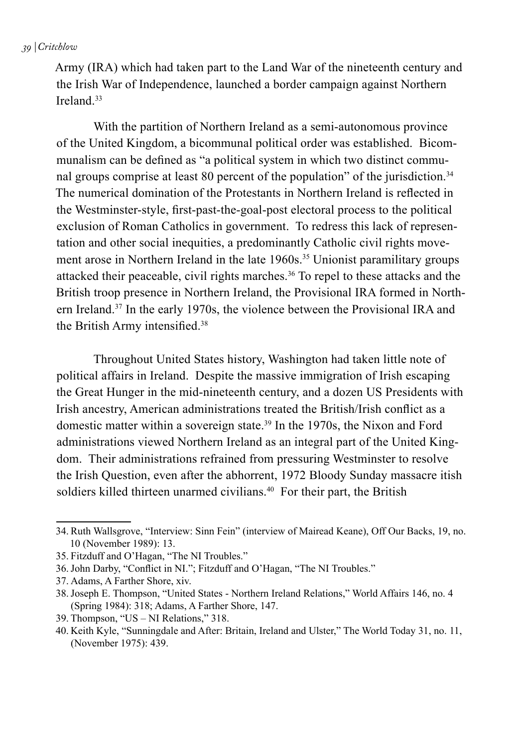Army (IRA) which had taken part to the Land War of the nineteenth century and the Irish War of Independence, launched a border campaign against Northern Ireland.<sup>33</sup>

With the partition of Northern Ireland as a semi-autonomous province of the United Kingdom, a bicommunal political order was established. Bicommunalism can be defined as "a political system in which two distinct communal groups comprise at least 80 percent of the population" of the jurisdiction.<sup>34</sup> The numerical domination of the Protestants in Northern Ireland is reflected in the Westminster-style, first-past-the-goal-post electoral process to the political exclusion of Roman Catholics in government. To redress this lack of representation and other social inequities, a predominantly Catholic civil rights movement arose in Northern Ireland in the late 1960s.<sup>35</sup> Unionist paramilitary groups attacked their peaceable, civil rights marches.36 To repel to these attacks and the British troop presence in Northern Ireland, the Provisional IRA formed in Northern Ireland.37 In the early 1970s, the violence between the Provisional IRA and the British Army intensified.<sup>38</sup>

Throughout United States history, Washington had taken little note of political affairs in Ireland. Despite the massive immigration of Irish escaping the Great Hunger in the mid-nineteenth century, and a dozen US Presidents with Irish ancestry, American administrations treated the British/Irish conflict as a domestic matter within a sovereign state.39 In the 1970s, the Nixon and Ford administrations viewed Northern Ireland as an integral part of the United Kingdom. Their administrations refrained from pressuring Westminster to resolve the Irish Question, even after the abhorrent, 1972 Bloody Sunday massacre itish soldiers killed thirteen unarmed civilians.<sup>40</sup> For their part, the British

<sup>34.</sup> Ruth Wallsgrove, "Interview: Sinn Fein" (interview of Mairead Keane), Off Our Backs, 19, no. 10 (November 1989): 13.

<sup>35.</sup> Fitzduff and O'Hagan, "The NI Troubles."

<sup>36.</sup>John Darby, "Conflict in NI."; Fitzduff and O'Hagan, "The NI Troubles."

<sup>37.</sup> Adams, A Farther Shore, xiv.

<sup>38.</sup>Joseph E. Thompson, "United States - Northern Ireland Relations," World Affairs 146, no. 4 (Spring 1984): 318; Adams, A Farther Shore, 147.

<sup>39.</sup> Thompson, "US – NI Relations," 318.

<sup>40.</sup> Keith Kyle, "Sunningdale and After: Britain, Ireland and Ulster," The World Today 31, no. 11, (November 1975): 439.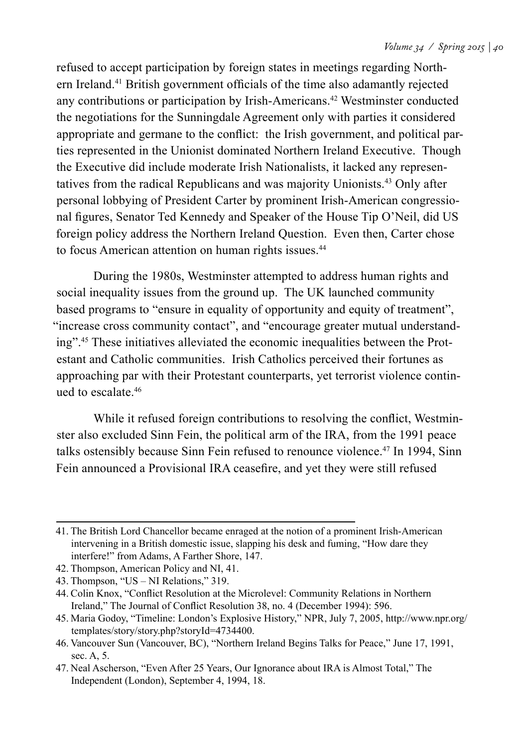refused to accept participation by foreign states in meetings regarding Northern Ireland.41 British government officials of the time also adamantly rejected any contributions or participation by Irish-Americans.<sup>42</sup> Westminster conducted the negotiations for the Sunningdale Agreement only with parties it considered appropriate and germane to the conflict: the Irish government, and political parties represented in the Unionist dominated Northern Ireland Executive. Though the Executive did include moderate Irish Nationalists, it lacked any representatives from the radical Republicans and was majority Unionists.43 Only after personal lobbying of President Carter by prominent Irish-American congressional figures, Senator Ted Kennedy and Speaker of the House Tip O'Neil, did US foreign policy address the Northern Ireland Question. Even then, Carter chose to focus American attention on human rights issues.<sup>44</sup>

During the 1980s, Westminster attempted to address human rights and social inequality issues from the ground up. The UK launched community based programs to "ensure in equality of opportunity and equity of treatment", "increase cross community contact", and "encourage greater mutual understanding".45 These initiatives alleviated the economic inequalities between the Protestant and Catholic communities. Irish Catholics perceived their fortunes as approaching par with their Protestant counterparts, yet terrorist violence continued to escalate 46

While it refused foreign contributions to resolving the conflict, Westminster also excluded Sinn Fein, the political arm of the IRA, from the 1991 peace talks ostensibly because Sinn Fein refused to renounce violence.47 In 1994, Sinn Fein announced a Provisional IRA ceasefire, and yet they were still refused

<sup>41.</sup> The British Lord Chancellor became enraged at the notion of a prominent Irish-American intervening in a British domestic issue, slapping his desk and fuming, "How dare they interfere!" from Adams, A Farther Shore, 147.

<sup>42.</sup> Thompson, American Policy and NI, 41.

<sup>43.</sup> Thompson, "US – NI Relations," 319.

<sup>44.</sup> Colin Knox, "Conflict Resolution at the Microlevel: Community Relations in Northern Ireland," The Journal of Conflict Resolution 38, no. 4 (December 1994): 596.

<sup>45.</sup> Maria Godoy, "Timeline: London's Explosive History," NPR, July 7, 2005, http://www.npr.org/ templates/story/story.php?storyId=4734400.

<sup>46.</sup> Vancouver Sun (Vancouver, BC), "Northern Ireland Begins Talks for Peace," June 17, 1991, sec. A, 5.

<sup>47.</sup> Neal Ascherson, "Even After 25 Years, Our Ignorance about IRA is Almost Total," The Independent (London), September 4, 1994, 18.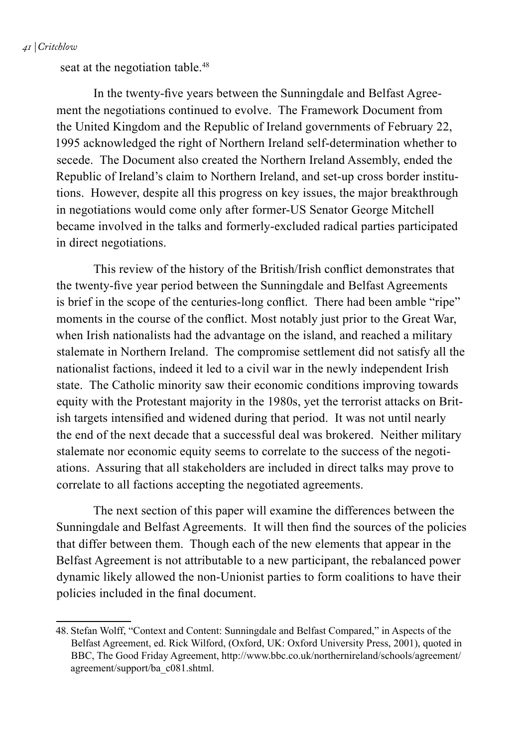#### *41 | Critchlow*

seat at the negotiation table.<sup>48</sup>

In the twenty-five years between the Sunningdale and Belfast Agreement the negotiations continued to evolve. The Framework Document from the United Kingdom and the Republic of Ireland governments of February 22, 1995 acknowledged the right of Northern Ireland self-determination whether to secede. The Document also created the Northern Ireland Assembly, ended the Republic of Ireland's claim to Northern Ireland, and set-up cross border institutions. However, despite all this progress on key issues, the major breakthrough in negotiations would come only after former-US Senator George Mitchell became involved in the talks and formerly-excluded radical parties participated in direct negotiations.

This review of the history of the British/Irish conflict demonstrates that the twenty-five year period between the Sunningdale and Belfast Agreements is brief in the scope of the centuries-long conflict. There had been amble "ripe" moments in the course of the conflict. Most notably just prior to the Great War, when Irish nationalists had the advantage on the island, and reached a military stalemate in Northern Ireland. The compromise settlement did not satisfy all the nationalist factions, indeed it led to a civil war in the newly independent Irish state. The Catholic minority saw their economic conditions improving towards equity with the Protestant majority in the 1980s, yet the terrorist attacks on British targets intensified and widened during that period. It was not until nearly the end of the next decade that a successful deal was brokered. Neither military stalemate nor economic equity seems to correlate to the success of the negotiations. Assuring that all stakeholders are included in direct talks may prove to correlate to all factions accepting the negotiated agreements.

The next section of this paper will examine the differences between the Sunningdale and Belfast Agreements. It will then find the sources of the policies that differ between them. Though each of the new elements that appear in the Belfast Agreement is not attributable to a new participant, the rebalanced power dynamic likely allowed the non-Unionist parties to form coalitions to have their policies included in the final document.

<sup>48.</sup> Stefan Wolff, "Context and Content: Sunningdale and Belfast Compared," in Aspects of the Belfast Agreement, ed. Rick Wilford, (Oxford, UK: Oxford University Press, 2001), quoted in BBC, The Good Friday Agreement, http://www.bbc.co.uk/northernireland/schools/agreement/ agreement/support/ba\_c081.shtml.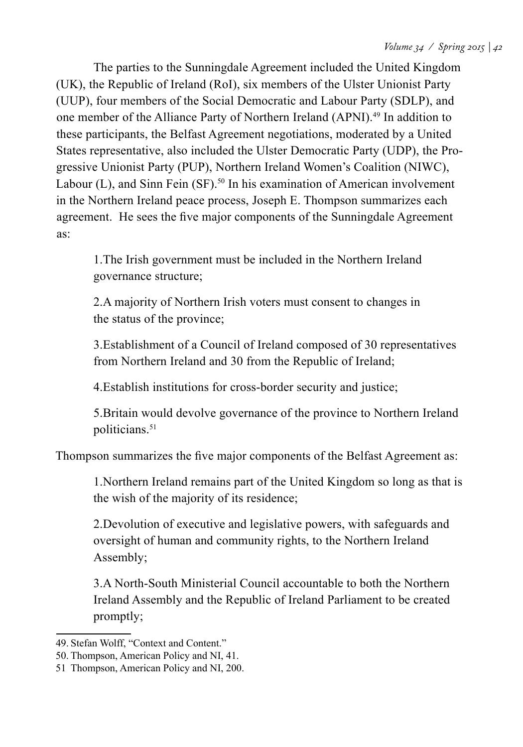The parties to the Sunningdale Agreement included the United Kingdom (UK), the Republic of Ireland (RoI), six members of the Ulster Unionist Party (UUP), four members of the Social Democratic and Labour Party (SDLP), and one member of the Alliance Party of Northern Ireland (APNI).49 In addition to these participants, the Belfast Agreement negotiations, moderated by a United States representative, also included the Ulster Democratic Party (UDP), the Progressive Unionist Party (PUP), Northern Ireland Women's Coalition (NIWC), Labour  $(L)$ , and Sinn Fein  $(SF)$ .<sup>50</sup> In his examination of American involvement in the Northern Ireland peace process, Joseph E. Thompson summarizes each agreement. He sees the five major components of the Sunningdale Agreement as:

1.The Irish government must be included in the Northern Ireland governance structure;

2.A majority of Northern Irish voters must consent to changes in the status of the province;

3.Establishment of a Council of Ireland composed of 30 representatives from Northern Ireland and 30 from the Republic of Ireland;

4.Establish institutions for cross-border security and justice;

5.Britain would devolve governance of the province to Northern Ireland politicians.<sup>51</sup>

Thompson summarizes the five major components of the Belfast Agreement as:

1.Northern Ireland remains part of the United Kingdom so long as that is the wish of the majority of its residence;

2.Devolution of executive and legislative powers, with safeguards and oversight of human and community rights, to the Northern Ireland Assembly;

3.A North-South Ministerial Council accountable to both the Northern Ireland Assembly and the Republic of Ireland Parliament to be created promptly;

<sup>49.</sup> Stefan Wolff, "Context and Content."

<sup>50.</sup> Thompson, American Policy and NI, 41.

<sup>51</sup> Thompson, American Policy and NI, 200.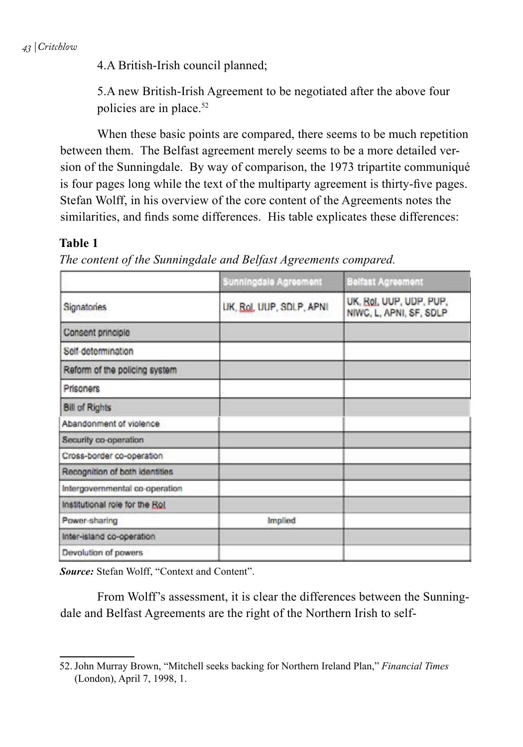4.A British-Irish council planned;

5.A new British-Irish Agreement to be negotiated after the above four policies are in place.52

When these basic points are compared, there seems to be much repetition between them. The Belfast agreement merely seems to be a more detailed version of the Sunningdale. By way of comparison, the 1973 tripartite communiqué is four pages long while the text of the multiparty agreement is thirty-five pages. Stefan Wolff, in his overview of the core content of the Agreements notes the similarities, and finds some differences. His table explicates these differences:

#### **Table 1**

|  |  | The content of the Sunningdale and Belfast Agreements compared |  |
|--|--|----------------------------------------------------------------|--|
|  |  |                                                                |  |

|                                 | Sunningdale Agreement    | <b>Belfast Agreement</b>                           |  |
|---------------------------------|--------------------------|----------------------------------------------------|--|
| Signatories                     | UK, Rol, UUP, SDLP, APNI | UK, Rol, UUP, UDP, PUP,<br>NIWC, L, APNI, SF, SDLP |  |
| Consent principie               |                          |                                                    |  |
| Self-determination              |                          |                                                    |  |
| Reform of the policing system   |                          |                                                    |  |
| Prisoners                       |                          |                                                    |  |
| <b>Bill of Rights</b>           |                          |                                                    |  |
| Abandonment of violence         |                          |                                                    |  |
| Security co-operation           |                          |                                                    |  |
| Cross-border co-operation       |                          |                                                    |  |
| Recognition of both identities  |                          |                                                    |  |
| Intergovernmental co-operation  |                          |                                                    |  |
| Institutional role for the Rol. |                          |                                                    |  |
| Power-sharing                   | Implied                  |                                                    |  |
| Inter-island co-operation       |                          |                                                    |  |
| Devolution of powers            |                          |                                                    |  |

*Source:* Stefan Wolff, "Context and Content".

From Wolff's assessment, it is clear the differences between the Sunningdale and Belfast Agreements are the right of the Northern Irish to self-

<sup>52.</sup>John Murray Brown, "Mitchell seeks backing for Northern Ireland Plan," *Financial Times* (London), April 7, 1998, 1.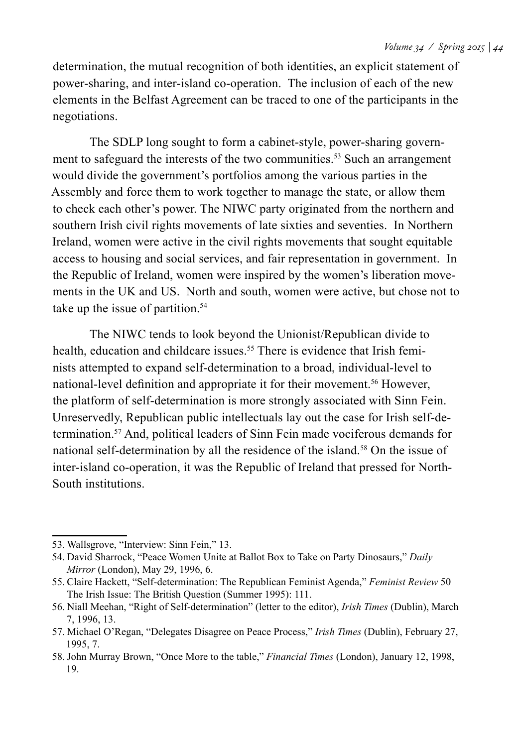determination, the mutual recognition of both identities, an explicit statement of power-sharing, and inter-island co-operation. The inclusion of each of the new elements in the Belfast Agreement can be traced to one of the participants in the negotiations.

The SDLP long sought to form a cabinet-style, power-sharing government to safeguard the interests of the two communities.<sup>53</sup> Such an arrangement would divide the government's portfolios among the various parties in the Assembly and force them to work together to manage the state, or allow them to check each other's power. The NIWC party originated from the northern and southern Irish civil rights movements of late sixties and seventies. In Northern Ireland, women were active in the civil rights movements that sought equitable access to housing and social services, and fair representation in government. In the Republic of Ireland, women were inspired by the women's liberation movements in the UK and US. North and south, women were active, but chose not to take up the issue of partition.<sup>54</sup>

The NIWC tends to look beyond the Unionist/Republican divide to health, education and childcare issues.<sup>55</sup> There is evidence that Irish feminists attempted to expand self-determination to a broad, individual-level to national-level definition and appropriate it for their movement.<sup>56</sup> However, the platform of self-determination is more strongly associated with Sinn Fein. Unreservedly, Republican public intellectuals lay out the case for Irish self-determination.57 And, political leaders of Sinn Fein made vociferous demands for national self-determination by all the residence of the island.<sup>58</sup> On the issue of inter-island co-operation, it was the Republic of Ireland that pressed for North-South institutions.

<sup>53.</sup> Wallsgrove, "Interview: Sinn Fein," 13.

<sup>54.</sup> David Sharrock, "Peace Women Unite at Ballot Box to Take on Party Dinosaurs," *Daily Mirror* (London), May 29, 1996, 6.

<sup>55.</sup> Claire Hackett, "Self-determination: The Republican Feminist Agenda," *Feminist Review* 50 The Irish Issue: The British Question (Summer 1995): 111.

<sup>56.</sup> Niall Meehan, "Right of Self-determination" (letter to the editor), *Irish Times* (Dublin), March 7, 1996, 13.

<sup>57.</sup> Michael O'Regan, "Delegates Disagree on Peace Process," *Irish Times* (Dublin), February 27, 1995, 7.

<sup>58.</sup>John Murray Brown, "Once More to the table," *Financial Times* (London), January 12, 1998, 19.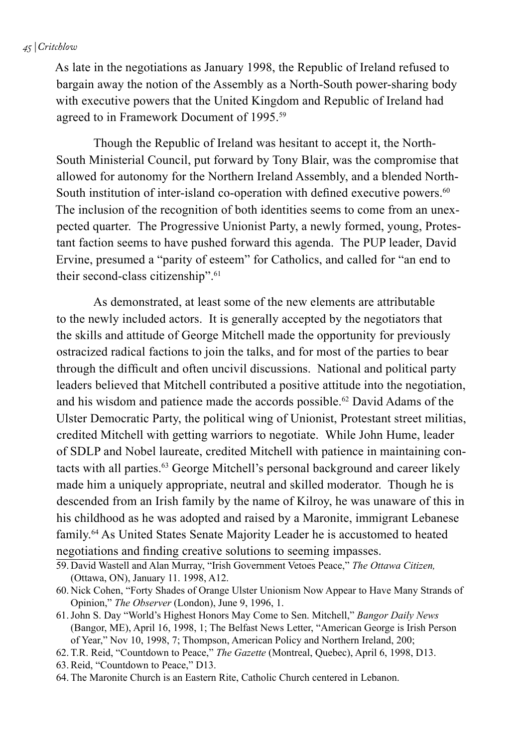#### *45 | Critchlow*

As late in the negotiations as January 1998, the Republic of Ireland refused to bargain away the notion of the Assembly as a North-South power-sharing body with executive powers that the United Kingdom and Republic of Ireland had agreed to in Framework Document of 1995.<sup>59</sup>

Though the Republic of Ireland was hesitant to accept it, the North-South Ministerial Council, put forward by Tony Blair, was the compromise that allowed for autonomy for the Northern Ireland Assembly, and a blended North-South institution of inter-island co-operation with defined executive powers.<sup>60</sup> The inclusion of the recognition of both identities seems to come from an unexpected quarter. The Progressive Unionist Party, a newly formed, young, Protestant faction seems to have pushed forward this agenda. The PUP leader, David Ervine, presumed a "parity of esteem" for Catholics, and called for "an end to their second-class citizenship".<sup>61</sup>

As demonstrated, at least some of the new elements are attributable to the newly included actors. It is generally accepted by the negotiators that the skills and attitude of George Mitchell made the opportunity for previously ostracized radical factions to join the talks, and for most of the parties to bear through the difficult and often uncivil discussions. National and political party leaders believed that Mitchell contributed a positive attitude into the negotiation, and his wisdom and patience made the accords possible.<sup>62</sup> David Adams of the Ulster Democratic Party, the political wing of Unionist, Protestant street militias, credited Mitchell with getting warriors to negotiate. While John Hume, leader of SDLP and Nobel laureate, credited Mitchell with patience in maintaining contacts with all parties.63 George Mitchell's personal background and career likely made him a uniquely appropriate, neutral and skilled moderator. Though he is descended from an Irish family by the name of Kilroy, he was unaware of this in his childhood as he was adopted and raised by a Maronite, immigrant Lebanese family.64 As United States Senate Majority Leader he is accustomed to heated negotiations and finding creative solutions to seeming impasses.

- 61.John S. Day "World's Highest Honors May Come to Sen. Mitchell," *Bangor Daily News* (Bangor, ME), April 16, 1998, 1; The Belfast News Letter, "American George is Irish Person of Year," Nov 10, 1998, 7; Thompson, American Policy and Northern Ireland, 200;
- 62. T.R. Reid, "Countdown to Peace," *The Gazette* (Montreal, Quebec), April 6, 1998, D13.
- 63.Reid, "Countdown to Peace," D13.
- 64. The Maronite Church is an Eastern Rite, Catholic Church centered in Lebanon.

<sup>59.</sup> David Wastell and Alan Murray, "Irish Government Vetoes Peace," *The Ottawa Citizen,*  (Ottawa, ON), January 11. 1998, A12.

<sup>60.</sup> Nick Cohen, "Forty Shades of Orange Ulster Unionism Now Appear to Have Many Strands of Opinion," *The Observer* (London), June 9, 1996, 1.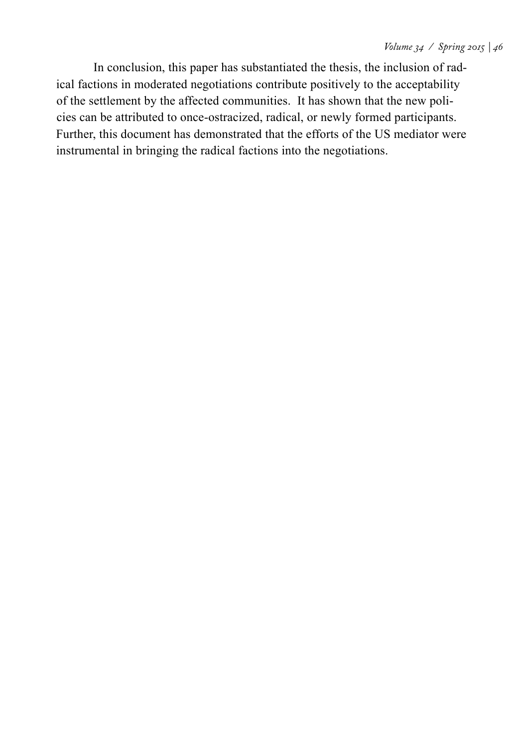In conclusion, this paper has substantiated the thesis, the inclusion of radical factions in moderated negotiations contribute positively to the acceptability of the settlement by the affected communities. It has shown that the new policies can be attributed to once-ostracized, radical, or newly formed participants. Further, this document has demonstrated that the efforts of the US mediator were instrumental in bringing the radical factions into the negotiations.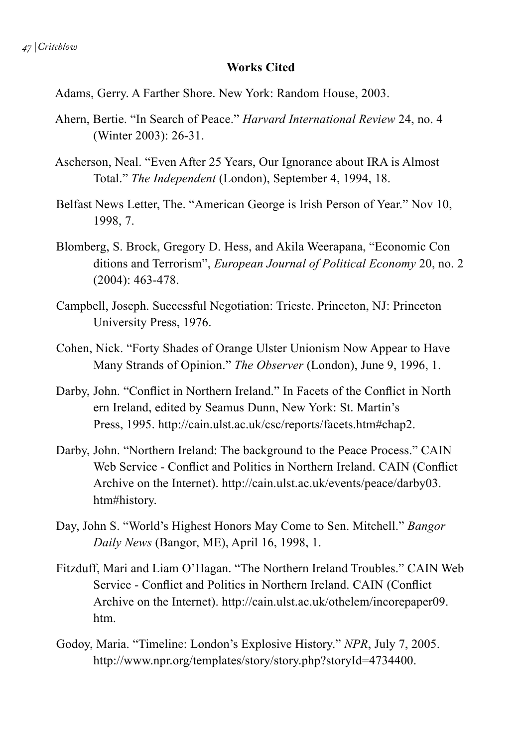#### **Works Cited**

Adams, Gerry. A Farther Shore. New York: Random House, 2003.

- Ahern, Bertie. "In Search of Peace." *Harvard International Review* 24, no. 4 (Winter 2003): 26-31.
- Ascherson, Neal. "Even After 25 Years, Our Ignorance about IRA is Almost Total." *The Independent* (London), September 4, 1994, 18.
- Belfast News Letter, The. "American George is Irish Person of Year." Nov 10, 1998, 7.
- Blomberg, S. Brock, Gregory D. Hess, and Akila Weerapana, "Economic Con ditions and Terrorism", *European Journal of Political Economy* 20, no. 2 (2004): 463-478.
- Campbell, Joseph. Successful Negotiation: Trieste. Princeton, NJ: Princeton University Press, 1976.
- Cohen, Nick. "Forty Shades of Orange Ulster Unionism Now Appear to Have Many Strands of Opinion." *The Observer* (London), June 9, 1996, 1.
- Darby, John. "Conflict in Northern Ireland." In Facets of the Conflict in North ern Ireland, edited by Seamus Dunn, New York: St. Martin's Press, 1995. http://cain.ulst.ac.uk/csc/reports/facets.htm#chap2.
- Darby, John. "Northern Ireland: The background to the Peace Process." CAIN Web Service - Conflict and Politics in Northern Ireland. CAIN (Conflict Archive on the Internet). http://cain.ulst.ac.uk/events/peace/darby03. htm#history.
- Day, John S. "World's Highest Honors May Come to Sen. Mitchell." *Bangor Daily News* (Bangor, ME), April 16, 1998, 1.
- Fitzduff, Mari and Liam O'Hagan. "The Northern Ireland Troubles." CAIN Web Service - Conflict and Politics in Northern Ireland. CAIN (Conflict Archive on the Internet). http://cain.ulst.ac.uk/othelem/incorepaper09. htm.
- Godoy, Maria. "Timeline: London's Explosive History." *NPR*, July 7, 2005. http://www.npr.org/templates/story/story.php?storyId=4734400.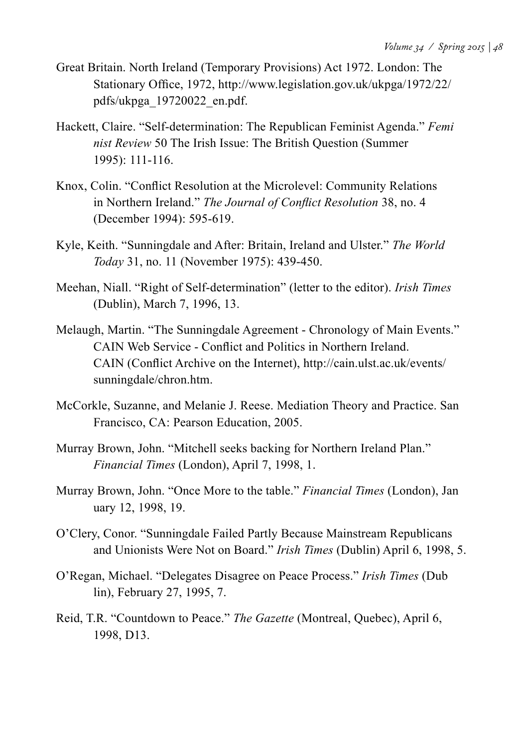- Great Britain. North Ireland (Temporary Provisions) Act 1972. London: The Stationary Office, 1972, http://www.legislation.gov.uk/ukpga/1972/22/ pdfs/ukpga\_19720022\_en.pdf.
- Hackett, Claire. "Self-determination: The Republican Feminist Agenda." *Femi nist Review* 50 The Irish Issue: The British Question (Summer 1995): 111-116.
- Knox, Colin. "Conflict Resolution at the Microlevel: Community Relations in Northern Ireland." *The Journal of Conflict Resolution* 38, no. 4 (December 1994): 595-619.
- Kyle, Keith. "Sunningdale and After: Britain, Ireland and Ulster." *The World Today* 31, no. 11 (November 1975): 439-450.
- Meehan, Niall. "Right of Self-determination" (letter to the editor). *Irish Times*  (Dublin), March 7, 1996, 13.
- Melaugh, Martin. "The Sunningdale Agreement Chronology of Main Events." CAIN Web Service - Conflict and Politics in Northern Ireland. CAIN (Conflict Archive on the Internet), http://cain.ulst.ac.uk/events/ sunningdale/chron.htm.
- McCorkle, Suzanne, and Melanie J. Reese. Mediation Theory and Practice. San Francisco, CA: Pearson Education, 2005.
- Murray Brown, John. "Mitchell seeks backing for Northern Ireland Plan." *Financial Times* (London), April 7, 1998, 1.
- Murray Brown, John. "Once More to the table." *Financial Times* (London), Jan uary 12, 1998, 19.
- O'Clery, Conor. "Sunningdale Failed Partly Because Mainstream Republicans and Unionists Were Not on Board." *Irish Times* (Dublin) April 6, 1998, 5.
- O'Regan, Michael. "Delegates Disagree on Peace Process." *Irish Times* (Dub lin), February 27, 1995, 7.
- Reid, T.R. "Countdown to Peace." *The Gazette* (Montreal, Quebec), April 6, 1998, D13.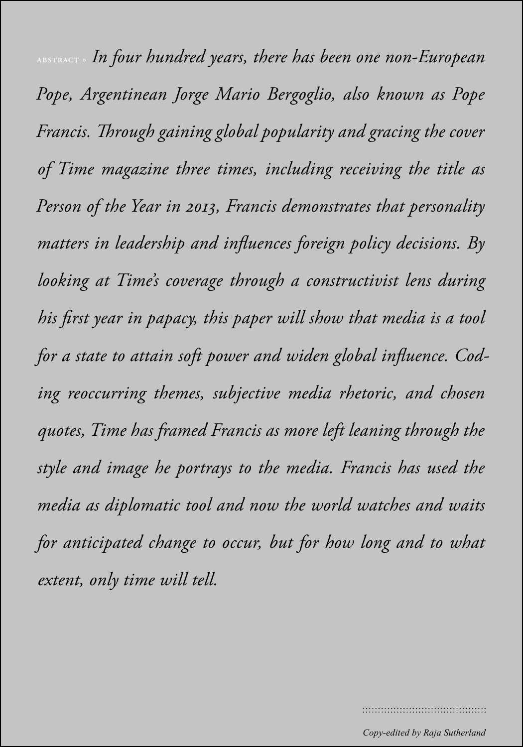*Volume 34 / Spring 2015 | 50* abstract » *In four hundred years, there has been one non-European Pope, Argentinean Jorge Mario Bergoglio, also known as Pope Francis. Through gaining global popularity and gracing the cover of Time magazine three times, including receiving the title as Person of the Year in 2013, Francis demonstrates that personality matters in leadership and influences foreign policy decisions. By looking at Time's coverage through a constructivist lens during his first year in papacy, this paper will show that media is a tool for a state to attain soft power and widen global influence. Coding reoccurring themes, subjective media rhetoric, and chosen quotes, Time has framed Francis as more left leaning through the style and image he portrays to the media. Francis has used the media as diplomatic tool and now the world watches and waits for anticipated change to occur, but for how long and to what extent, only time will tell.*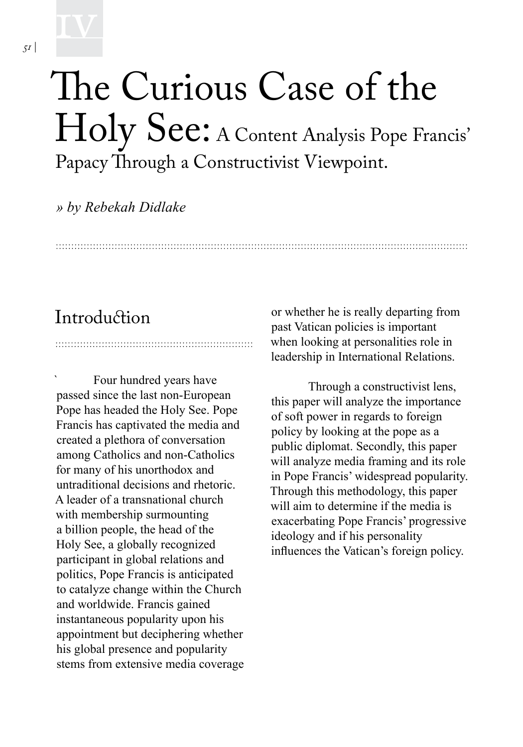## The Curious Case of the Holy See: A Content Analysis Pope Francis' Papacy Through a Constructivist Viewpoint.

*» by Rebekah Didlake*

## **Introduction**

Four hundred years have passed since the last non-European Pope has headed the Holy See. Pope Francis has captivated the media and created a plethora of conversation among Catholics and non-Catholics for many of his unorthodox and untraditional decisions and rhetoric. A leader of a transnational church with membership surmounting a billion people, the head of the Holy See, a globally recognized participant in global relations and politics, Pope Francis is anticipated to catalyze change within the Church and worldwide. Francis gained instantaneous popularity upon his appointment but deciphering whether his global presence and popularity stems from extensive media coverage or whether he is really departing from past Vatican policies is important when looking at personalities role in leadership in International Relations.

Through a constructivist lens, this paper will analyze the importance of soft power in regards to foreign policy by looking at the pope as a public diplomat. Secondly, this paper will analyze media framing and its role in Pope Francis' widespread popularity. Through this methodology, this paper will aim to determine if the media is exacerbating Pope Francis' progressive ideology and if his personality influences the Vatican's foreign policy.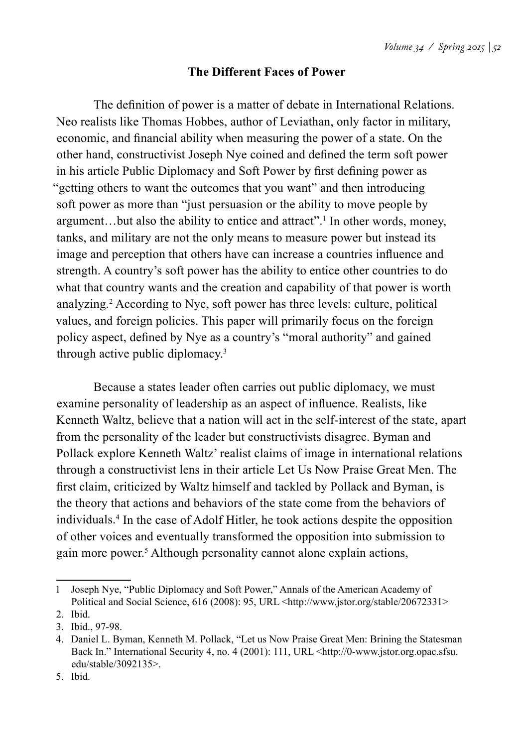#### **The Different Faces of Power**

The definition of power is a matter of debate in International Relations. Neo realists like Thomas Hobbes, author of Leviathan, only factor in military, economic, and financial ability when measuring the power of a state. On the other hand, constructivist Joseph Nye coined and defined the term soft power in his article Public Diplomacy and Soft Power by first defining power as "getting others to want the outcomes that you want" and then introducing soft power as more than "just persuasion or the ability to move people by argument...but also the ability to entice and attract".<sup>1</sup> In other words, money, tanks, and military are not the only means to measure power but instead its image and perception that others have can increase a countries influence and strength. A country's soft power has the ability to entice other countries to do what that country wants and the creation and capability of that power is worth analyzing.2 According to Nye, soft power has three levels: culture, political values, and foreign policies. This paper will primarily focus on the foreign policy aspect, defined by Nye as a country's "moral authority" and gained through active public diplomacy.3

 Because a states leader often carries out public diplomacy, we must examine personality of leadership as an aspect of influence. Realists, like Kenneth Waltz, believe that a nation will act in the self-interest of the state, apart from the personality of the leader but constructivists disagree. Byman and Pollack explore Kenneth Waltz' realist claims of image in international relations through a constructivist lens in their article Let Us Now Praise Great Men. The first claim, criticized by Waltz himself and tackled by Pollack and Byman, is the theory that actions and behaviors of the state come from the behaviors of individuals.4 In the case of Adolf Hitler, he took actions despite the opposition of other voices and eventually transformed the opposition into submission to gain more power.<sup>5</sup> Although personality cannot alone explain actions,

<sup>1</sup> Joseph Nye, "Public Diplomacy and Soft Power," Annals of the American Academy of Political and Social Science, 616 (2008): 95, URL <http://www.jstor.org/stable/20672331>

<sup>2.</sup> Ibid.

<sup>3.</sup> Ibid., 97-98.

<sup>4.</sup> Daniel L. Byman, Kenneth M. Pollack, "Let us Now Praise Great Men: Brining the Statesman Back In." International Security 4, no. 4 (2001): 111, URL <http://0-www.jstor.org.opac.sfsu. edu/stable/3092135>.

<sup>5.</sup> Ibid.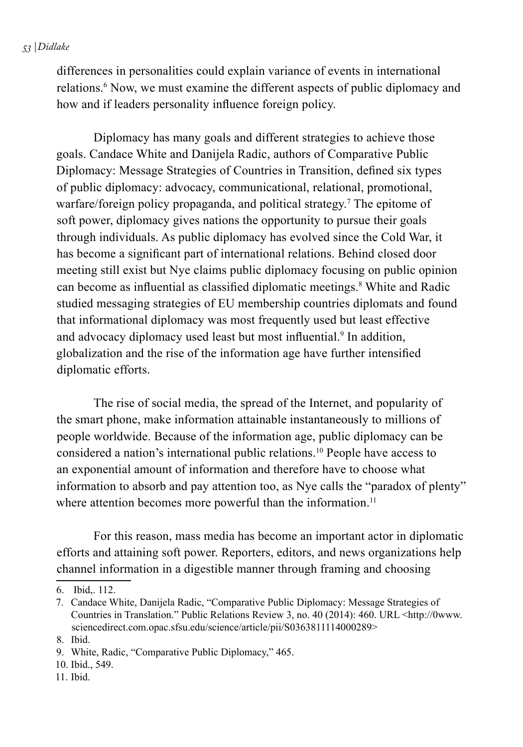#### *53 | Didlake*

differences in personalities could explain variance of events in international relations.<sup>6</sup> Now, we must examine the different aspects of public diplomacy and how and if leaders personality influence foreign policy.

 Diplomacy has many goals and different strategies to achieve those goals. Candace White and Danijela Radic, authors of Comparative Public Diplomacy: Message Strategies of Countries in Transition, defined six types of public diplomacy: advocacy, communicational, relational, promotional, warfare/foreign policy propaganda, and political strategy.<sup>7</sup> The epitome of soft power, diplomacy gives nations the opportunity to pursue their goals through individuals. As public diplomacy has evolved since the Cold War, it has become a significant part of international relations. Behind closed door meeting still exist but Nye claims public diplomacy focusing on public opinion can become as influential as classified diplomatic meetings.<sup>8</sup> White and Radic studied messaging strategies of EU membership countries diplomats and found that informational diplomacy was most frequently used but least effective and advocacy diplomacy used least but most influential.<sup>9</sup> In addition, globalization and the rise of the information age have further intensified diplomatic efforts.

 The rise of social media, the spread of the Internet, and popularity of the smart phone, make information attainable instantaneously to millions of people worldwide. Because of the information age, public diplomacy can be considered a nation's international public relations.10 People have access to an exponential amount of information and therefore have to choose what information to absorb and pay attention too, as Nye calls the "paradox of plenty" where attention becomes more powerful than the information.<sup>11</sup>

 For this reason, mass media has become an important actor in diplomatic efforts and attaining soft power. Reporters, editors, and news organizations help channel information in a digestible manner through framing and choosing

11. Ibid.

<sup>6.</sup> Ibid,. 112.

<sup>7.</sup> Candace White, Danijela Radic, "Comparative Public Diplomacy: Message Strategies of Countries in Translation." Public Relations Review 3, no. 40 (2014): 460. URL <http://0www. sciencedirect.com.opac.sfsu.edu/science/article/pii/S0363811114000289>

<sup>8.</sup> Ibid.

<sup>9.</sup> White, Radic, "Comparative Public Diplomacy," 465.

<sup>10.</sup> Ibid., 549.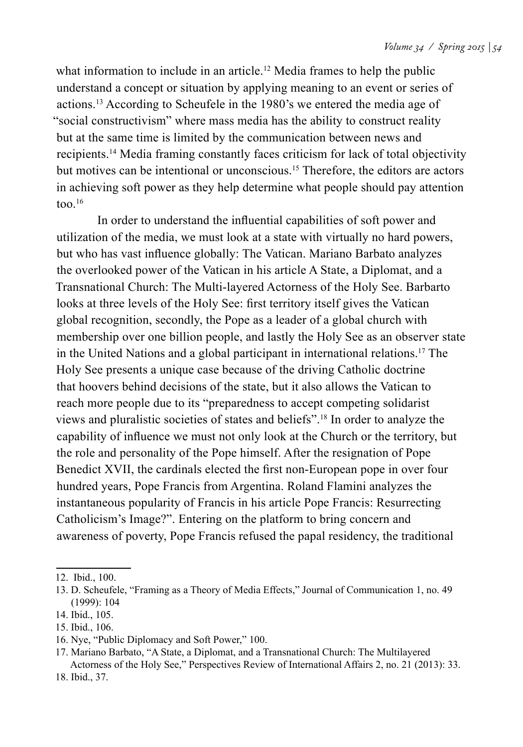what information to include in an article.<sup>12</sup> Media frames to help the public understand a concept or situation by applying meaning to an event or series of actions.13 According to Scheufele in the 1980's we entered the media age of "social constructivism" where mass media has the ability to construct reality but at the same time is limited by the communication between news and recipients.14 Media framing constantly faces criticism for lack of total objectivity but motives can be intentional or unconscious.15 Therefore, the editors are actors in achieving soft power as they help determine what people should pay attention too. $16$ 

 In order to understand the influential capabilities of soft power and utilization of the media, we must look at a state with virtually no hard powers, but who has vast influence globally: The Vatican. Mariano Barbato analyzes the overlooked power of the Vatican in his article A State, a Diplomat, and a Transnational Church: The Multi-layered Actorness of the Holy See. Barbarto looks at three levels of the Holy See: first territory itself gives the Vatican global recognition, secondly, the Pope as a leader of a global church with membership over one billion people, and lastly the Holy See as an observer state in the United Nations and a global participant in international relations.17 The Holy See presents a unique case because of the driving Catholic doctrine that hoovers behind decisions of the state, but it also allows the Vatican to reach more people due to its "preparedness to accept competing solidarist views and pluralistic societies of states and beliefs".18 In order to analyze the capability of influence we must not only look at the Church or the territory, but the role and personality of the Pope himself. After the resignation of Pope Benedict XVII, the cardinals elected the first non-European pope in over four hundred years, Pope Francis from Argentina. Roland Flamini analyzes the instantaneous popularity of Francis in his article Pope Francis: Resurrecting Catholicism's Image?". Entering on the platform to bring concern and awareness of poverty, Pope Francis refused the papal residency, the traditional

<sup>12.</sup> Ibid., 100.

<sup>13.</sup> D. Scheufele, "Framing as a Theory of Media Effects," Journal of Communication 1, no. 49 (1999): 104

<sup>14.</sup> Ibid., 105.

<sup>15.</sup> Ibid., 106.

<sup>16.</sup> Nye, "Public Diplomacy and Soft Power," 100.

<sup>17.</sup> Mariano Barbato, "A State, a Diplomat, and a Transnational Church: The Multilayered Actorness of the Holy See," Perspectives Review of International Affairs 2, no. 21 (2013): 33.

<sup>18.</sup> Ibid., 37.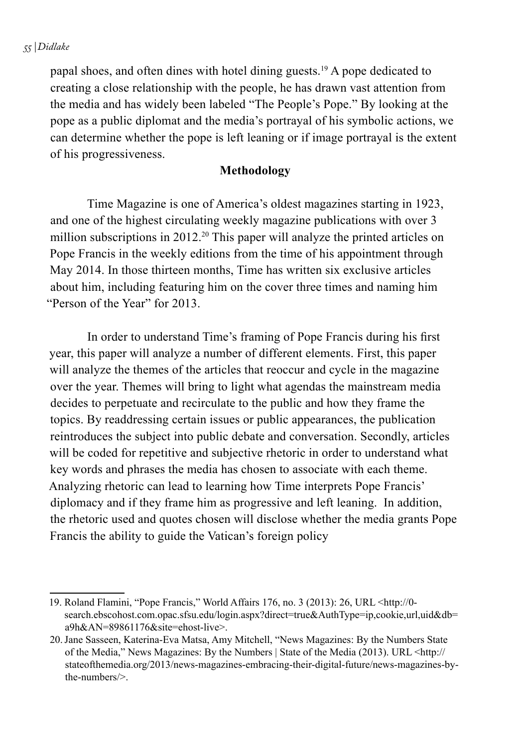#### *55 | Didlake*

papal shoes, and often dines with hotel dining guests.19 A pope dedicated to creating a close relationship with the people, he has drawn vast attention from the media and has widely been labeled "The People's Pope." By looking at the pope as a public diplomat and the media's portrayal of his symbolic actions, we can determine whether the pope is left leaning or if image portrayal is the extent of his progressiveness.

#### **Methodology**

 Time Magazine is one of America's oldest magazines starting in 1923, and one of the highest circulating weekly magazine publications with over 3 million subscriptions in 2012.<sup>20</sup> This paper will analyze the printed articles on Pope Francis in the weekly editions from the time of his appointment through May 2014. In those thirteen months, Time has written six exclusive articles about him, including featuring him on the cover three times and naming him "Person of the Year" for 2013.

In order to understand Time's framing of Pope Francis during his first year, this paper will analyze a number of different elements. First, this paper will analyze the themes of the articles that reoccur and cycle in the magazine over the year. Themes will bring to light what agendas the mainstream media decides to perpetuate and recirculate to the public and how they frame the topics. By readdressing certain issues or public appearances, the publication reintroduces the subject into public debate and conversation. Secondly, articles will be coded for repetitive and subjective rhetoric in order to understand what key words and phrases the media has chosen to associate with each theme. Analyzing rhetoric can lead to learning how Time interprets Pope Francis' diplomacy and if they frame him as progressive and left leaning. In addition, the rhetoric used and quotes chosen will disclose whether the media grants Pope Francis the ability to guide the Vatican's foreign policy

<sup>19.</sup> Roland Flamini, "Pope Francis," World Affairs 176, no. 3 (2013): 26, URL <http://0 search.ebscohost.com.opac.sfsu.edu/login.aspx?direct=true&AuthType=ip,cookie,url,uid&db= a9h&AN=89861176&site=ehost-live>.

<sup>20.</sup>Jane Sasseen, Katerina-Eva Matsa, Amy Mitchell, "News Magazines: By the Numbers State of the Media," News Magazines: By the Numbers | State of the Media (2013). URL <http:// stateofthemedia.org/2013/news-magazines-embracing-their-digital-future/news-magazines-bythe-numbers/>.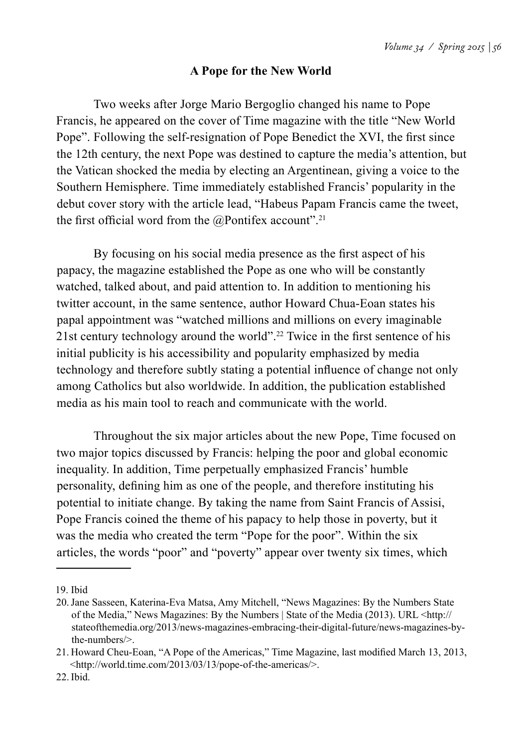#### **A Pope for the New World**

 Two weeks after Jorge Mario Bergoglio changed his name to Pope Francis, he appeared on the cover of Time magazine with the title "New World Pope". Following the self-resignation of Pope Benedict the XVI, the first since the 12th century, the next Pope was destined to capture the media's attention, but the Vatican shocked the media by electing an Argentinean, giving a voice to the Southern Hemisphere. Time immediately established Francis' popularity in the debut cover story with the article lead, "Habeus Papam Francis came the tweet, the first official word from the  $@$ Pontifex account".<sup>21</sup>

By focusing on his social media presence as the first aspect of his papacy, the magazine established the Pope as one who will be constantly watched, talked about, and paid attention to. In addition to mentioning his twitter account, in the same sentence, author Howard Chua-Eoan states his papal appointment was "watched millions and millions on every imaginable 21st century technology around the world".22 Twice in the first sentence of his initial publicity is his accessibility and popularity emphasized by media technology and therefore subtly stating a potential influence of change not only among Catholics but also worldwide. In addition, the publication established media as his main tool to reach and communicate with the world.

 Throughout the six major articles about the new Pope, Time focused on two major topics discussed by Francis: helping the poor and global economic inequality. In addition, Time perpetually emphasized Francis' humble personality, defining him as one of the people, and therefore instituting his potential to initiate change. By taking the name from Saint Francis of Assisi, Pope Francis coined the theme of his papacy to help those in poverty, but it was the media who created the term "Pope for the poor". Within the six articles, the words "poor" and "poverty" appear over twenty six times, which

<sup>19.</sup> Ibid

<sup>20.</sup>Jane Sasseen, Katerina-Eva Matsa, Amy Mitchell, "News Magazines: By the Numbers State of the Media," News Magazines: By the Numbers | State of the Media (2013). URL <http:// stateofthemedia.org/2013/news-magazines-embracing-their-digital-future/news-magazines-bythe-numbers/>.

<sup>21.</sup> Howard Cheu-Eoan, "A Pope of the Americas," Time Magazine, last modified March 13, 2013, <http://world.time.com/2013/03/13/pope-of-the-americas/>.

<sup>22.</sup>Ibid.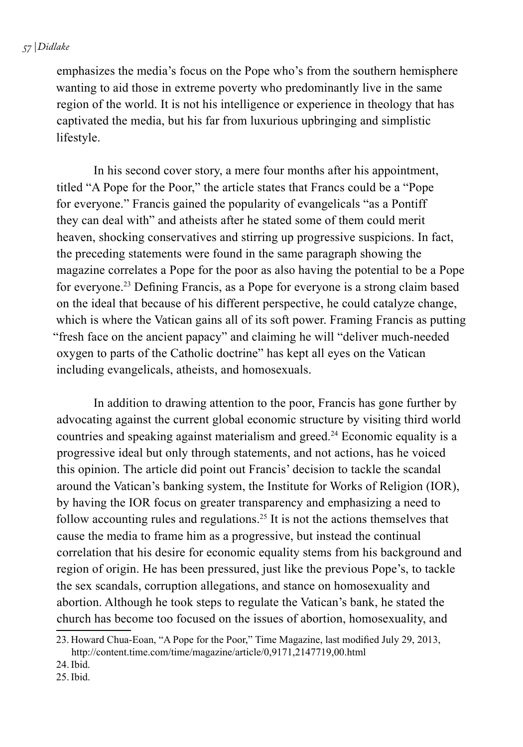emphasizes the media's focus on the Pope who's from the southern hemisphere wanting to aid those in extreme poverty who predominantly live in the same region of the world. It is not his intelligence or experience in theology that has captivated the media, but his far from luxurious upbringing and simplistic lifestyle.

 In his second cover story, a mere four months after his appointment, titled "A Pope for the Poor," the article states that Francs could be a "Pope for everyone." Francis gained the popularity of evangelicals "as a Pontiff they can deal with" and atheists after he stated some of them could merit heaven, shocking conservatives and stirring up progressive suspicions. In fact, the preceding statements were found in the same paragraph showing the magazine correlates a Pope for the poor as also having the potential to be a Pope for everyone.23 Defining Francis, as a Pope for everyone is a strong claim based on the ideal that because of his different perspective, he could catalyze change, which is where the Vatican gains all of its soft power. Framing Francis as putting "fresh face on the ancient papacy" and claiming he will "deliver much-needed oxygen to parts of the Catholic doctrine" has kept all eyes on the Vatican including evangelicals, atheists, and homosexuals.

 In addition to drawing attention to the poor, Francis has gone further by advocating against the current global economic structure by visiting third world countries and speaking against materialism and greed.<sup>24</sup> Economic equality is a progressive ideal but only through statements, and not actions, has he voiced this opinion. The article did point out Francis' decision to tackle the scandal around the Vatican's banking system, the Institute for Works of Religion (IOR), by having the IOR focus on greater transparency and emphasizing a need to follow accounting rules and regulations.25 It is not the actions themselves that cause the media to frame him as a progressive, but instead the continual correlation that his desire for economic equality stems from his background and region of origin. He has been pressured, just like the previous Pope's, to tackle the sex scandals, corruption allegations, and stance on homosexuality and abortion. Although he took steps to regulate the Vatican's bank, he stated the church has become too focused on the issues of abortion, homosexuality, and

- 24.Ibid.
- 25.Ibid.

<sup>23.</sup> Howard Chua-Eoan, "A Pope for the Poor," Time Magazine, last modified July 29, 2013, http://content.time.com/time/magazine/article/0,9171,2147719,00.html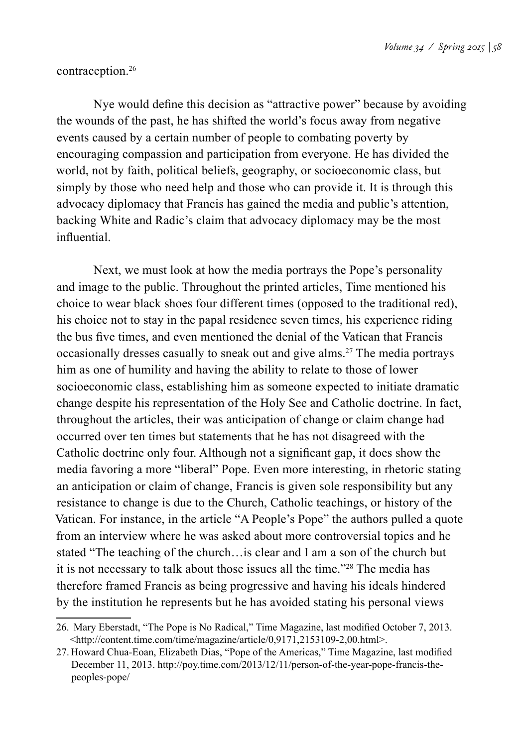#### contraception.26

Nye would define this decision as "attractive power" because by avoiding the wounds of the past, he has shifted the world's focus away from negative events caused by a certain number of people to combating poverty by encouraging compassion and participation from everyone. He has divided the world, not by faith, political beliefs, geography, or socioeconomic class, but simply by those who need help and those who can provide it. It is through this advocacy diplomacy that Francis has gained the media and public's attention, backing White and Radic's claim that advocacy diplomacy may be the most influential.

 Next, we must look at how the media portrays the Pope's personality and image to the public. Throughout the printed articles, Time mentioned his choice to wear black shoes four different times (opposed to the traditional red), his choice not to stay in the papal residence seven times, his experience riding the bus five times, and even mentioned the denial of the Vatican that Francis occasionally dresses casually to sneak out and give alms.27 The media portrays him as one of humility and having the ability to relate to those of lower socioeconomic class, establishing him as someone expected to initiate dramatic change despite his representation of the Holy See and Catholic doctrine. In fact, throughout the articles, their was anticipation of change or claim change had occurred over ten times but statements that he has not disagreed with the Catholic doctrine only four. Although not a significant gap, it does show the media favoring a more "liberal" Pope. Even more interesting, in rhetoric stating an anticipation or claim of change, Francis is given sole responsibility but any resistance to change is due to the Church, Catholic teachings, or history of the Vatican. For instance, in the article "A People's Pope" the authors pulled a quote from an interview where he was asked about more controversial topics and he stated "The teaching of the church…is clear and I am a son of the church but it is not necessary to talk about those issues all the time."28 The media has therefore framed Francis as being progressive and having his ideals hindered by the institution he represents but he has avoided stating his personal views

<sup>26.</sup> Mary Eberstadt, "The Pope is No Radical," Time Magazine, last modified October 7, 2013. <http://content.time.com/time/magazine/article/0,9171,2153109-2,00.html>.

<sup>27.</sup> Howard Chua-Eoan, Elizabeth Dias, "Pope of the Americas," Time Magazine, last modified December 11, 2013. http://poy.time.com/2013/12/11/person-of-the-year-pope-francis-thepeoples-pope/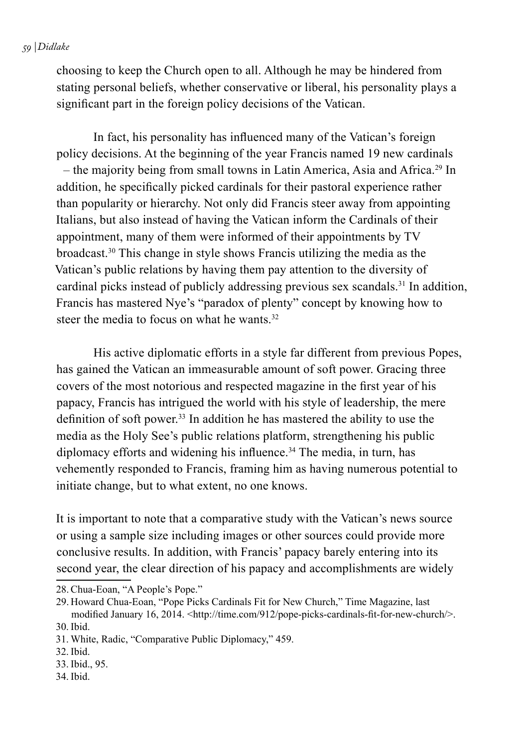#### *59 | Didlake*

choosing to keep the Church open to all. Although he may be hindered from stating personal beliefs, whether conservative or liberal, his personality plays a significant part in the foreign policy decisions of the Vatican.

In fact, his personality has influenced many of the Vatican's foreign policy decisions. At the beginning of the year Francis named 19 new cardinals – the majority being from small towns in Latin America, Asia and Africa.29 In addition, he specifically picked cardinals for their pastoral experience rather than popularity or hierarchy. Not only did Francis steer away from appointing Italians, but also instead of having the Vatican inform the Cardinals of their appointment, many of them were informed of their appointments by TV broadcast.30 This change in style shows Francis utilizing the media as the Vatican's public relations by having them pay attention to the diversity of cardinal picks instead of publicly addressing previous sex scandals.31 In addition, Francis has mastered Nye's "paradox of plenty" concept by knowing how to steer the media to focus on what he wants.<sup>32</sup>

 His active diplomatic efforts in a style far different from previous Popes, has gained the Vatican an immeasurable amount of soft power. Gracing three covers of the most notorious and respected magazine in the first year of his papacy, Francis has intrigued the world with his style of leadership, the mere definition of soft power.<sup>33</sup> In addition he has mastered the ability to use the media as the Holy See's public relations platform, strengthening his public diplomacy efforts and widening his influence.<sup>34</sup> The media, in turn, has vehemently responded to Francis, framing him as having numerous potential to initiate change, but to what extent, no one knows.

It is important to note that a comparative study with the Vatican's news source or using a sample size including images or other sources could provide more conclusive results. In addition, with Francis' papacy barely entering into its second year, the clear direction of his papacy and accomplishments are widely

- 33. Ibid., 95.
- 34. Ibid.

<sup>28.</sup>Chua-Eoan, "A People's Pope."

<sup>29.</sup> Howard Chua-Eoan, "Pope Picks Cardinals Fit for New Church," Time Magazine, last modified January 16, 2014. <http://time.com/912/pope-picks-cardinals-fit-for-new-church/>. 30. Ibid.

<sup>31.</sup> White, Radic, "Comparative Public Diplomacy," 459.

<sup>32.</sup> Ibid.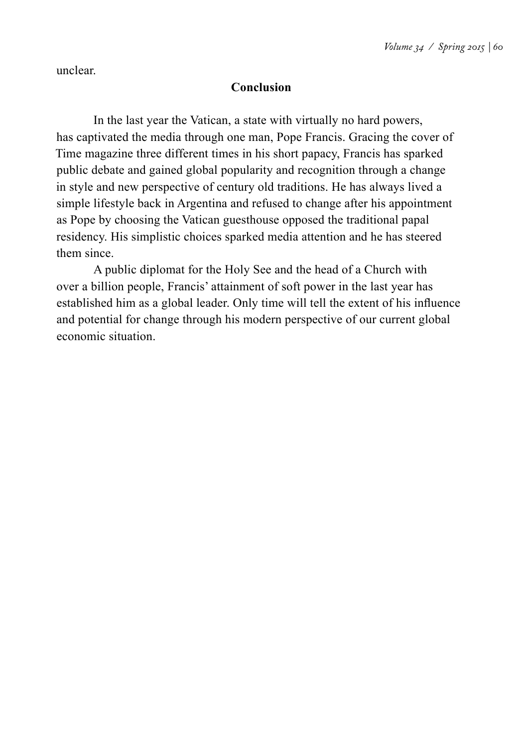unclear.

#### **Conclusion**

 In the last year the Vatican, a state with virtually no hard powers, has captivated the media through one man, Pope Francis. Gracing the cover of Time magazine three different times in his short papacy, Francis has sparked public debate and gained global popularity and recognition through a change in style and new perspective of century old traditions. He has always lived a simple lifestyle back in Argentina and refused to change after his appointment as Pope by choosing the Vatican guesthouse opposed the traditional papal residency. His simplistic choices sparked media attention and he has steered them since.

 A public diplomat for the Holy See and the head of a Church with over a billion people, Francis' attainment of soft power in the last year has established him as a global leader. Only time will tell the extent of his influence and potential for change through his modern perspective of our current global economic situation.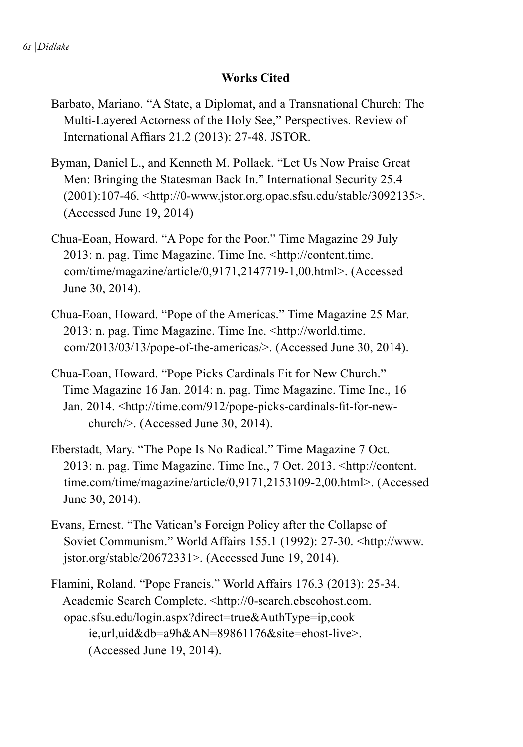#### **Works Cited**

- Barbato, Mariano. "A State, a Diplomat, and a Transnational Church: The Multi-Layered Actorness of the Holy See," Perspectives. Review of International Affiars 21.2 (2013): 27-48. JSTOR.
- Byman, Daniel L., and Kenneth M. Pollack. "Let Us Now Praise Great Men: Bringing the Statesman Back In." International Security 25.4 (2001):107-46. <http://0-www.jstor.org.opac.sfsu.edu/stable/3092135>. (Accessed June 19, 2014)
- Chua-Eoan, Howard. "A Pope for the Poor." Time Magazine 29 July 2013: n. pag. Time Magazine. Time Inc. <http://content.time. com/time/magazine/article/0,9171,2147719-1,00.html>. (Accessed June 30, 2014).
- Chua-Eoan, Howard. "Pope of the Americas." Time Magazine 25 Mar. 2013: n. pag. Time Magazine. Time Inc. <http://world.time. com/2013/03/13/pope-of-the-americas/>. (Accessed June 30, 2014).
- Chua-Eoan, Howard. "Pope Picks Cardinals Fit for New Church." Time Magazine 16 Jan. 2014: n. pag. Time Magazine. Time Inc., 16 Jan. 2014. <http://time.com/912/pope-picks-cardinals-fit-for-newchurch/>. (Accessed June 30, 2014).
- Eberstadt, Mary. "The Pope Is No Radical." Time Magazine 7 Oct. 2013: n. pag. Time Magazine. Time Inc., 7 Oct. 2013. <http://content. time.com/time/magazine/article/0,9171,2153109-2,00.html>. (Accessed June 30, 2014).
- Evans, Ernest. "The Vatican's Foreign Policy after the Collapse of Soviet Communism." World Affairs 155.1 (1992): 27-30. <http://www. jstor.org/stable/20672331>. (Accessed June 19, 2014).
- Flamini, Roland. "Pope Francis." World Affairs 176.3 (2013): 25-34. Academic Search Complete. <http://0-search.ebscohost.com. opac.sfsu.edu/login.aspx?direct=true&AuthType=ip,cook ie,url,uid&db=a9h&AN=89861176&site=ehost-live>. (Accessed June 19, 2014).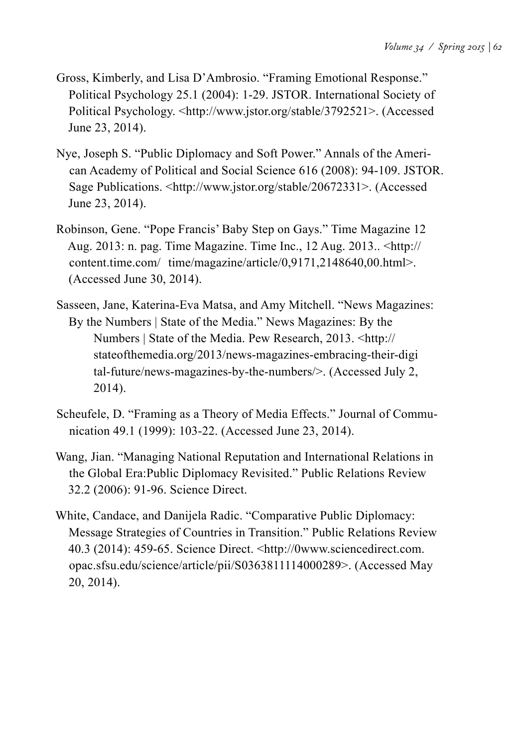- Gross, Kimberly, and Lisa D'Ambrosio. "Framing Emotional Response." Political Psychology 25.1 (2004): 1-29. JSTOR. International Society of Political Psychology. <http://www.jstor.org/stable/3792521>. (Accessed June 23, 2014).
- Nye, Joseph S. "Public Diplomacy and Soft Power." Annals of the American Academy of Political and Social Science 616 (2008): 94-109. JSTOR. Sage Publications. <http://www.jstor.org/stable/20672331>. (Accessed June 23, 2014).
- Robinson, Gene. "Pope Francis' Baby Step on Gays." Time Magazine 12 Aug. 2013: n. pag. Time Magazine. Time Inc., 12 Aug. 2013.. <http:// content.time.com/ time/magazine/article/0,9171,2148640,00.html>. (Accessed June 30, 2014).
- Sasseen, Jane, Katerina-Eva Matsa, and Amy Mitchell. "News Magazines: By the Numbers | State of the Media." News Magazines: By the Numbers | State of the Media. Pew Research, 2013. <http:// stateofthemedia.org/2013/news-magazines-embracing-their-digi tal-future/news-magazines-by-the-numbers/>. (Accessed July 2, 2014).
- Scheufele, D. "Framing as a Theory of Media Effects." Journal of Communication 49.1 (1999): 103-22. (Accessed June 23, 2014).
- Wang, Jian. "Managing National Reputation and International Relations in the Global Era:Public Diplomacy Revisited." Public Relations Review 32.2 (2006): 91-96. Science Direct.
- White, Candace, and Danijela Radic. "Comparative Public Diplomacy: Message Strategies of Countries in Transition." Public Relations Review 40.3 (2014): 459-65. Science Direct. <http://0www.sciencedirect.com. opac.sfsu.edu/science/article/pii/S0363811114000289>. (Accessed May 20, 2014).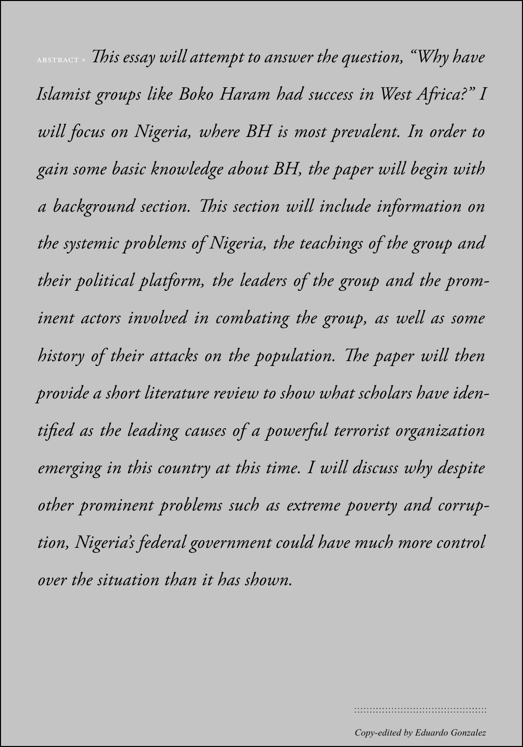*Volume 34 / Spring 2015 | 64* abstract » *This essay will attempt to answer the question, "Why have Islamist groups like Boko Haram had success in West Africa?" I will focus on Nigeria, where BH is most prevalent. In order to gain some basic knowledge about BH, the paper will begin with a background section. This section will include information on the systemic problems of Nigeria, the teachings of the group and their political platform, the leaders of the group and the prominent actors involved in combating the group, as well as some history of their attacks on the population. The paper will then provide a short literature review to show what scholars have identified as the leading causes of a powerful terrorist organization emerging in this country at this time. I will discuss why despite other prominent problems such as extreme poverty and corruption, Nigeria's federal government could have much more control over the situation than it has shown.*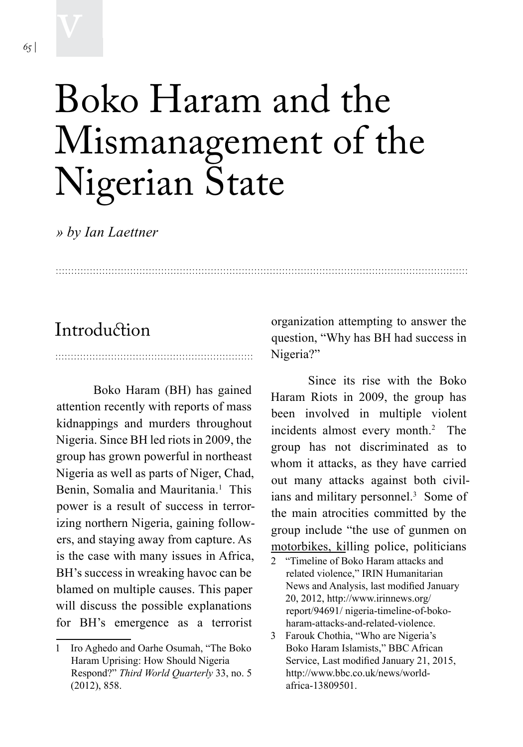# Boko Haram and the Mismanagement of the Nigerian State

*» by Ian Laettner*

### **Introduction**

Boko Haram (BH) has gained attention recently with reports of mass kidnappings and murders throughout Nigeria. Since BH led riots in 2009, the group has grown powerful in northeast Nigeria as well as parts of Niger, Chad, Benin, Somalia and Mauritania.<sup>1</sup> This power is a result of success in terrorizing northern Nigeria, gaining followers, and staying away from capture. As is the case with many issues in Africa, BH's success in wreaking havoc can be blamed on multiple causes. This paper will discuss the possible explanations for BH's emergence as a terrorist

organization attempting to answer the question, "Why has BH had success in Nigeria?"

Since its rise with the Boko Haram Riots in 2009, the group has been involved in multiple violent incidents almost every month.2 The group has not discriminated as to whom it attacks, as they have carried out many attacks against both civilians and military personnel.<sup>3</sup> Some of the main atrocities committed by the group include "the use of gunmen on motorbikes, killing police, politicians

<sup>1</sup> Iro Aghedo and Oarhe Osumah, "The Boko Haram Uprising: How Should Nigeria Respond?" *Third World Quarterly* 33, no. 5 (2012), 858.

<sup>2 &</sup>quot;Timeline of Boko Haram attacks and related violence," IRIN Humanitarian News and Analysis, last modified January 20, 2012, http://www.irinnews.org/ report/94691/ nigeria-timeline-of-bokoharam-attacks-and-related-violence.

<sup>3</sup> Farouk Chothia, "Who are Nigeria's Boko Haram Islamists," BBC African Service, Last modified January 21, 2015, http://www.bbc.co.uk/news/worldafrica-13809501.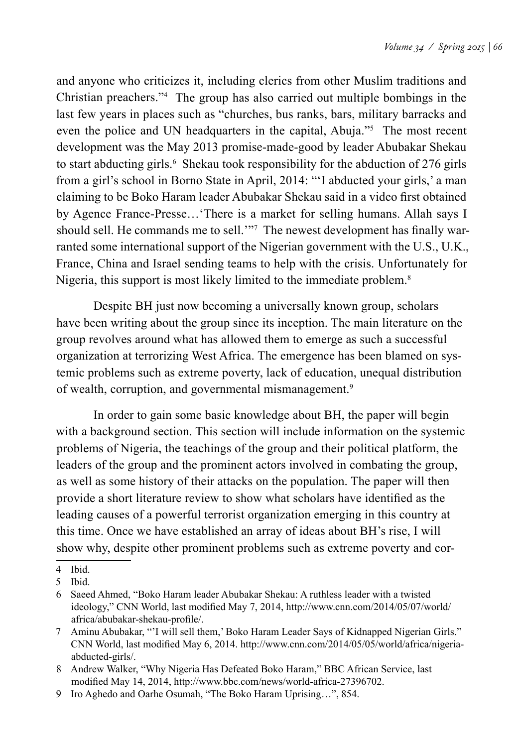and anyone who criticizes it, including clerics from other Muslim traditions and Christian preachers."4 The group has also carried out multiple bombings in the last few years in places such as "churches, bus ranks, bars, military barracks and even the police and UN headquarters in the capital, Abuja."5 The most recent development was the May 2013 promise-made-good by leader Abubakar Shekau to start abducting girls.<sup>6</sup> Shekau took responsibility for the abduction of 276 girls from a girl's school in Borno State in April, 2014: "'I abducted your girls,' a man claiming to be Boko Haram leader Abubakar Shekau said in a video first obtained by Agence France-Presse…'There is a market for selling humans. Allah says I should sell. He commands me to sell.<sup>2077</sup> The newest development has finally warranted some international support of the Nigerian government with the U.S., U.K., France, China and Israel sending teams to help with the crisis. Unfortunately for Nigeria, this support is most likely limited to the immediate problem.<sup>8</sup>

Despite BH just now becoming a universally known group, scholars have been writing about the group since its inception. The main literature on the group revolves around what has allowed them to emerge as such a successful organization at terrorizing West Africa. The emergence has been blamed on systemic problems such as extreme poverty, lack of education, unequal distribution of wealth, corruption, and governmental mismanagement.<sup>9</sup>

In order to gain some basic knowledge about BH, the paper will begin with a background section. This section will include information on the systemic problems of Nigeria, the teachings of the group and their political platform, the leaders of the group and the prominent actors involved in combating the group, as well as some history of their attacks on the population. The paper will then provide a short literature review to show what scholars have identified as the leading causes of a powerful terrorist organization emerging in this country at this time. Once we have established an array of ideas about BH's rise, I will show why, despite other prominent problems such as extreme poverty and cor-

<sup>4</sup> Ibid.

<sup>5</sup> Ibid.

<sup>6</sup> Saeed Ahmed, "Boko Haram leader Abubakar Shekau: A ruthless leader with a twisted ideology," CNN World, last modified May 7, 2014, http://www.cnn.com/2014/05/07/world/ africa/abubakar-shekau-profile/.

<sup>7</sup> Aminu Abubakar, "'I will sell them,' Boko Haram Leader Says of Kidnapped Nigerian Girls." CNN World, last modified May 6, 2014. http://www.cnn.com/2014/05/05/world/africa/nigeriaabducted-girls/.

<sup>8</sup> Andrew Walker, "Why Nigeria Has Defeated Boko Haram," BBC African Service, last modified May 14, 2014, http://www.bbc.com/news/world-africa-27396702.

<sup>9</sup> Iro Aghedo and Oarhe Osumah, "The Boko Haram Uprising…", 854.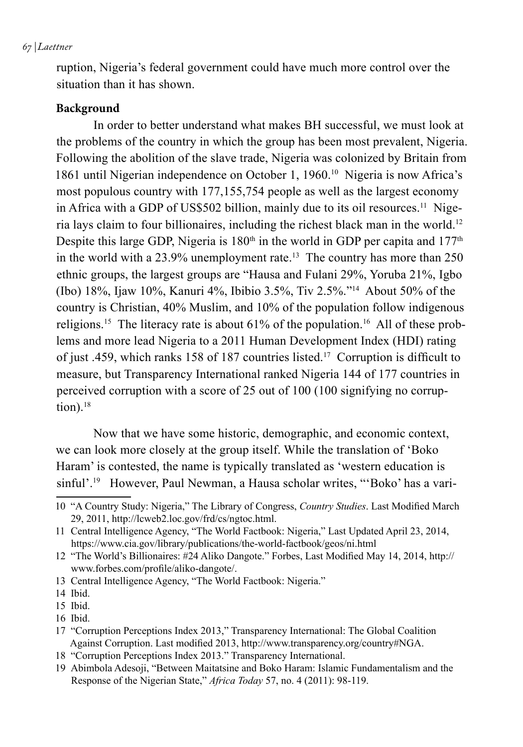#### *67 | Laettner*

ruption, Nigeria's federal government could have much more control over the situation than it has shown.

#### **Background**

In order to better understand what makes BH successful, we must look at the problems of the country in which the group has been most prevalent, Nigeria. Following the abolition of the slave trade, Nigeria was colonized by Britain from 1861 until Nigerian independence on October 1, 1960.<sup>10</sup> Nigeria is now Africa's most populous country with 177,155,754 people as well as the largest economy in Africa with a GDP of US\$502 billion, mainly due to its oil resources.<sup>11</sup> Nigeria lays claim to four billionaires, including the richest black man in the world.12 Despite this large GDP, Nigeria is  $180<sup>th</sup>$  in the world in GDP per capita and  $177<sup>th</sup>$ in the world with a  $23.9\%$  unemployment rate.<sup>13</sup> The country has more than  $250$ ethnic groups, the largest groups are "Hausa and Fulani 29%, Yoruba 21%, Igbo (Ibo) 18%, Ijaw 10%, Kanuri 4%, Ibibio 3.5%, Tiv 2.5%."14 About 50% of the country is Christian, 40% Muslim, and 10% of the population follow indigenous religions.<sup>15</sup> The literacy rate is about  $61\%$  of the population.<sup>16</sup> All of these problems and more lead Nigeria to a 2011 Human Development Index (HDI) rating of just .459, which ranks 158 of 187 countries listed.17 Corruption is difficult to measure, but Transparency International ranked Nigeria 144 of 177 countries in perceived corruption with a score of 25 out of 100 (100 signifying no corruption). $18$ 

Now that we have some historic, demographic, and economic context, we can look more closely at the group itself. While the translation of 'Boko Haram' is contested, the name is typically translated as 'western education is sinful'.<sup>19</sup> However, Paul Newman, a Hausa scholar writes, "'Boko' has a vari-

<sup>10</sup> "A Country Study: Nigeria," The Library of Congress, *Country Studies*. Last Modified March 29, 2011, http://lcweb2.loc.gov/frd/cs/ngtoc.html.

<sup>11</sup> Central Intelligence Agency, "The World Factbook: Nigeria," Last Updated April 23, 2014, https://www.cia.gov/library/publications/the-world-factbook/geos/ni.html

<sup>12</sup> "The World's Billionaires: #24 Aliko Dangote." Forbes, Last Modified May 14, 2014, http:// www.forbes.com/profile/aliko-dangote/.

<sup>13</sup> Central Intelligence Agency, "The World Factbook: Nigeria."

<sup>14</sup> Ibid.

<sup>15</sup> Ibid.

<sup>16</sup> Ibid.

<sup>17</sup> "Corruption Perceptions Index 2013," Transparency International: The Global Coalition Against Corruption. Last modified 2013, http://www.transparency.org/country#NGA.

<sup>18</sup> "Corruption Perceptions Index 2013." Transparency International.

<sup>19</sup> Abimbola Adesoji, "Between Maitatsine and Boko Haram: Islamic Fundamentalism and the Response of the Nigerian State," *Africa Today* 57, no. 4 (2011): 98-119.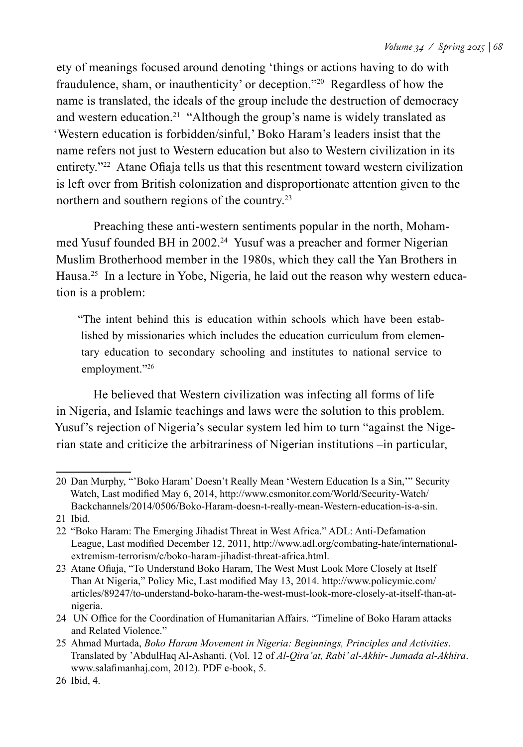ety of meanings focused around denoting 'things or actions having to do with fraudulence, sham, or inauthenticity' or deception."20 Regardless of how the name is translated, the ideals of the group include the destruction of democracy and western education.21 "Although the group's name is widely translated as 'Western education is forbidden/sinful,' Boko Haram's leaders insist that the name refers not just to Western education but also to Western civilization in its entirety."22 Atane Ofiaja tells us that this resentment toward western civilization is left over from British colonization and disproportionate attention given to the northern and southern regions of the country.23

Preaching these anti-western sentiments popular in the north, Mohammed Yusuf founded BH in 2002.<sup>24</sup> Yusuf was a preacher and former Nigerian Muslim Brotherhood member in the 1980s, which they call the Yan Brothers in Hausa.<sup>25</sup> In a lecture in Yobe, Nigeria, he laid out the reason why western education is a problem:

"The intent behind this is education within schools which have been established by missionaries which includes the education curriculum from elementary education to secondary schooling and institutes to national service to employment."26

He believed that Western civilization was infecting all forms of life in Nigeria, and Islamic teachings and laws were the solution to this problem. Yusuf's rejection of Nigeria's secular system led him to turn "against the Nigerian state and criticize the arbitrariness of Nigerian institutions –in particular,

<sup>20</sup> Dan Murphy, "'Boko Haram' Doesn't Really Mean 'Western Education Is a Sin,'" Security Watch, Last modified May 6, 2014, http://www.csmonitor.com/World/Security-Watch/ Backchannels/2014/0506/Boko-Haram-doesn-t-really-mean-Western-education-is-a-sin.

<sup>21</sup> Ibid.

<sup>22</sup> "Boko Haram: The Emerging Jihadist Threat in West Africa." ADL: Anti-Defamation League, Last modified December 12, 2011, http://www.adl.org/combating-hate/internationalextremism-terrorism/c/boko-haram-jihadist-threat-africa.html.

<sup>23</sup> Atane Ofiaja, "To Understand Boko Haram, The West Must Look More Closely at Itself Than At Nigeria," Policy Mic, Last modified May 13, 2014. http://www.policymic.com/ articles/89247/to-understand-boko-haram-the-west-must-look-more-closely-at-itself-than-atnigeria.

<sup>24</sup> UN Office for the Coordination of Humanitarian Affairs. "Timeline of Boko Haram attacks and Related Violence."

<sup>25</sup> Ahmad Murtada, *Boko Haram Movement in Nigeria: Beginnings, Principles and Activities*. Translated by 'AbdulHaq Al-Ashanti. (Vol. 12 of *Al-Qira'at, Rabi' al-Akhir- Jumada al-Akhira*. www.salafimanhaj.com, 2012). PDF e-book, 5.

<sup>26</sup> Ibid, 4.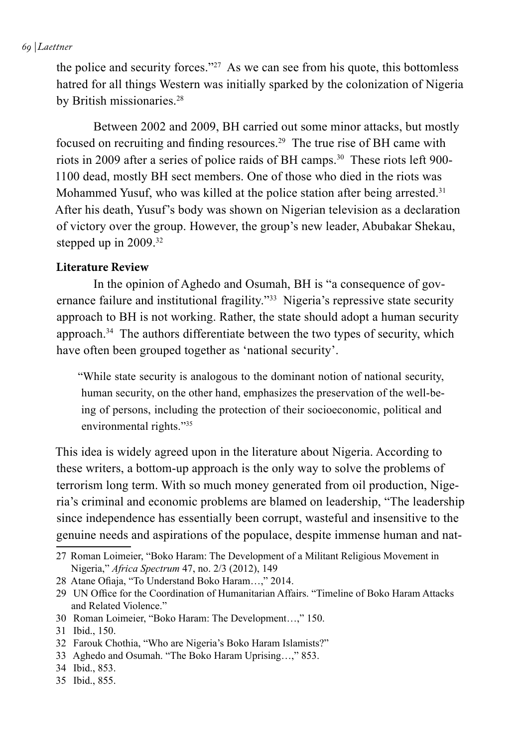#### *69 | Laettner*

the police and security forces."27 As we can see from his quote, this bottomless hatred for all things Western was initially sparked by the colonization of Nigeria by British missionaries.<sup>28</sup>

Between 2002 and 2009, BH carried out some minor attacks, but mostly focused on recruiting and finding resources.29 The true rise of BH came with riots in 2009 after a series of police raids of BH camps.<sup>30</sup> These riots left 900-1100 dead, mostly BH sect members. One of those who died in the riots was Mohammed Yusuf, who was killed at the police station after being arrested.<sup>31</sup> After his death, Yusuf's body was shown on Nigerian television as a declaration of victory over the group. However, the group's new leader, Abubakar Shekau, stepped up in 2009.<sup>32</sup>

#### **Literature Review**

In the opinion of Aghedo and Osumah, BH is "a consequence of governance failure and institutional fragility."33 Nigeria's repressive state security approach to BH is not working. Rather, the state should adopt a human security approach.34 The authors differentiate between the two types of security, which have often been grouped together as 'national security'.

"While state security is analogous to the dominant notion of national security, human security, on the other hand, emphasizes the preservation of the well-being of persons, including the protection of their socioeconomic, political and environmental rights."35

This idea is widely agreed upon in the literature about Nigeria. According to these writers, a bottom-up approach is the only way to solve the problems of terrorism long term. With so much money generated from oil production, Nigeria's criminal and economic problems are blamed on leadership, "The leadership since independence has essentially been corrupt, wasteful and insensitive to the genuine needs and aspirations of the populace, despite immense human and nat-

<sup>27</sup> Roman Loimeier, "Boko Haram: The Development of a Militant Religious Movement in Nigeria," *Africa Spectrum* 47, no. 2/3 (2012), 149

<sup>28</sup> Atane Ofiaja, "To Understand Boko Haram…," 2014.

<sup>29</sup> UN Office for the Coordination of Humanitarian Affairs. "Timeline of Boko Haram Attacks and Related Violence."

<sup>30</sup> Roman Loimeier, "Boko Haram: The Development…," 150.

<sup>31</sup> Ibid., 150.

<sup>32</sup> Farouk Chothia, "Who are Nigeria's Boko Haram Islamists?"

<sup>33</sup> Aghedo and Osumah. "The Boko Haram Uprising…," 853.

<sup>34</sup> Ibid., 853.

<sup>35</sup> Ibid., 855.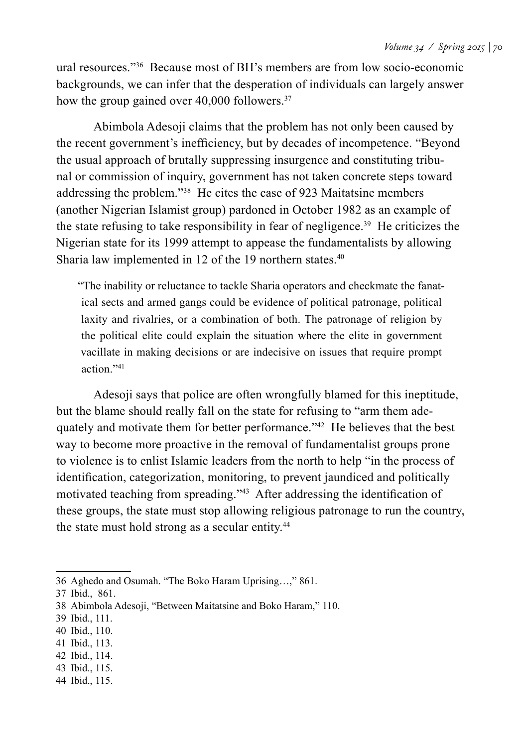ural resources."36 Because most of BH's members are from low socio-economic backgrounds, we can infer that the desperation of individuals can largely answer how the group gained over 40,000 followers.<sup>37</sup>

Abimbola Adesoji claims that the problem has not only been caused by the recent government's inefficiency, but by decades of incompetence. "Beyond the usual approach of brutally suppressing insurgence and constituting tribunal or commission of inquiry, government has not taken concrete steps toward addressing the problem."38 He cites the case of 923 Maitatsine members (another Nigerian Islamist group) pardoned in October 1982 as an example of the state refusing to take responsibility in fear of negligence.39 He criticizes the Nigerian state for its 1999 attempt to appease the fundamentalists by allowing Sharia law implemented in 12 of the 19 northern states.<sup>40</sup>

"The inability or reluctance to tackle Sharia operators and checkmate the fanatical sects and armed gangs could be evidence of political patronage, political laxity and rivalries, or a combination of both. The patronage of religion by the political elite could explain the situation where the elite in government vacillate in making decisions or are indecisive on issues that require prompt action<sup>"41</sup>

Adesoji says that police are often wrongfully blamed for this ineptitude, but the blame should really fall on the state for refusing to "arm them adequately and motivate them for better performance."42 He believes that the best way to become more proactive in the removal of fundamentalist groups prone to violence is to enlist Islamic leaders from the north to help "in the process of identification, categorization, monitoring, to prevent jaundiced and politically motivated teaching from spreading."43 After addressing the identification of these groups, the state must stop allowing religious patronage to run the country, the state must hold strong as a secular entity.<sup>44</sup>

- 41 Ibid., 113.
- 42 Ibid., 114.
- 43 Ibid., 115.
- 44 Ibid., 115.

<sup>36</sup> Aghedo and Osumah. "The Boko Haram Uprising…," 861.

<sup>37</sup> Ibid., 861.

<sup>38</sup> Abimbola Adesoji, "Between Maitatsine and Boko Haram," 110.

<sup>39</sup> Ibid., 111.

<sup>40</sup> Ibid., 110.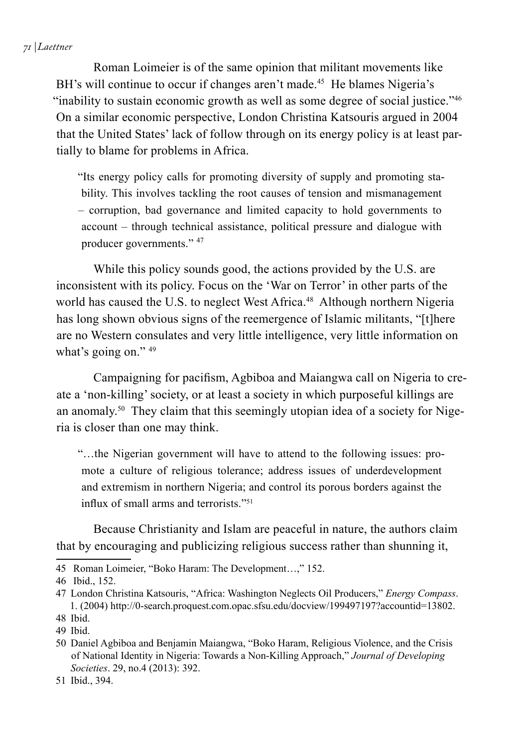Roman Loimeier is of the same opinion that militant movements like BH's will continue to occur if changes aren't made.<sup>45</sup> He blames Nigeria's "inability to sustain economic growth as well as some degree of social justice."46 On a similar economic perspective, London Christina Katsouris argued in 2004 that the United States' lack of follow through on its energy policy is at least partially to blame for problems in Africa.

"Its energy policy calls for promoting diversity of supply and promoting stability. This involves tackling the root causes of tension and mismanagement – corruption, bad governance and limited capacity to hold governments to account – through technical assistance, political pressure and dialogue with producer governments." 47

While this policy sounds good, the actions provided by the U.S. are inconsistent with its policy. Focus on the 'War on Terror' in other parts of the world has caused the U.S. to neglect West Africa.<sup>48</sup> Although northern Nigeria has long shown obvious signs of the reemergence of Islamic militants, "[t]here are no Western consulates and very little intelligence, very little information on what's going on." 49

Campaigning for pacifism, Agbiboa and Maiangwa call on Nigeria to create a 'non-killing' society, or at least a society in which purposeful killings are an anomaly.50 They claim that this seemingly utopian idea of a society for Nigeria is closer than one may think.

"…the Nigerian government will have to attend to the following issues: promote a culture of religious tolerance; address issues of underdevelopment and extremism in northern Nigeria; and control its porous borders against the influx of small arms and terrorists."<sup>51</sup>

Because Christianity and Islam are peaceful in nature, the authors claim that by encouraging and publicizing religious success rather than shunning it,

<sup>45</sup> Roman Loimeier, "Boko Haram: The Development…," 152.

<sup>46</sup> Ibid., 152.

<sup>47</sup> London Christina Katsouris, "Africa: Washington Neglects Oil Producers," *Energy Compass*. 1. (2004) http://0-search.proquest.com.opac.sfsu.edu/docview/199497197?accountid=13802.

<sup>48</sup> Ibid.

<sup>49</sup> Ibid.

<sup>50</sup> Daniel Agbiboa and Benjamin Maiangwa, "Boko Haram, Religious Violence, and the Crisis of National Identity in Nigeria: Towards a Non-Killing Approach," *Journal of Developing Societies*. 29, no.4 (2013): 392.

<sup>51</sup> Ibid., 394.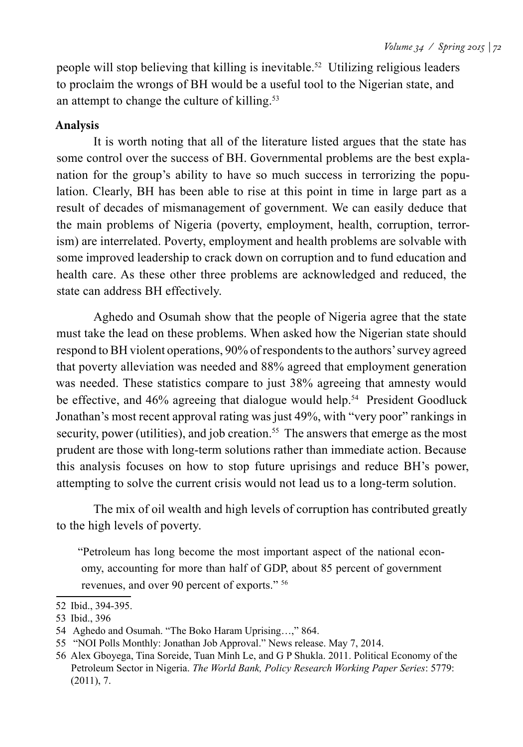people will stop believing that killing is inevitable.52 Utilizing religious leaders to proclaim the wrongs of BH would be a useful tool to the Nigerian state, and an attempt to change the culture of killing.53

#### **Analysis**

It is worth noting that all of the literature listed argues that the state has some control over the success of BH. Governmental problems are the best explanation for the group's ability to have so much success in terrorizing the population. Clearly, BH has been able to rise at this point in time in large part as a result of decades of mismanagement of government. We can easily deduce that the main problems of Nigeria (poverty, employment, health, corruption, terrorism) are interrelated. Poverty, employment and health problems are solvable with some improved leadership to crack down on corruption and to fund education and health care. As these other three problems are acknowledged and reduced, the state can address BH effectively.

Aghedo and Osumah show that the people of Nigeria agree that the state must take the lead on these problems. When asked how the Nigerian state should respond to BH violent operations, 90% of respondents to the authors' survey agreed that poverty alleviation was needed and 88% agreed that employment generation was needed. These statistics compare to just 38% agreeing that amnesty would be effective, and 46% agreeing that dialogue would help.<sup>54</sup> President Goodluck Jonathan's most recent approval rating was just 49%, with "very poor" rankings in security, power (utilities), and job creation.<sup>55</sup> The answers that emerge as the most prudent are those with long-term solutions rather than immediate action. Because this analysis focuses on how to stop future uprisings and reduce BH's power, attempting to solve the current crisis would not lead us to a long-term solution.

The mix of oil wealth and high levels of corruption has contributed greatly to the high levels of poverty.

"Petroleum has long become the most important aspect of the national economy, accounting for more than half of GDP, about 85 percent of government revenues, and over 90 percent of exports." 56

<sup>52</sup> Ibid., 394-395.

<sup>53</sup> Ibid., 396

<sup>54</sup> Aghedo and Osumah. "The Boko Haram Uprising…," 864.

<sup>55 &</sup>quot;NOI Polls Monthly: Jonathan Job Approval." News release. May 7, 2014.

<sup>56</sup> Alex Gboyega, Tina Soreide, Tuan Minh Le, and G P Shukla. 2011. Political Economy of the Petroleum Sector in Nigeria. *The World Bank, Policy Research Working Paper Series*: 5779: (2011), 7.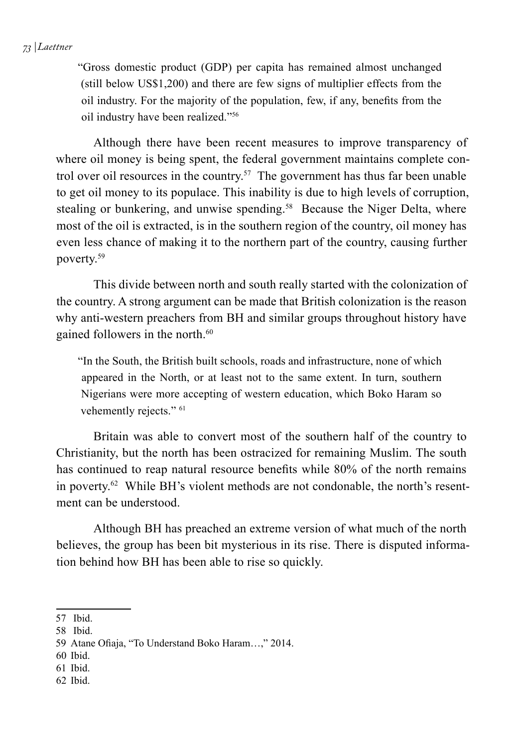#### *73 | Laettner*

"Gross domestic product (GDP) per capita has remained almost unchanged (still below US\$1,200) and there are few signs of multiplier effects from the oil industry. For the majority of the population, few, if any, benefits from the oil industry have been realized."56

Although there have been recent measures to improve transparency of where oil money is being spent, the federal government maintains complete control over oil resources in the country.<sup>57</sup> The government has thus far been unable to get oil money to its populace. This inability is due to high levels of corruption, stealing or bunkering, and unwise spending.<sup>58</sup> Because the Niger Delta, where most of the oil is extracted, is in the southern region of the country, oil money has even less chance of making it to the northern part of the country, causing further poverty.59

This divide between north and south really started with the colonization of the country. A strong argument can be made that British colonization is the reason why anti-western preachers from BH and similar groups throughout history have gained followers in the north.<sup>60</sup>

"In the South, the British built schools, roads and infrastructure, none of which appeared in the North, or at least not to the same extent. In turn, southern Nigerians were more accepting of western education, which Boko Haram so vehemently rejects." <sup>61</sup>

Britain was able to convert most of the southern half of the country to Christianity, but the north has been ostracized for remaining Muslim. The south has continued to reap natural resource benefits while 80% of the north remains in poverty.<sup>62</sup> While BH's violent methods are not condonable, the north's resentment can be understood.

Although BH has preached an extreme version of what much of the north believes, the group has been bit mysterious in its rise. There is disputed information behind how BH has been able to rise so quickly.

- 60 Ibid.
- 61 Ibid.
- 62 Ibid.

<sup>57</sup> Ibid.

<sup>58</sup> Ibid.

<sup>59</sup> Atane Ofiaja, "To Understand Boko Haram…," 2014.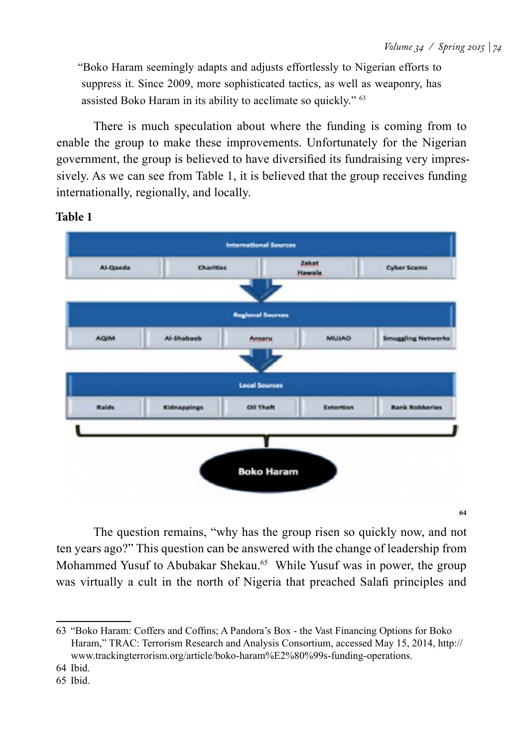"Boko Haram seemingly adapts and adjusts effortlessly to Nigerian efforts to suppress it. Since 2009, more sophisticated tactics, as well as weaponry, has assisted Boko Haram in its ability to acclimate so quickly." 63

There is much speculation about where the funding is coming from to enable the group to make these improvements. Unfortunately for the Nigerian government, the group is believed to have diversified its fundraising very impressively. As we can see from Table 1, it is believed that the group receives funding internationally, regionally, and locally.



#### **Table 1**

**64**

The question remains, "why has the group risen so quickly now, and not ten years ago?" This question can be answered with the change of leadership from Mohammed Yusuf to Abubakar Shekau.<sup>65</sup> While Yusuf was in power, the group was virtually a cult in the north of Nigeria that preached Salafi principles and

<sup>63</sup> "Boko Haram: Coffers and Coffins; A Pandora's Box - the Vast Financing Options for Boko Haram," TRAC: Terrorism Research and Analysis Consortium, accessed May 15, 2014, http:// www.trackingterrorism.org/article/boko-haram%E2%80%99s-funding-operations.

<sup>64</sup> Ibid.

<sup>65</sup> Ibid.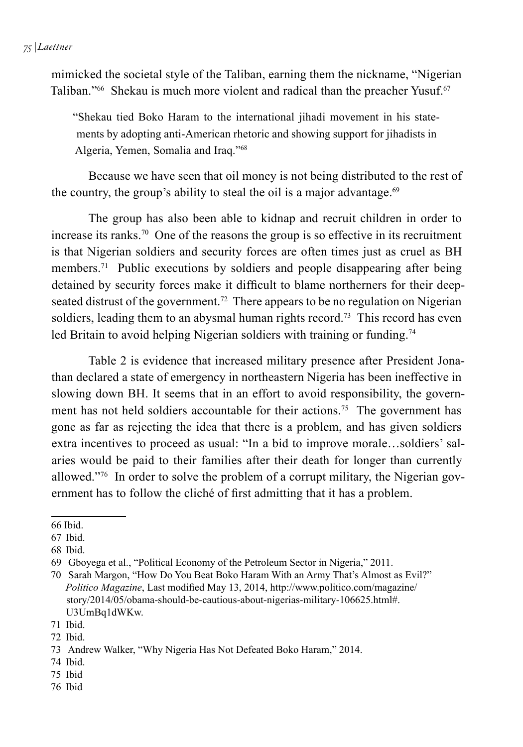#### *75 | Laettner*

mimicked the societal style of the Taliban, earning them the nickname, "Nigerian Taliban."<sup>66</sup> Shekau is much more violent and radical than the preacher Yusuf.<sup>67</sup>

"Shekau tied Boko Haram to the international jihadi movement in his statements by adopting anti-American rhetoric and showing support for jihadists in Algeria, Yemen, Somalia and Iraq."68

Because we have seen that oil money is not being distributed to the rest of the country, the group's ability to steal the oil is a major advantage.<sup>69</sup>

The group has also been able to kidnap and recruit children in order to increase its ranks.<sup>70</sup> One of the reasons the group is so effective in its recruitment is that Nigerian soldiers and security forces are often times just as cruel as BH members.<sup>71</sup> Public executions by soldiers and people disappearing after being detained by security forces make it difficult to blame northerners for their deepseated distrust of the government.<sup>72</sup> There appears to be no regulation on Nigerian soldiers, leading them to an abysmal human rights record.<sup>73</sup> This record has even led Britain to avoid helping Nigerian soldiers with training or funding.<sup>74</sup>

Table 2 is evidence that increased military presence after President Jonathan declared a state of emergency in northeastern Nigeria has been ineffective in slowing down BH. It seems that in an effort to avoid responsibility, the government has not held soldiers accountable for their actions.<sup>75</sup> The government has gone as far as rejecting the idea that there is a problem, and has given soldiers extra incentives to proceed as usual: "In a bid to improve morale…soldiers' salaries would be paid to their families after their death for longer than currently allowed."76 In order to solve the problem of a corrupt military, the Nigerian government has to follow the cliché of first admitting that it has a problem.

76 Ibid

<sup>66</sup> Ibid.

<sup>67</sup> Ibid.

<sup>68</sup> Ibid.

<sup>69</sup> Gboyega et al., "Political Economy of the Petroleum Sector in Nigeria," 2011.

<sup>70</sup> Sarah Margon, "How Do You Beat Boko Haram With an Army That's Almost as Evil?" *Politico Magazine*, Last modified May 13, 2014, http://www.politico.com/magazine/ story/2014/05/obama-should-be-cautious-about-nigerias-military-106625.html#. U3UmBq1dWKw.

<sup>71</sup> Ibid.

<sup>72</sup> Ibid.

<sup>73</sup> Andrew Walker, "Why Nigeria Has Not Defeated Boko Haram," 2014.

<sup>74</sup> Ibid.

<sup>75</sup> Ibid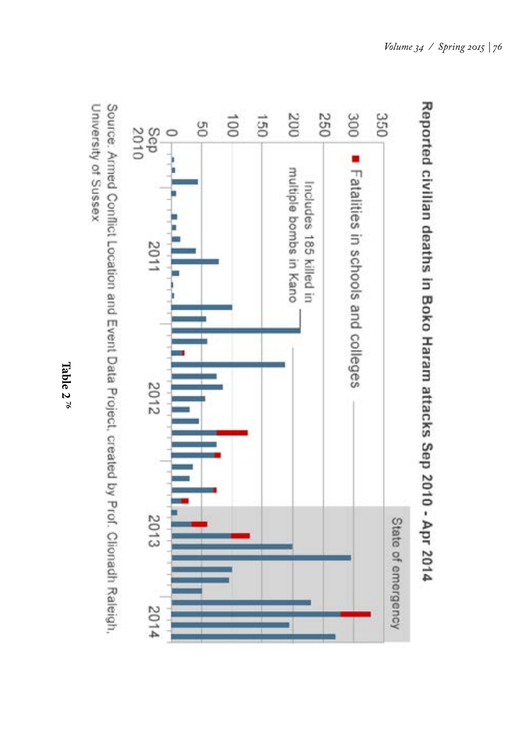



University of Sussex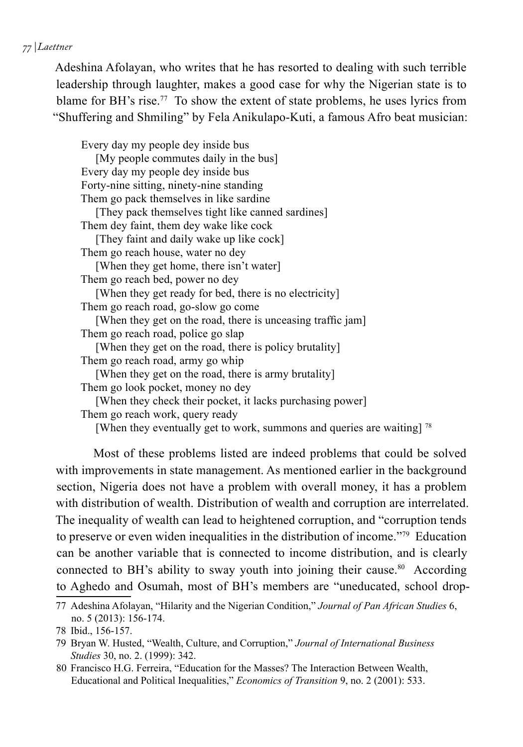#### *77 | Laettner*

Adeshina Afolayan, who writes that he has resorted to dealing with such terrible leadership through laughter, makes a good case for why the Nigerian state is to blame for BH's rise.<sup>77</sup> To show the extent of state problems, he uses lyrics from "Shuffering and Shmiling" by Fela Anikulapo-Kuti, a famous Afro beat musician:

Every day my people dey inside bus [My people commutes daily in the bus] Every day my people dey inside bus Forty-nine sitting, ninety-nine standing Them go pack themselves in like sardine [They pack themselves tight like canned sardines] Them dey faint, them dey wake like cock [They faint and daily wake up like cock] Them go reach house, water no dey [When they get home, there isn't water] Them go reach bed, power no dey [When they get ready for bed, there is no electricity] Them go reach road, go-slow go come [When they get on the road, there is unceasing traffic jam] Them go reach road, police go slap [When they get on the road, there is policy brutality] Them go reach road, army go whip [When they get on the road, there is army brutality] Them go look pocket, money no dey [When they check their pocket, it lacks purchasing power] Them go reach work, query ready [When they eventually get to work, summons and queries are waiting] <sup>78</sup>

Most of these problems listed are indeed problems that could be solved with improvements in state management. As mentioned earlier in the background section, Nigeria does not have a problem with overall money, it has a problem with distribution of wealth. Distribution of wealth and corruption are interrelated. The inequality of wealth can lead to heightened corruption, and "corruption tends to preserve or even widen inequalities in the distribution of income."79 Education can be another variable that is connected to income distribution, and is clearly connected to BH's ability to sway youth into joining their cause.<sup>80</sup> According to Aghedo and Osumah, most of BH's members are "uneducated, school drop-

<sup>77</sup> Adeshina Afolayan, "Hilarity and the Nigerian Condition," *Journal of Pan African Studies* 6, no. 5 (2013): 156-174.

<sup>78</sup> Ibid., 156-157.

<sup>79</sup> Bryan W. Husted, "Wealth, Culture, and Corruption," *Journal of International Business Studies* 30, no. 2. (1999): 342.

<sup>80</sup> Francisco H.G. Ferreira, "Education for the Masses? The Interaction Between Wealth, Educational and Political Inequalities," *Economics of Transition* 9, no. 2 (2001): 533.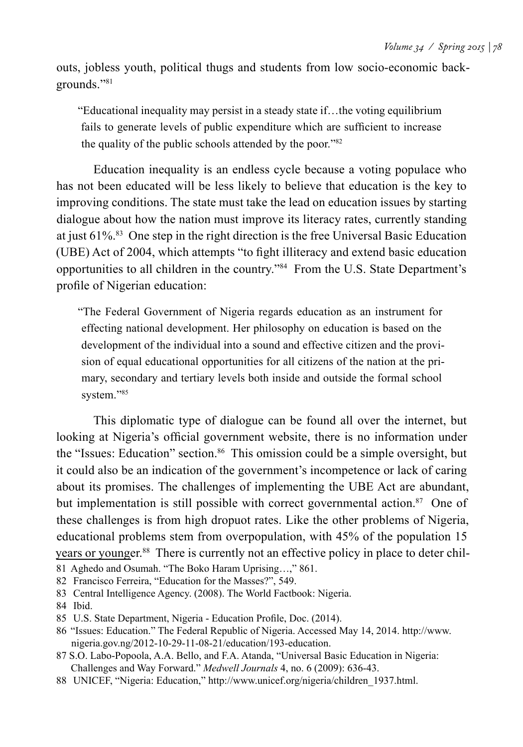outs, jobless youth, political thugs and students from low socio-economic backgrounds."81

"Educational inequality may persist in a steady state if…the voting equilibrium fails to generate levels of public expenditure which are sufficient to increase the quality of the public schools attended by the poor."82

Education inequality is an endless cycle because a voting populace who has not been educated will be less likely to believe that education is the key to improving conditions. The state must take the lead on education issues by starting dialogue about how the nation must improve its literacy rates, currently standing at just 61%.83 One step in the right direction is the free Universal Basic Education (UBE) Act of 2004, which attempts "to fight illiteracy and extend basic education opportunities to all children in the country."84 From the U.S. State Department's profile of Nigerian education:

"The Federal Government of Nigeria regards education as an instrument for effecting national development. Her philosophy on education is based on the development of the individual into a sound and effective citizen and the provision of equal educational opportunities for all citizens of the nation at the primary, secondary and tertiary levels both inside and outside the formal school system."85

This diplomatic type of dialogue can be found all over the internet, but looking at Nigeria's official government website, there is no information under the "Issues: Education" section.<sup>86</sup> This omission could be a simple oversight, but it could also be an indication of the government's incompetence or lack of caring about its promises. The challenges of implementing the UBE Act are abundant, but implementation is still possible with correct governmental action.<sup>87</sup> One of these challenges is from high dropuot rates. Like the other problems of Nigeria, educational problems stem from overpopulation, with 45% of the population 15 years or younger.<sup>88</sup> There is currently not an effective policy in place to deter chil-

81 Aghedo and Osumah. "The Boko Haram Uprising…," 861.

82 Francisco Ferreira, "Education for the Masses?", 549.

83 Central Intelligence Agency. (2008). The World Factbook: Nigeria.

84 Ibid.

- 86 "Issues: Education." The Federal Republic of Nigeria. Accessed May 14, 2014. http://www. nigeria.gov.ng/2012-10-29-11-08-21/education/193-education.
- 87 S.O. Labo-Popoola, A.A. Bello, and F.A. Atanda, "Universal Basic Education in Nigeria: Challenges and Way Forward." *Medwell Journals* 4, no. 6 (2009): 636-43.
- 88 UNICEF, "Nigeria: Education," http://www.unicef.org/nigeria/children\_1937.html.

<sup>85</sup> U.S. State Department, Nigeria - Education Profile, Doc. (2014).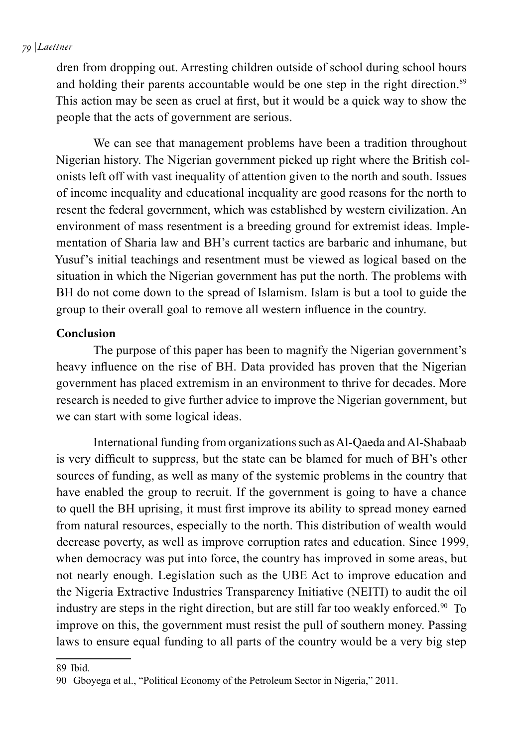#### *79 | Laettner*

dren from dropping out. Arresting children outside of school during school hours and holding their parents accountable would be one step in the right direction.<sup>89</sup> This action may be seen as cruel at first, but it would be a quick way to show the people that the acts of government are serious.

We can see that management problems have been a tradition throughout Nigerian history. The Nigerian government picked up right where the British colonists left off with vast inequality of attention given to the north and south. Issues of income inequality and educational inequality are good reasons for the north to resent the federal government, which was established by western civilization. An environment of mass resentment is a breeding ground for extremist ideas. Implementation of Sharia law and BH's current tactics are barbaric and inhumane, but Yusuf's initial teachings and resentment must be viewed as logical based on the situation in which the Nigerian government has put the north. The problems with BH do not come down to the spread of Islamism. Islam is but a tool to guide the group to their overall goal to remove all western influence in the country.

#### **Conclusion**

The purpose of this paper has been to magnify the Nigerian government's heavy influence on the rise of BH. Data provided has proven that the Nigerian government has placed extremism in an environment to thrive for decades. More research is needed to give further advice to improve the Nigerian government, but we can start with some logical ideas.

International funding from organizations such as Al-Qaeda and Al-Shabaab is very difficult to suppress, but the state can be blamed for much of BH's other sources of funding, as well as many of the systemic problems in the country that have enabled the group to recruit. If the government is going to have a chance to quell the BH uprising, it must first improve its ability to spread money earned from natural resources, especially to the north. This distribution of wealth would decrease poverty, as well as improve corruption rates and education. Since 1999, when democracy was put into force, the country has improved in some areas, but not nearly enough. Legislation such as the UBE Act to improve education and the Nigeria Extractive Industries Transparency Initiative (NEITI) to audit the oil industry are steps in the right direction, but are still far too weakly enforced.<sup>90</sup> To improve on this, the government must resist the pull of southern money. Passing laws to ensure equal funding to all parts of the country would be a very big step

<sup>89</sup> Ibid.

<sup>90</sup> Gboyega et al., "Political Economy of the Petroleum Sector in Nigeria," 2011.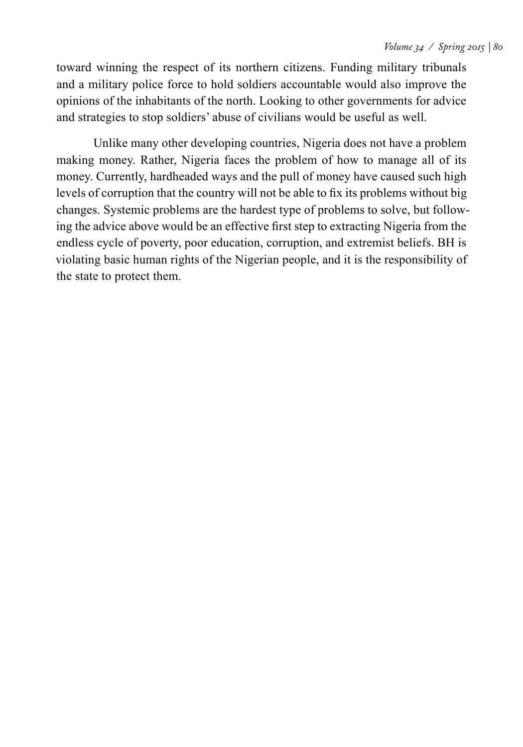toward winning the respect of its northern citizens. Funding military tribunals and a military police force to hold soldiers accountable would also improve the opinions of the inhabitants of the north. Looking to other governments for advice and strategies to stop soldiers' abuse of civilians would be useful as well.

Unlike many other developing countries, Nigeria does not have a problem making money. Rather, Nigeria faces the problem of how to manage all of its money. Currently, hardheaded ways and the pull of money have caused such high levels of corruption that the country will not be able to fix its problems without big changes. Systemic problems are the hardest type of problems to solve, but following the advice above would be an effective first step to extracting Nigeria from the endless cycle of poverty, poor education, corruption, and extremist beliefs. BH is violating basic human rights of the Nigerian people, and it is the responsibility of the state to protect them.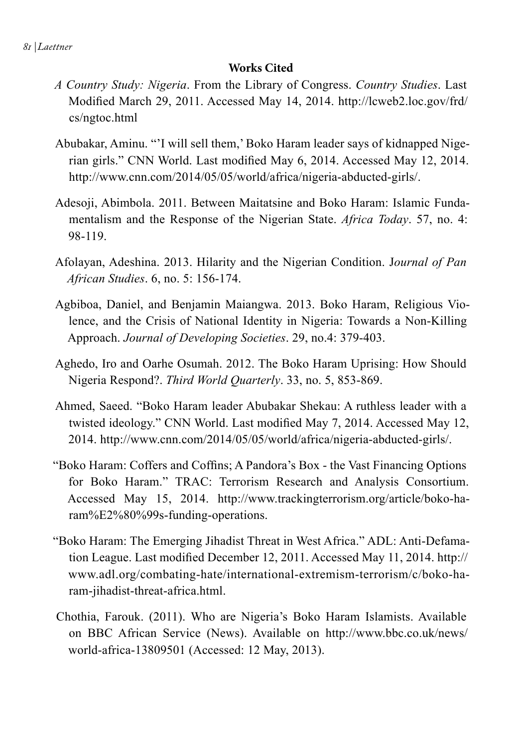#### **Works Cited**

- *A Country Study: Nigeria*. From the Library of Congress. *Country Studies*. Last Modified March 29, 2011. Accessed May 14, 2014. http://lcweb2.loc.gov/frd/ cs/ngtoc.html
- Abubakar, Aminu. "'I will sell them,' Boko Haram leader says of kidnapped Nigerian girls." CNN World. Last modified May 6, 2014. Accessed May 12, 2014. http://www.cnn.com/2014/05/05/world/africa/nigeria-abducted-girls/.
- Adesoji, Abimbola. 2011. Between Maitatsine and Boko Haram: Islamic Fundamentalism and the Response of the Nigerian State. *Africa Today*. 57, no. 4: 98-119.
- Afolayan, Adeshina. 2013. Hilarity and the Nigerian Condition. J*ournal of Pan African Studies*. 6, no. 5: 156-174.
- Agbiboa, Daniel, and Benjamin Maiangwa. 2013. Boko Haram, Religious Violence, and the Crisis of National Identity in Nigeria: Towards a Non-Killing Approach. *Journal of Developing Societies*. 29, no.4: 379-403.
- Aghedo, Iro and Oarhe Osumah. 2012. The Boko Haram Uprising: How Should Nigeria Respond?. *Third World Quarterly*. 33, no. 5, 853-869.
- Ahmed, Saeed. "Boko Haram leader Abubakar Shekau: A ruthless leader with a twisted ideology." CNN World. Last modified May 7, 2014. Accessed May 12, 2014. http://www.cnn.com/2014/05/05/world/africa/nigeria-abducted-girls/.
- "Boko Haram: Coffers and Coffins; A Pandora's Box the Vast Financing Options for Boko Haram." TRAC: Terrorism Research and Analysis Consortium. Accessed May 15, 2014. http://www.trackingterrorism.org/article/boko-haram%E2%80%99s-funding-operations.
- "Boko Haram: The Emerging Jihadist Threat in West Africa." ADL: Anti-Defamation League. Last modified December 12, 2011. Accessed May 11, 2014. http:// www.adl.org/combating-hate/international-extremism-terrorism/c/boko-haram-jihadist-threat-africa.html.
- Chothia, Farouk. (2011). Who are Nigeria's Boko Haram Islamists. Available on BBC African Service (News). Available on http://www.bbc.co.uk/news/ world-africa-13809501 (Accessed: 12 May, 2013).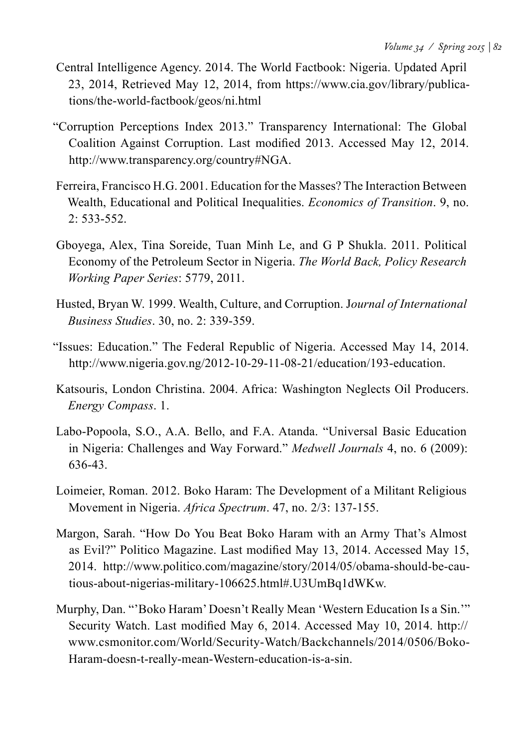- Central Intelligence Agency. 2014. The World Factbook: Nigeria. Updated April 23, 2014, Retrieved May 12, 2014, from https://www.cia.gov/library/publications/the-world-factbook/geos/ni.html
- "Corruption Perceptions Index 2013." Transparency International: The Global Coalition Against Corruption. Last modified 2013. Accessed May 12, 2014. http://www.transparency.org/country#NGA.
- Ferreira, Francisco H.G. 2001. Education for the Masses? The Interaction Between Wealth, Educational and Political Inequalities. *Economics of Transition*. 9, no. 2: 533-552.
- Gboyega, Alex, Tina Soreide, Tuan Minh Le, and G P Shukla. 2011. Political Economy of the Petroleum Sector in Nigeria. *The World Back, Policy Research Working Paper Series*: 5779, 2011.
- Husted, Bryan W. 1999. Wealth, Culture, and Corruption. J*ournal of International Business Studies*. 30, no. 2: 339-359.
- "Issues: Education." The Federal Republic of Nigeria. Accessed May 14, 2014. http://www.nigeria.gov.ng/2012-10-29-11-08-21/education/193-education.
- Katsouris, London Christina. 2004. Africa: Washington Neglects Oil Producers. *Energy Compass*. 1.
- Labo-Popoola, S.O., A.A. Bello, and F.A. Atanda. "Universal Basic Education in Nigeria: Challenges and Way Forward." *Medwell Journals* 4, no. 6 (2009): 636-43.
- Loimeier, Roman. 2012. Boko Haram: The Development of a Militant Religious Movement in Nigeria. *Africa Spectrum*. 47, no. 2/3: 137-155.
- Margon, Sarah. "How Do You Beat Boko Haram with an Army That's Almost as Evil?" Politico Magazine. Last modified May 13, 2014. Accessed May 15, 2014. http://www.politico.com/magazine/story/2014/05/obama-should-be-cautious-about-nigerias-military-106625.html#.U3UmBq1dWKw.
- Murphy, Dan. "'Boko Haram' Doesn't Really Mean 'Western Education Is a Sin.'" Security Watch. Last modified May 6, 2014. Accessed May 10, 2014. http:// www.csmonitor.com/World/Security-Watch/Backchannels/2014/0506/Boko-Haram-doesn-t-really-mean-Western-education-is-a-sin.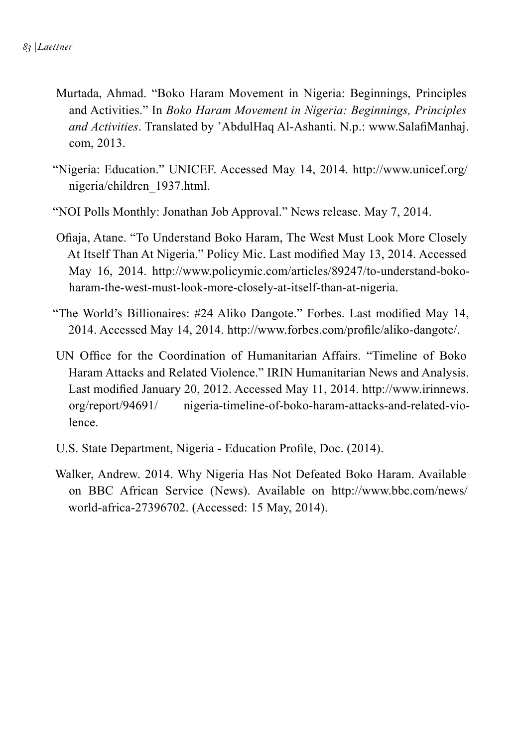- Murtada, Ahmad. "Boko Haram Movement in Nigeria: Beginnings, Principles and Activities." In *Boko Haram Movement in Nigeria: Beginnings, Principles and Activities*. Translated by 'AbdulHaq Al-Ashanti. N.p.: www.SalafiManhaj. com, 2013.
- "Nigeria: Education." UNICEF. Accessed May 14, 2014. http://www.unicef.org/ nigeria/children\_1937.html.
- "NOI Polls Monthly: Jonathan Job Approval." News release. May 7, 2014.
- Ofiaja, Atane. "To Understand Boko Haram, The West Must Look More Closely At Itself Than At Nigeria." Policy Mic. Last modified May 13, 2014. Accessed May 16, 2014. http://www.policymic.com/articles/89247/to-understand-bokoharam-the-west-must-look-more-closely-at-itself-than-at-nigeria.
- "The World's Billionaires: #24 Aliko Dangote." Forbes. Last modified May 14, 2014. Accessed May 14, 2014. http://www.forbes.com/profile/aliko-dangote/.
- UN Office for the Coordination of Humanitarian Affairs. "Timeline of Boko Haram Attacks and Related Violence." IRIN Humanitarian News and Analysis. Last modified January 20, 2012. Accessed May 11, 2014. http://www.irinnews. org/report/94691/ nigeria-timeline-of-boko-haram-attacks-and-related-violence.
- U.S. State Department, Nigeria Education Profile, Doc. (2014).
- Walker, Andrew. 2014. Why Nigeria Has Not Defeated Boko Haram. Available on BBC African Service (News). Available on http://www.bbc.com/news/ world-africa-27396702. (Accessed: 15 May, 2014).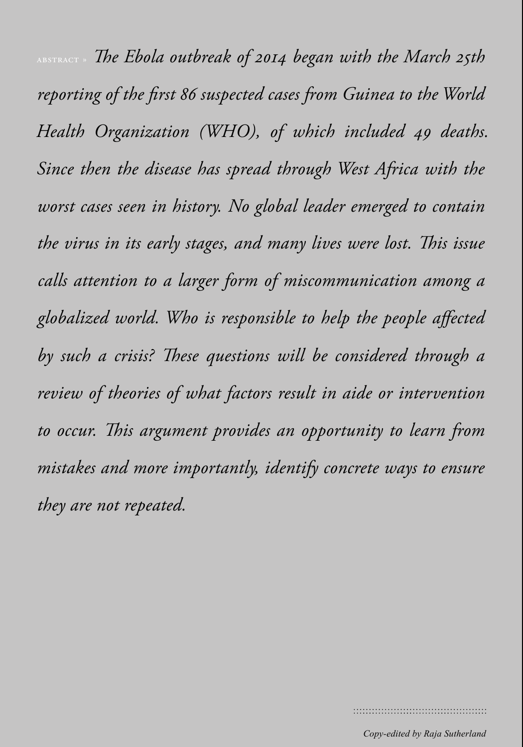*ABSTRACT* » The Ebola outbreak of 2014 began with the March 25th *reporting of the first 86 suspected cases from Guinea to the World Health Organization (WHO), of which included 49 deaths. Since then the disease has spread through West Africa with the worst cases seen in history. No global leader emerged to contain the virus in its early stages, and many lives were lost. This issue calls attention to a larger form of miscommunication among a globalized world. Who is responsible to help the people affected by such a crisis? These questions will be considered through a review of theories of what factors result in aide or intervention to occur. This argument provides an opportunity to learn from mistakes and more importantly, identify concrete ways to ensure they are not repeated.*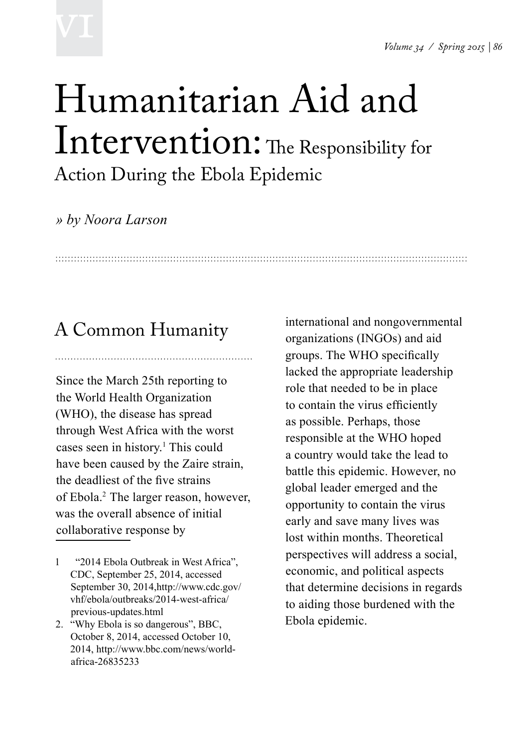# **VI**

## Humanitarian Aid and Intervention: The Responsibility for Action During the Ebola Epidemic

### *» by Noora Larson*

## A Common Humanity

Since the March 25th reporting to the World Health Organization (WHO), the disease has spread through West Africa with the worst cases seen in history.<sup>1</sup> This could have been caused by the Zaire strain, the deadliest of the five strains of Ebola.2 The larger reason, however, was the overall absence of initial collaborative response by

- 1 "2014 Ebola Outbreak in West Africa", CDC, September 25, 2014, accessed September 30, 2014,http://www.cdc.gov/ vhf/ebola/outbreaks/2014-west-africa/ previous-updates.html
- 2. "Why Ebola is so dangerous", BBC, October 8, 2014, accessed October 10, 2014, http://www.bbc.com/news/worldafrica-26835233

international and nongovernmental organizations (INGOs) and aid groups. The WHO specifically lacked the appropriate leadership role that needed to be in place to contain the virus efficiently as possible. Perhaps, those responsible at the WHO hoped a country would take the lead to battle this epidemic. However, no global leader emerged and the opportunity to contain the virus early and save many lives was lost within months. Theoretical perspectives will address a social, economic, and political aspects that determine decisions in regards to aiding those burdened with the Ebola epidemic.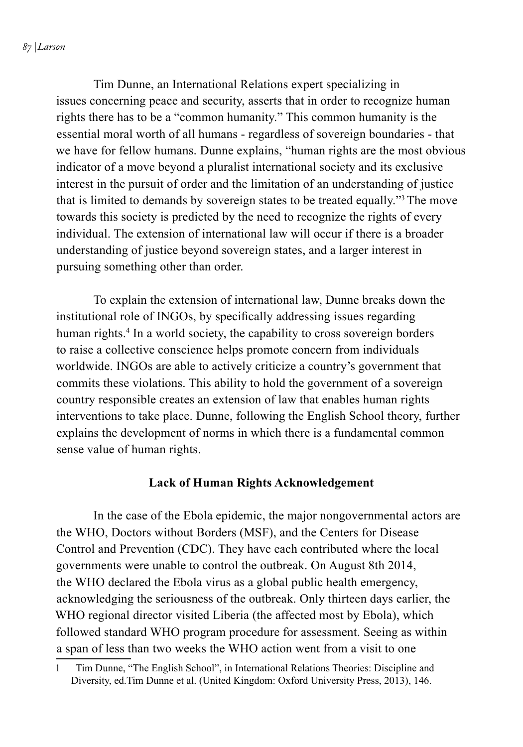*87 | Larson*

 Tim Dunne, an International Relations expert specializing in issues concerning peace and security, asserts that in order to recognize human rights there has to be a "common humanity." This common humanity is the essential moral worth of all humans - regardless of sovereign boundaries - that we have for fellow humans. Dunne explains, "human rights are the most obvious indicator of a move beyond a pluralist international society and its exclusive interest in the pursuit of order and the limitation of an understanding of justice that is limited to demands by sovereign states to be treated equally."3 The move towards this society is predicted by the need to recognize the rights of every individual. The extension of international law will occur if there is a broader understanding of justice beyond sovereign states, and a larger interest in pursuing something other than order.

 To explain the extension of international law, Dunne breaks down the institutional role of INGOs, by specifically addressing issues regarding human rights.<sup>4</sup> In a world society, the capability to cross sovereign borders to raise a collective conscience helps promote concern from individuals worldwide. INGOs are able to actively criticize a country's government that commits these violations. This ability to hold the government of a sovereign country responsible creates an extension of law that enables human rights interventions to take place. Dunne, following the English School theory, further explains the development of norms in which there is a fundamental common sense value of human rights.

#### **Lack of Human Rights Acknowledgement**

 In the case of the Ebola epidemic, the major nongovernmental actors are the WHO, Doctors without Borders (MSF), and the Centers for Disease Control and Prevention (CDC). They have each contributed where the local governments were unable to control the outbreak. On August 8th 2014, the WHO declared the Ebola virus as a global public health emergency, acknowledging the seriousness of the outbreak. Only thirteen days earlier, the WHO regional director visited Liberia (the affected most by Ebola), which followed standard WHO program procedure for assessment. Seeing as within a span of less than two weeks the WHO action went from a visit to one

<sup>1</sup> Tim Dunne, "The English School", in International Relations Theories: Discipline and Diversity, ed.Tim Dunne et al. (United Kingdom: Oxford University Press, 2013), 146.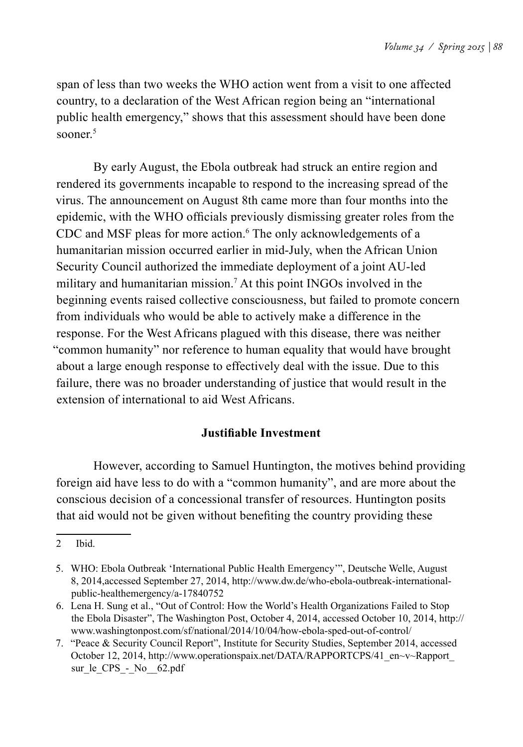span of less than two weeks the WHO action went from a visit to one affected country, to a declaration of the West African region being an "international public health emergency," shows that this assessment should have been done sooner $5$ 

 By early August, the Ebola outbreak had struck an entire region and rendered its governments incapable to respond to the increasing spread of the virus. The announcement on August 8th came more than four months into the epidemic, with the WHO officials previously dismissing greater roles from the CDC and MSF pleas for more action.<sup>6</sup> The only acknowledgements of a humanitarian mission occurred earlier in mid-July, when the African Union Security Council authorized the immediate deployment of a joint AU-led military and humanitarian mission.7 At this point INGOs involved in the beginning events raised collective consciousness, but failed to promote concern from individuals who would be able to actively make a difference in the response. For the West Africans plagued with this disease, there was neither "common humanity" nor reference to human equality that would have brought about a large enough response to effectively deal with the issue. Due to this failure, there was no broader understanding of justice that would result in the extension of international to aid West Africans.

#### **Justifiable Investment**

 However, according to Samuel Huntington, the motives behind providing foreign aid have less to do with a "common humanity", and are more about the conscious decision of a concessional transfer of resources. Huntington posits that aid would not be given without benefiting the country providing these

<sup>2</sup> Ibid.

<sup>5.</sup> WHO: Ebola Outbreak 'International Public Health Emergency'", Deutsche Welle, August 8, 2014,accessed September 27, 2014, http://www.dw.de/who-ebola-outbreak-internationalpublic-healthemergency/a-17840752

<sup>6.</sup> Lena H. Sung et al., "Out of Control: How the World's Health Organizations Failed to Stop the Ebola Disaster", The Washington Post, October 4, 2014, accessed October 10, 2014, http:// www.washingtonpost.com/sf/national/2014/10/04/how-ebola-sped-out-of-control/

<sup>7.</sup> "Peace & Security Council Report", Institute for Security Studies, September 2014, accessed October 12, 2014, http://www.operationspaix.net/DATA/RAPPORTCPS/41\_en~v~Rapport\_ sur\_le\_CPS - No \_62.pdf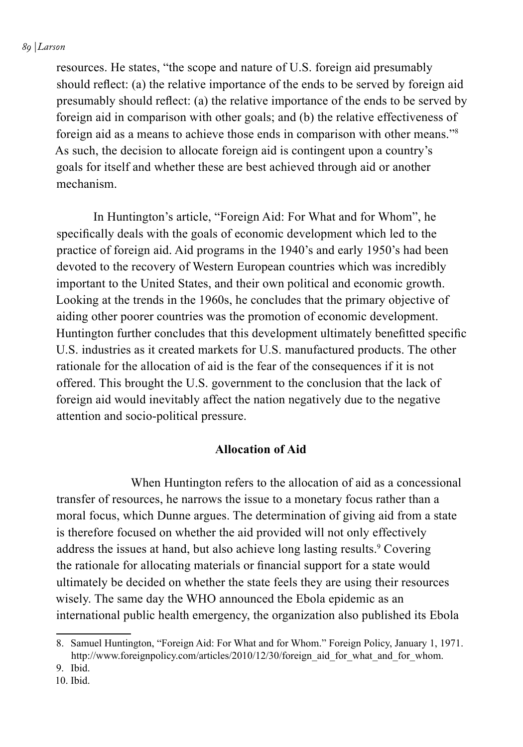#### *89 | Larson*

resources. He states, "the scope and nature of U.S. foreign aid presumably should reflect: (a) the relative importance of the ends to be served by foreign aid presumably should reflect: (a) the relative importance of the ends to be served by foreign aid in comparison with other goals; and (b) the relative effectiveness of foreign aid as a means to achieve those ends in comparison with other means."8 As such, the decision to allocate foreign aid is contingent upon a country's goals for itself and whether these are best achieved through aid or another mechanism.

 In Huntington's article, "Foreign Aid: For What and for Whom", he specifically deals with the goals of economic development which led to the practice of foreign aid. Aid programs in the 1940's and early 1950's had been devoted to the recovery of Western European countries which was incredibly important to the United States, and their own political and economic growth. Looking at the trends in the 1960s, he concludes that the primary objective of aiding other poorer countries was the promotion of economic development. Huntington further concludes that this development ultimately benefitted specific U.S. industries as it created markets for U.S. manufactured products. The other rationale for the allocation of aid is the fear of the consequences if it is not offered. This brought the U.S. government to the conclusion that the lack of foreign aid would inevitably affect the nation negatively due to the negative attention and socio-political pressure.

#### **Allocation of Aid**

 When Huntington refers to the allocation of aid as a concessional transfer of resources, he narrows the issue to a monetary focus rather than a moral focus, which Dunne argues. The determination of giving aid from a state is therefore focused on whether the aid provided will not only effectively address the issues at hand, but also achieve long lasting results.<sup>9</sup> Covering the rationale for allocating materials or financial support for a state would ultimately be decided on whether the state feels they are using their resources wisely. The same day the WHO announced the Ebola epidemic as an international public health emergency, the organization also published its Ebola

<sup>8.</sup> Samuel Huntington, "Foreign Aid: For What and for Whom." Foreign Policy, January 1, 1971. http://www.foreignpolicy.com/articles/2010/12/30/foreign\_aid\_for\_what\_and\_for\_whom.

<sup>9.</sup> Ibid.

<sup>10.</sup> Ibid.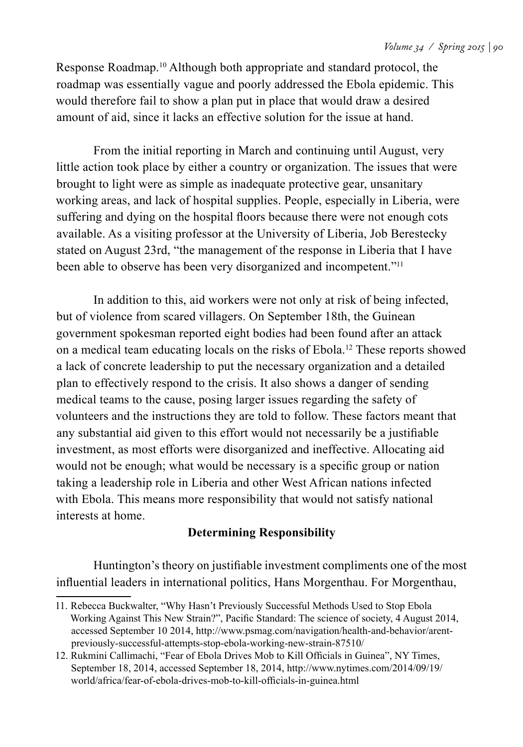Response Roadmap.10 Although both appropriate and standard protocol, the roadmap was essentially vague and poorly addressed the Ebola epidemic. This would therefore fail to show a plan put in place that would draw a desired amount of aid, since it lacks an effective solution for the issue at hand.

 From the initial reporting in March and continuing until August, very little action took place by either a country or organization. The issues that were brought to light were as simple as inadequate protective gear, unsanitary working areas, and lack of hospital supplies. People, especially in Liberia, were suffering and dying on the hospital floors because there were not enough cots available. As a visiting professor at the University of Liberia, Job Berestecky stated on August 23rd, "the management of the response in Liberia that I have been able to observe has been very disorganized and incompetent."<sup>11</sup>

 In addition to this, aid workers were not only at risk of being infected, but of violence from scared villagers. On September 18th, the Guinean government spokesman reported eight bodies had been found after an attack on a medical team educating locals on the risks of Ebola.12 These reports showed a lack of concrete leadership to put the necessary organization and a detailed plan to effectively respond to the crisis. It also shows a danger of sending medical teams to the cause, posing larger issues regarding the safety of volunteers and the instructions they are told to follow. These factors meant that any substantial aid given to this effort would not necessarily be a justifiable investment, as most efforts were disorganized and ineffective. Allocating aid would not be enough; what would be necessary is a specific group or nation taking a leadership role in Liberia and other West African nations infected with Ebola. This means more responsibility that would not satisfy national interests at home.

#### **Determining Responsibility**

Huntington's theory on justifiable investment compliments one of the most influential leaders in international politics, Hans Morgenthau. For Morgenthau,

<sup>11.</sup> Rebecca Buckwalter, "Why Hasn't Previously Successful Methods Used to Stop Ebola Working Against This New Strain?", Pacific Standard: The science of society, 4 August 2014, accessed September 10 2014, http://www.psmag.com/navigation/health-and-behavior/arentpreviously-successful-attempts-stop-ebola-working-new-strain-87510/

<sup>12.</sup> Rukmini Callimachi, "Fear of Ebola Drives Mob to Kill Officials in Guinea", NY Times, September 18, 2014, accessed September 18, 2014, http://www.nytimes.com/2014/09/19/ world/africa/fear-of-ebola-drives-mob-to-kill-officials-in-guinea.html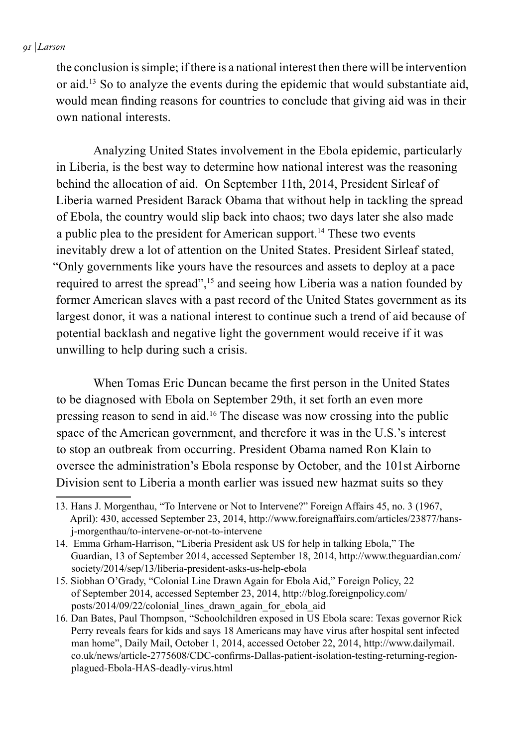#### *91 | Larson*

the conclusion is simple; if there is a national interest then there will be intervention or aid.13 So to analyze the events during the epidemic that would substantiate aid, would mean finding reasons for countries to conclude that giving aid was in their own national interests.

 Analyzing United States involvement in the Ebola epidemic, particularly in Liberia, is the best way to determine how national interest was the reasoning behind the allocation of aid. On September 11th, 2014, President Sirleaf of Liberia warned President Barack Obama that without help in tackling the spread of Ebola, the country would slip back into chaos; two days later she also made a public plea to the president for American support.<sup>14</sup> These two events inevitably drew a lot of attention on the United States. President Sirleaf stated, "Only governments like yours have the resources and assets to deploy at a pace required to arrest the spread",<sup>15</sup> and seeing how Liberia was a nation founded by former American slaves with a past record of the United States government as its largest donor, it was a national interest to continue such a trend of aid because of potential backlash and negative light the government would receive if it was unwilling to help during such a crisis.

When Tomas Eric Duncan became the first person in the United States to be diagnosed with Ebola on September 29th, it set forth an even more pressing reason to send in aid.16 The disease was now crossing into the public space of the American government, and therefore it was in the U.S.'s interest to stop an outbreak from occurring. President Obama named Ron Klain to oversee the administration's Ebola response by October, and the 101st Airborne Division sent to Liberia a month earlier was issued new hazmat suits so they

<sup>13.</sup> Hans J. Morgenthau, "To Intervene or Not to Intervene?" Foreign Affairs 45, no. 3 (1967, April): 430, accessed September 23, 2014, http://www.foreignaffairs.com/articles/23877/hansj-morgenthau/to-intervene-or-not-to-intervene

<sup>14.</sup> Emma Grham-Harrison, "Liberia President ask US for help in talking Ebola," The Guardian, 13 of September 2014, accessed September 18, 2014, http://www.theguardian.com/ society/2014/sep/13/liberia-president-asks-us-help-ebola

<sup>15.</sup> Siobhan O'Grady, "Colonial Line Drawn Again for Ebola Aid," Foreign Policy, 22 of September 2014, accessed September 23, 2014, http://blog.foreignpolicy.com/ posts/2014/09/22/colonial\_lines\_drawn\_again\_for\_ebola\_aid

<sup>16.</sup> Dan Bates, Paul Thompson, "Schoolchildren exposed in US Ebola scare: Texas governor Rick Perry reveals fears for kids and says 18 Americans may have virus after hospital sent infected man home", Daily Mail, October 1, 2014, accessed October 22, 2014, http://www.dailymail. co.uk/news/article-2775608/CDC-confirms-Dallas-patient-isolation-testing-returning-regionplagued-Ebola-HAS-deadly-virus.html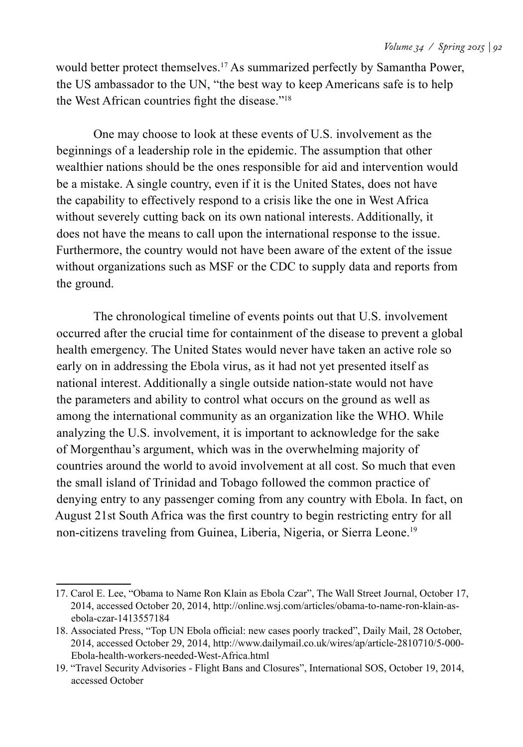would better protect themselves.<sup>17</sup> As summarized perfectly by Samantha Power, the US ambassador to the UN, "the best way to keep Americans safe is to help the West African countries fight the disease."<sup>18</sup>

 One may choose to look at these events of U.S. involvement as the beginnings of a leadership role in the epidemic. The assumption that other wealthier nations should be the ones responsible for aid and intervention would be a mistake. A single country, even if it is the United States, does not have the capability to effectively respond to a crisis like the one in West Africa without severely cutting back on its own national interests. Additionally, it does not have the means to call upon the international response to the issue. Furthermore, the country would not have been aware of the extent of the issue without organizations such as MSF or the CDC to supply data and reports from the ground.

 The chronological timeline of events points out that U.S. involvement occurred after the crucial time for containment of the disease to prevent a global health emergency. The United States would never have taken an active role so early on in addressing the Ebola virus, as it had not yet presented itself as national interest. Additionally a single outside nation-state would not have the parameters and ability to control what occurs on the ground as well as among the international community as an organization like the WHO. While analyzing the U.S. involvement, it is important to acknowledge for the sake of Morgenthau's argument, which was in the overwhelming majority of countries around the world to avoid involvement at all cost. So much that even the small island of Trinidad and Tobago followed the common practice of denying entry to any passenger coming from any country with Ebola. In fact, on August 21st South Africa was the first country to begin restricting entry for all non-citizens traveling from Guinea, Liberia, Nigeria, or Sierra Leone.<sup>19</sup>

<sup>17.</sup> Carol E. Lee, "Obama to Name Ron Klain as Ebola Czar", The Wall Street Journal, October 17, 2014, accessed October 20, 2014, http://online.wsj.com/articles/obama-to-name-ron-klain-asebola-czar-1413557184

<sup>18.</sup> Associated Press, "Top UN Ebola official: new cases poorly tracked", Daily Mail, 28 October, 2014, accessed October 29, 2014, http://www.dailymail.co.uk/wires/ap/article-2810710/5-000- Ebola-health-workers-needed-West-Africa.html

<sup>19.</sup> "Travel Security Advisories - Flight Bans and Closures", International SOS, October 19, 2014, accessed October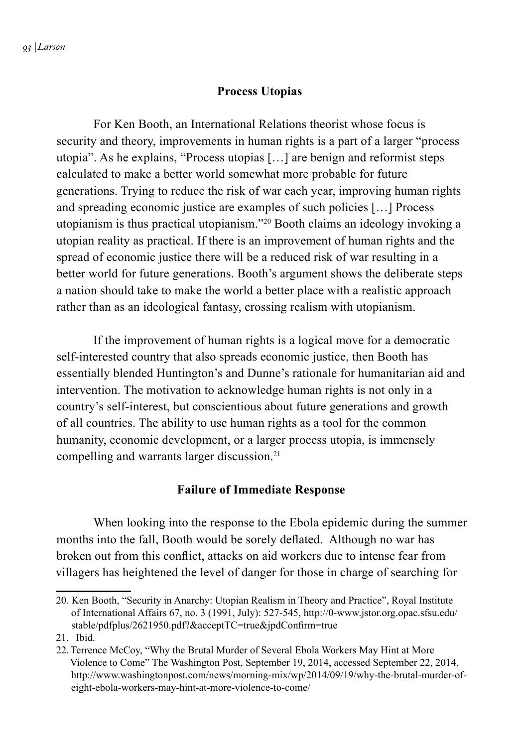#### **Process Utopias**

 For Ken Booth, an International Relations theorist whose focus is security and theory, improvements in human rights is a part of a larger "process utopia". As he explains, "Process utopias […] are benign and reformist steps calculated to make a better world somewhat more probable for future generations. Trying to reduce the risk of war each year, improving human rights and spreading economic justice are examples of such policies […] Process utopianism is thus practical utopianism."20 Booth claims an ideology invoking a utopian reality as practical. If there is an improvement of human rights and the spread of economic justice there will be a reduced risk of war resulting in a better world for future generations. Booth's argument shows the deliberate steps a nation should take to make the world a better place with a realistic approach rather than as an ideological fantasy, crossing realism with utopianism.

 If the improvement of human rights is a logical move for a democratic self-interested country that also spreads economic justice, then Booth has essentially blended Huntington's and Dunne's rationale for humanitarian aid and intervention. The motivation to acknowledge human rights is not only in a country's self-interest, but conscientious about future generations and growth of all countries. The ability to use human rights as a tool for the common humanity, economic development, or a larger process utopia, is immensely compelling and warrants larger discussion.<sup>21</sup>

#### **Failure of Immediate Response**

 When looking into the response to the Ebola epidemic during the summer months into the fall, Booth would be sorely deflated. Although no war has broken out from this conflict, attacks on aid workers due to intense fear from villagers has heightened the level of danger for those in charge of searching for

<sup>20.</sup> Ken Booth, "Security in Anarchy: Utopian Realism in Theory and Practice", Royal Institute of International Affairs 67, no. 3 (1991, July): 527-545, http://0-www.jstor.org.opac.sfsu.edu/ stable/pdfplus/2621950.pdf?&acceptTC=true&jpdConfirm=true

<sup>21.</sup> Ibid.

<sup>22.</sup> Terrence McCoy, "Why the Brutal Murder of Several Ebola Workers May Hint at More Violence to Come" The Washington Post, September 19, 2014, accessed September 22, 2014, http://www.washingtonpost.com/news/morning-mix/wp/2014/09/19/why-the-brutal-murder-ofeight-ebola-workers-may-hint-at-more-violence-to-come/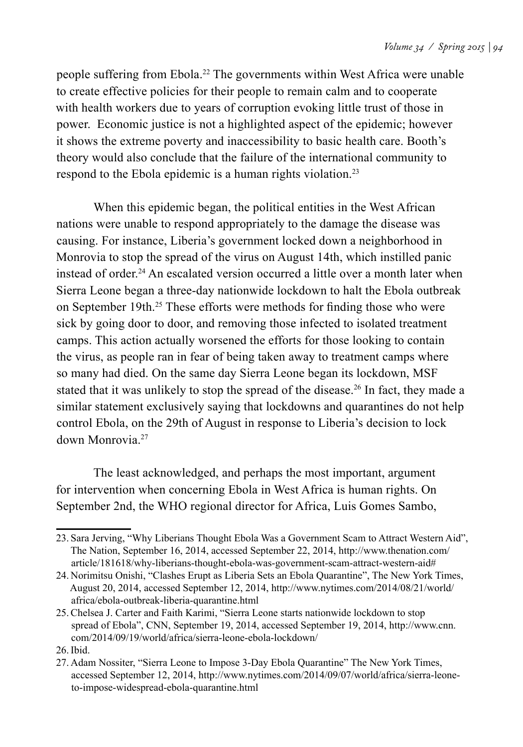people suffering from Ebola.22 The governments within West Africa were unable to create effective policies for their people to remain calm and to cooperate with health workers due to years of corruption evoking little trust of those in power. Economic justice is not a highlighted aspect of the epidemic; however it shows the extreme poverty and inaccessibility to basic health care. Booth's theory would also conclude that the failure of the international community to respond to the Ebola epidemic is a human rights violation.23

 When this epidemic began, the political entities in the West African nations were unable to respond appropriately to the damage the disease was causing. For instance, Liberia's government locked down a neighborhood in Monrovia to stop the spread of the virus on August 14th, which instilled panic instead of order.<sup>24</sup> An escalated version occurred a little over a month later when Sierra Leone began a three-day nationwide lockdown to halt the Ebola outbreak on September 19th.25 These efforts were methods for finding those who were sick by going door to door, and removing those infected to isolated treatment camps. This action actually worsened the efforts for those looking to contain the virus, as people ran in fear of being taken away to treatment camps where so many had died. On the same day Sierra Leone began its lockdown, MSF stated that it was unlikely to stop the spread of the disease.<sup>26</sup> In fact, they made a similar statement exclusively saying that lockdowns and quarantines do not help control Ebola, on the 29th of August in response to Liberia's decision to lock down Monrovia.27

 The least acknowledged, and perhaps the most important, argument for intervention when concerning Ebola in West Africa is human rights. On September 2nd, the WHO regional director for Africa, Luis Gomes Sambo,

<sup>23.</sup> Sara Jerving, "Why Liberians Thought Ebola Was a Government Scam to Attract Western Aid", The Nation, September 16, 2014, accessed September 22, 2014, http://www.thenation.com/ article/181618/why-liberians-thought-ebola-was-government-scam-attract-western-aid#

<sup>24.</sup> Norimitsu Onishi, "Clashes Erupt as Liberia Sets an Ebola Quarantine", The New York Times, August 20, 2014, accessed September 12, 2014, http://www.nytimes.com/2014/08/21/world/ africa/ebola-outbreak-liberia-quarantine.html

<sup>25.</sup>Chelsea J. Carter and Faith Karimi, "Sierra Leone starts nationwide lockdown to stop spread of Ebola", CNN, September 19, 2014, accessed September 19, 2014, http://www.cnn. com/2014/09/19/world/africa/sierra-leone-ebola-lockdown/

<sup>26.</sup>Ibid.

<sup>27.</sup> Adam Nossiter, "Sierra Leone to Impose 3-Day Ebola Quarantine" The New York Times, accessed September 12, 2014, http://www.nytimes.com/2014/09/07/world/africa/sierra-leoneto-impose-widespread-ebola-quarantine.html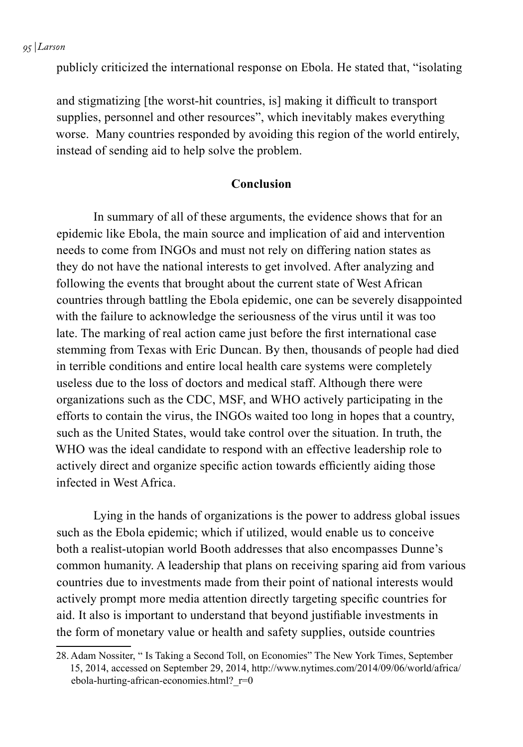*95 | Larson*

publicly criticized the international response on Ebola. He stated that, "isolating

and stigmatizing [the worst-hit countries, is] making it difficult to transport supplies, personnel and other resources", which inevitably makes everything worse. Many countries responded by avoiding this region of the world entirely, instead of sending aid to help solve the problem.

#### **Conclusion**

 In summary of all of these arguments, the evidence shows that for an epidemic like Ebola, the main source and implication of aid and intervention needs to come from INGOs and must not rely on differing nation states as they do not have the national interests to get involved. After analyzing and following the events that brought about the current state of West African countries through battling the Ebola epidemic, one can be severely disappointed with the failure to acknowledge the seriousness of the virus until it was too late. The marking of real action came just before the first international case stemming from Texas with Eric Duncan. By then, thousands of people had died in terrible conditions and entire local health care systems were completely useless due to the loss of doctors and medical staff. Although there were organizations such as the CDC, MSF, and WHO actively participating in the efforts to contain the virus, the INGOs waited too long in hopes that a country, such as the United States, would take control over the situation. In truth, the WHO was the ideal candidate to respond with an effective leadership role to actively direct and organize specific action towards efficiently aiding those infected in West Africa.

 Lying in the hands of organizations is the power to address global issues such as the Ebola epidemic; which if utilized, would enable us to conceive both a realist-utopian world Booth addresses that also encompasses Dunne's common humanity. A leadership that plans on receiving sparing aid from various countries due to investments made from their point of national interests would actively prompt more media attention directly targeting specific countries for aid. It also is important to understand that beyond justifiable investments in the form of monetary value or health and safety supplies, outside countries

<sup>28.</sup> Adam Nossiter, " Is Taking a Second Toll, on Economies" The New York Times, September 15, 2014, accessed on September 29, 2014, http://www.nytimes.com/2014/09/06/world/africa/ ebola-hurting-african-economies.html? $r=0$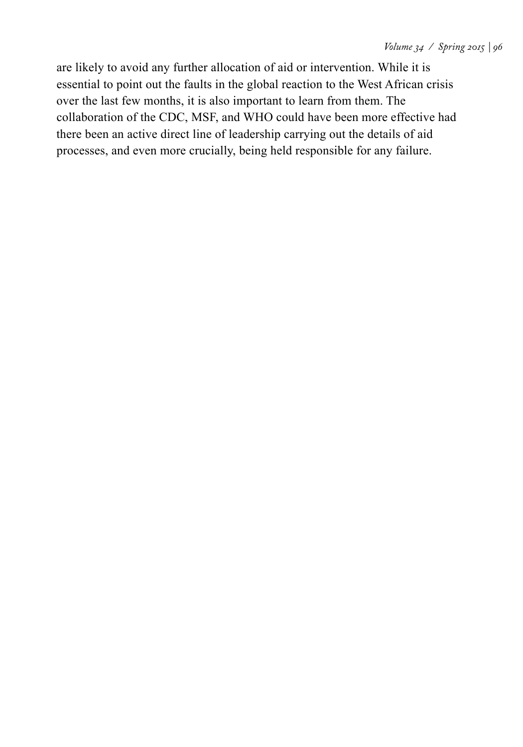are likely to avoid any further allocation of aid or intervention. While it is essential to point out the faults in the global reaction to the West African crisis over the last few months, it is also important to learn from them. The collaboration of the CDC, MSF, and WHO could have been more effective had there been an active direct line of leadership carrying out the details of aid processes, and even more crucially, being held responsible for any failure.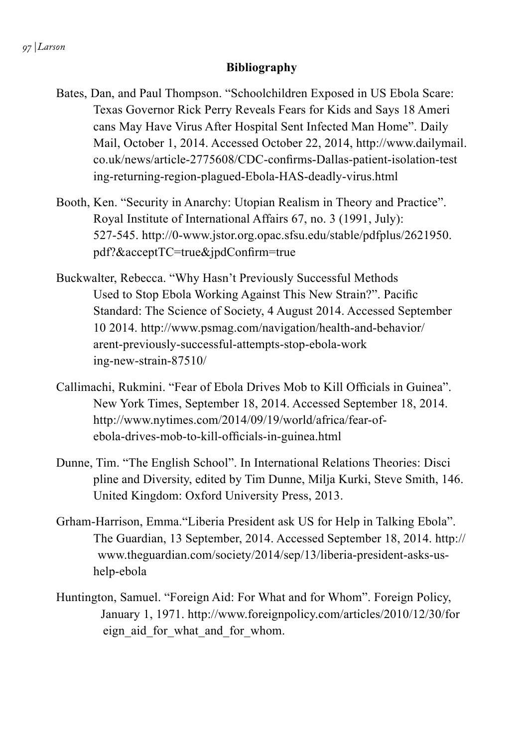#### **Bibliography**

- Bates, Dan, and Paul Thompson. "Schoolchildren Exposed in US Ebola Scare: Texas Governor Rick Perry Reveals Fears for Kids and Says 18 Ameri cans May Have Virus After Hospital Sent Infected Man Home". Daily Mail, October 1, 2014. Accessed October 22, 2014, http://www.dailymail. co.uk/news/article-2775608/CDC-confirms-Dallas-patient-isolation-test ing-returning-region-plagued-Ebola-HAS-deadly-virus.html
- Booth, Ken. "Security in Anarchy: Utopian Realism in Theory and Practice". Royal Institute of International Affairs 67, no. 3 (1991, July): 527-545. http://0-www.jstor.org.opac.sfsu.edu/stable/pdfplus/2621950. pdf?&acceptTC=true&jpdConfirm=true
- Buckwalter, Rebecca. "Why Hasn't Previously Successful Methods Used to Stop Ebola Working Against This New Strain?". Pacific Standard: The Science of Society, 4 August 2014. Accessed September 10 2014. http://www.psmag.com/navigation/health-and-behavior/ arent-previously-successful-attempts-stop-ebola-work ing-new-strain-87510/
- Callimachi, Rukmini. "Fear of Ebola Drives Mob to Kill Officials in Guinea". New York Times, September 18, 2014. Accessed September 18, 2014. http://www.nytimes.com/2014/09/19/world/africa/fear-ofebola-drives-mob-to-kill-officials-in-guinea.html
- Dunne, Tim. "The English School". In International Relations Theories: Disci pline and Diversity, edited by Tim Dunne, Milja Kurki, Steve Smith, 146. United Kingdom: Oxford University Press, 2013.
- Grham-Harrison, Emma."Liberia President ask US for Help in Talking Ebola". The Guardian, 13 September, 2014. Accessed September 18, 2014. http:// www.theguardian.com/society/2014/sep/13/liberia-president-asks-ushelp-ebola
- Huntington, Samuel. "Foreign Aid: For What and for Whom". Foreign Policy, January 1, 1971. http://www.foreignpolicy.com/articles/2010/12/30/for eign aid for what and for whom.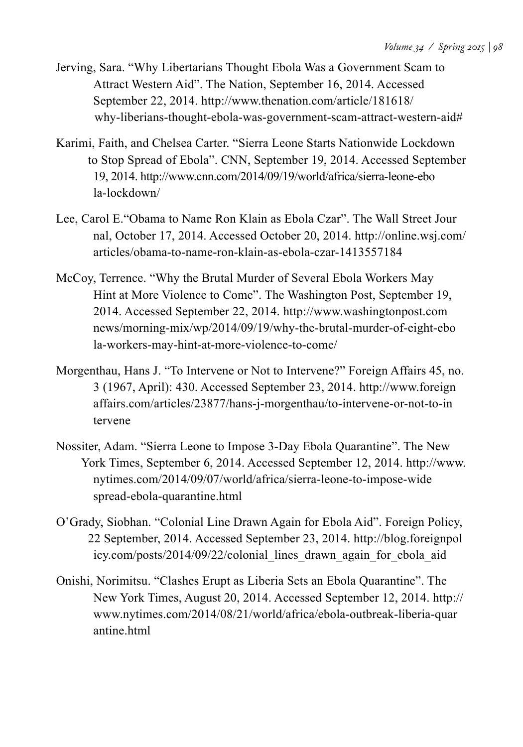- Jerving, Sara. "Why Libertarians Thought Ebola Was a Government Scam to Attract Western Aid". The Nation, September 16, 2014. Accessed September 22, 2014. http://www.thenation.com/article/181618/ why-liberians-thought-ebola-was-government-scam-attract-western-aid#
- Karimi, Faith, and Chelsea Carter. "Sierra Leone Starts Nationwide Lockdown to Stop Spread of Ebola". CNN, September 19, 2014. Accessed September 19, 2014. http://www.cnn.com/2014/09/19/world/africa/sierra-leone-ebo la-lockdown/
- Lee, Carol E."Obama to Name Ron Klain as Ebola Czar". The Wall Street Jour nal, October 17, 2014. Accessed October 20, 2014. http://online.wsj.com/ articles/obama-to-name-ron-klain-as-ebola-czar-1413557184
- McCoy, Terrence. "Why the Brutal Murder of Several Ebola Workers May Hint at More Violence to Come". The Washington Post, September 19, 2014. Accessed September 22, 2014. http://www.washingtonpost.com news/morning-mix/wp/2014/09/19/why-the-brutal-murder-of-eight-ebo la-workers-may-hint-at-more-violence-to-come/
- Morgenthau, Hans J. "To Intervene or Not to Intervene?" Foreign Affairs 45, no. 3 (1967, April): 430. Accessed September 23, 2014. http://www.foreign affairs.com/articles/23877/hans-j-morgenthau/to-intervene-or-not-to-in tervene
- Nossiter, Adam. "Sierra Leone to Impose 3-Day Ebola Quarantine". The New York Times, September 6, 2014. Accessed September 12, 2014. http://www. nytimes.com/2014/09/07/world/africa/sierra-leone-to-impose-wide spread-ebola-quarantine.html
- O'Grady, Siobhan. "Colonial Line Drawn Again for Ebola Aid". Foreign Policy, 22 September, 2014. Accessed September 23, 2014. http://blog.foreignpol icy.com/posts/2014/09/22/colonial\_lines\_drawn\_again\_for\_ebola\_aid
- Onishi, Norimitsu. "Clashes Erupt as Liberia Sets an Ebola Quarantine". The New York Times, August 20, 2014. Accessed September 12, 2014. http:// www.nytimes.com/2014/08/21/world/africa/ebola-outbreak-liberia-quar antine html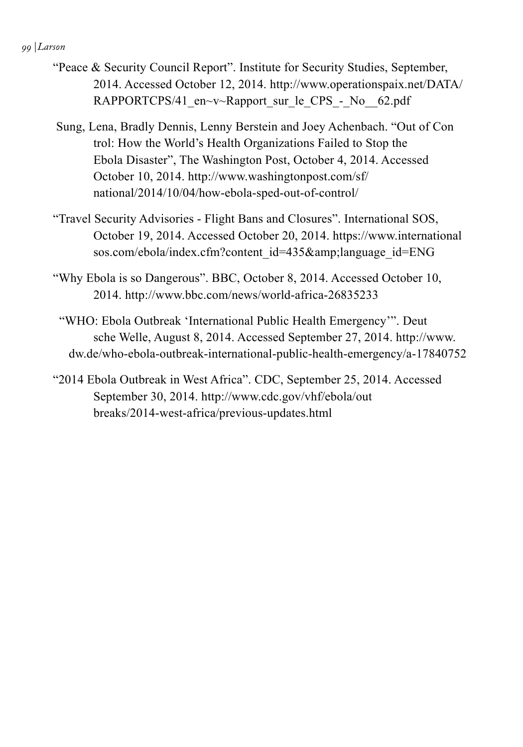#### *99 | Larson*

- "Peace & Security Council Report". Institute for Security Studies, September, 2014. Accessed October 12, 2014. http://www.operationspaix.net/DATA/ RAPPORTCPS/41 en $\sim$ v $\sim$ Rapport sur le CPS - No 62.pdf
- Sung, Lena, Bradly Dennis, Lenny Berstein and Joey Achenbach. "Out of Con trol: How the World's Health Organizations Failed to Stop the Ebola Disaster", The Washington Post, October 4, 2014. Accessed October 10, 2014. http://www.washingtonpost.com/sf/ national/2014/10/04/how-ebola-sped-out-of-control/
- "Travel Security Advisories Flight Bans and Closures". International SOS, October 19, 2014. Accessed October 20, 2014. https://www.international sos.com/ebola/index.cfm?content\_id=435&language\_id=ENG
- "Why Ebola is so Dangerous". BBC, October 8, 2014. Accessed October 10, 2014. http://www.bbc.com/news/world-africa-26835233
- "WHO: Ebola Outbreak 'International Public Health Emergency'". Deut sche Welle, August 8, 2014. Accessed September 27, 2014. http://www. dw.de/who-ebola-outbreak-international-public-health-emergency/a-17840752
- "2014 Ebola Outbreak in West Africa". CDC, September 25, 2014. Accessed September 30, 2014. http://www.cdc.gov/vhf/ebola/out breaks/2014-west-africa/previous-updates.html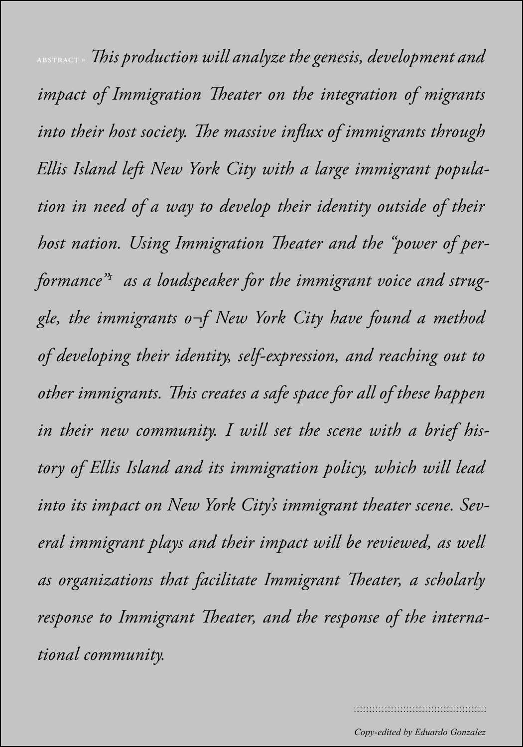*101 | Last name*  abstract » *This production will analyze the genesis, development and impact of Immigration Theater on the integration of migrants into their host society. The massive influx of immigrants through Ellis Island left New York City with a large immigrant population in need of a way to develop their identity outside of their host nation. Using Immigration Theater and the "power of performance"1 as a loudspeaker for the immigrant voice and struggle, the immigrants o¬f New York City have found a method of developing their identity, self-expression, and reaching out to other immigrants. This creates a safe space for all of these happen in their new community. I will set the scene with a brief history of Ellis Island and its immigration policy, which will lead into its impact on New York City's immigrant theater scene. Several immigrant plays and their impact will be reviewed, as well as organizations that facilitate Immigrant Theater, a scholarly response to Immigrant Theater, and the response of the international community.*

*Copy-edited by Eduardo Gonzalez*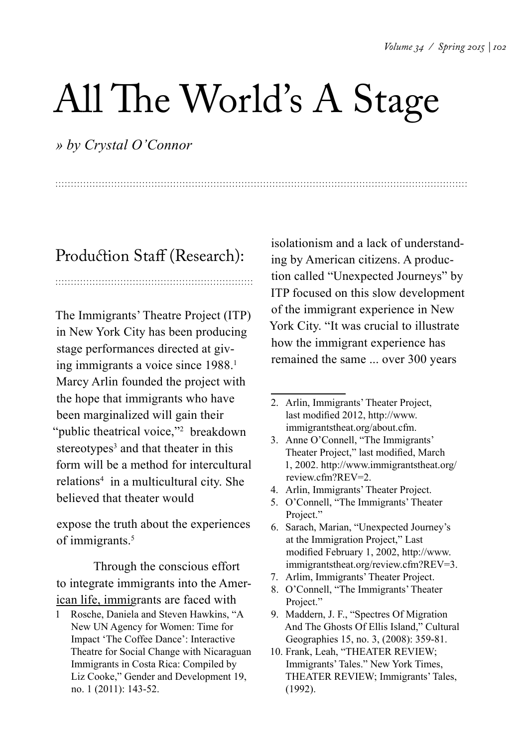## All The World's A Stage

*» by Crystal O'Connor*

### Production Staff (Research):

The Immigrants' Theatre Project (ITP) in New York City has been producing stage performances directed at giving immigrants a voice since 1988.<sup>1</sup> Marcy Arlin founded the project with the hope that immigrants who have been marginalized will gain their "public theatrical voice,"<sup>2</sup> breakdown stereotypes<sup>3</sup> and that theater in this form will be a method for intercultural relations<sup>4</sup> in a multicultural city. She believed that theater would

expose the truth about the experiences of immigrants.<sup>5</sup>

Through the conscious effort to integrate immigrants into the American life, immigrants are faced with

1 Rosche, Daniela and Steven Hawkins, "A New UN Agency for Women: Time for Impact 'The Coffee Dance': Interactive Theatre for Social Change with Nicaraguan Immigrants in Costa Rica: Compiled by Liz Cooke," Gender and Development 19, no. 1 (2011): 143-52.

isolationism and a lack of understanding by American citizens. A production called "Unexpected Journeys" by ITP focused on this slow development of the immigrant experience in New York City. "It was crucial to illustrate how the immigrant experience has remained the same ... over 300 years

- 3. Anne O'Connell, "The Immigrants' Theater Project," last modified, March 1, 2002. http://www.immigrantstheat.org/ review.cfm?REV=2.
- 4. Arlin, Immigrants' Theater Project.
- 5. O'Connell, "The Immigrants' Theater Project."
- 6. Sarach, Marian, "Unexpected Journey's at the Immigration Project," Last modified February 1, 2002, http://www. immigrantstheat.org/review.cfm?REV=3.
- 7. Arlim, Immigrants' Theater Project.
- 8. O'Connell, "The Immigrants' Theater Project."
- 9. Maddern, J. F., "Spectres Of Migration And The Ghosts Of Ellis Island," Cultural Geographies 15, no. 3, (2008): 359-81.
- 10. Frank, Leah, "THEATER REVIEW; Immigrants' Tales." New York Times, THEATER REVIEW; Immigrants' Tales, (1992).

<sup>2.</sup> Arlin, Immigrants' Theater Project, last modified 2012, http://www. immigrantstheat.org/about.cfm.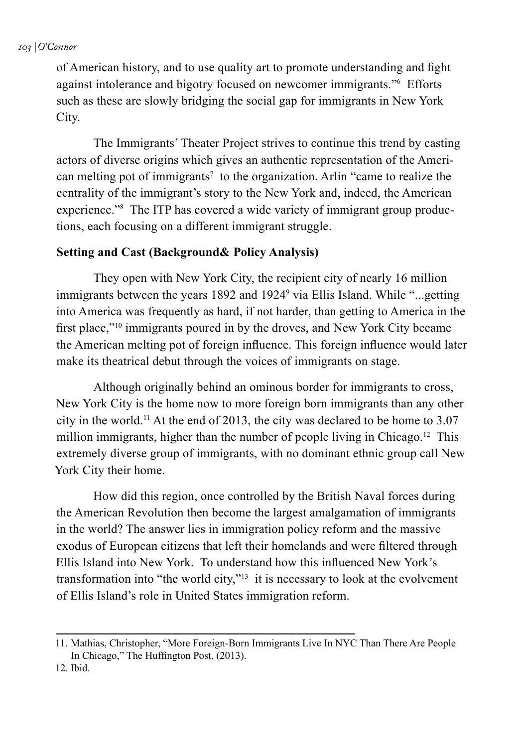of American history, and to use quality art to promote understanding and fight against intolerance and bigotry focused on newcomer immigrants."6 Efforts such as these are slowly bridging the social gap for immigrants in New York City.

The Immigrants' Theater Project strives to continue this trend by casting actors of diverse origins which gives an authentic representation of the American melting pot of immigrants<sup>7</sup> to the organization. Arlin "came to realize the centrality of the immigrant's story to the New York and, indeed, the American experience."<sup>8</sup> The ITP has covered a wide variety of immigrant group productions, each focusing on a different immigrant struggle.

#### **Setting and Cast (Background& Policy Analysis)**

They open with New York City, the recipient city of nearly 16 million immigrants between the years 1892 and 1924<sup>9</sup> via Ellis Island. While "...getting into America was frequently as hard, if not harder, than getting to America in the first place,"10 immigrants poured in by the droves, and New York City became the American melting pot of foreign influence. This foreign influence would later make its theatrical debut through the voices of immigrants on stage.

Although originally behind an ominous border for immigrants to cross, New York City is the home now to more foreign born immigrants than any other city in the world.11 At the end of 2013, the city was declared to be home to 3.07 million immigrants, higher than the number of people living in Chicago.<sup>12</sup> This extremely diverse group of immigrants, with no dominant ethnic group call New York City their home.

How did this region, once controlled by the British Naval forces during the American Revolution then become the largest amalgamation of immigrants in the world? The answer lies in immigration policy reform and the massive exodus of European citizens that left their homelands and were filtered through Ellis Island into New York. To understand how this influenced New York's transformation into "the world city,"13 it is necessary to look at the evolvement of Ellis Island's role in United States immigration reform.

<sup>11.</sup> Mathias, Christopher, "More Foreign-Born Immigrants Live In NYC Than There Are People In Chicago," The Huffington Post, (2013).

<sup>12.</sup> Ibid.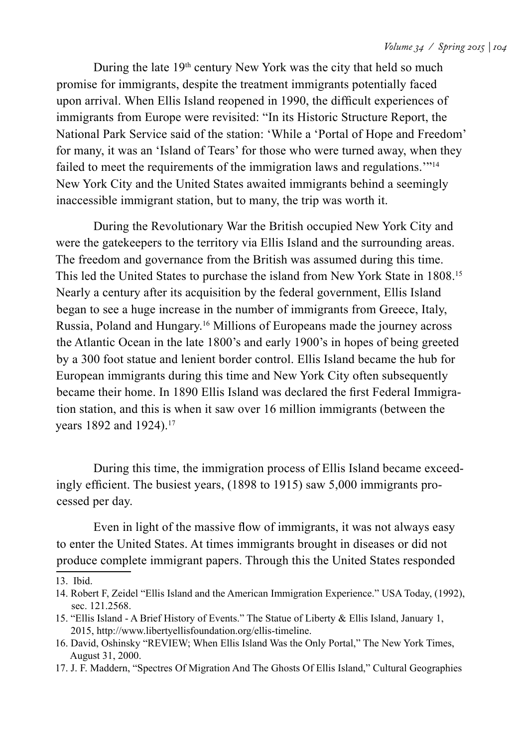During the late  $19<sup>th</sup>$  century New York was the city that held so much promise for immigrants, despite the treatment immigrants potentially faced upon arrival. When Ellis Island reopened in 1990, the difficult experiences of immigrants from Europe were revisited: "In its Historic Structure Report, the National Park Service said of the station: 'While a 'Portal of Hope and Freedom' for many, it was an 'Island of Tears' for those who were turned away, when they failed to meet the requirements of the immigration laws and regulations.'"14 New York City and the United States awaited immigrants behind a seemingly inaccessible immigrant station, but to many, the trip was worth it.

During the Revolutionary War the British occupied New York City and were the gatekeepers to the territory via Ellis Island and the surrounding areas. The freedom and governance from the British was assumed during this time. This led the United States to purchase the island from New York State in 1808.15 Nearly a century after its acquisition by the federal government, Ellis Island began to see a huge increase in the number of immigrants from Greece, Italy, Russia, Poland and Hungary.16 Millions of Europeans made the journey across the Atlantic Ocean in the late 1800's and early 1900's in hopes of being greeted by a 300 foot statue and lenient border control. Ellis Island became the hub for European immigrants during this time and New York City often subsequently became their home. In 1890 Ellis Island was declared the first Federal Immigration station, and this is when it saw over 16 million immigrants (between the years 1892 and 1924).<sup>17</sup>

During this time, the immigration process of Ellis Island became exceedingly efficient. The busiest years, (1898 to 1915) saw 5,000 immigrants processed per day.

Even in light of the massive flow of immigrants, it was not always easy to enter the United States. At times immigrants brought in diseases or did not produce complete immigrant papers. Through this the United States responded

16. David, Oshinsky "REVIEW; When Ellis Island Was the Only Portal," The New York Times, August 31, 2000.

<sup>13.</sup> Ibid.

<sup>14.</sup> Robert F, Zeidel "Ellis Island and the American Immigration Experience." USA Today, (1992), sec. 121.2568.

<sup>15.</sup> "Ellis Island - A Brief History of Events." The Statue of Liberty & Ellis Island, January 1, 2015, http://www.libertyellisfoundation.org/ellis-timeline.

<sup>17.</sup> J. F. Maddern, "Spectres Of Migration And The Ghosts Of Ellis Island," Cultural Geographies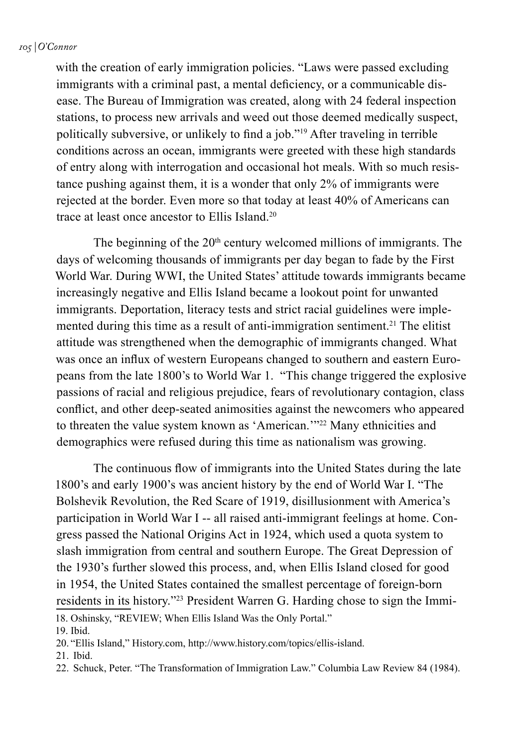#### *105 | O'Connor*

with the creation of early immigration policies. "Laws were passed excluding immigrants with a criminal past, a mental deficiency, or a communicable disease. The Bureau of Immigration was created, along with 24 federal inspection stations, to process new arrivals and weed out those deemed medically suspect, politically subversive, or unlikely to find a job."19 After traveling in terrible conditions across an ocean, immigrants were greeted with these high standards of entry along with interrogation and occasional hot meals. With so much resistance pushing against them, it is a wonder that only 2% of immigrants were rejected at the border. Even more so that today at least 40% of Americans can trace at least once ancestor to Ellis Island.20

The beginning of the  $20<sup>th</sup>$  century welcomed millions of immigrants. The days of welcoming thousands of immigrants per day began to fade by the First World War. During WWI, the United States' attitude towards immigrants became increasingly negative and Ellis Island became a lookout point for unwanted immigrants. Deportation, literacy tests and strict racial guidelines were implemented during this time as a result of anti-immigration sentiment.<sup>21</sup> The elitist attitude was strengthened when the demographic of immigrants changed. What was once an influx of western Europeans changed to southern and eastern Europeans from the late 1800's to World War 1. "This change triggered the explosive passions of racial and religious prejudice, fears of revolutionary contagion, class conflict, and other deep-seated animosities against the newcomers who appeared to threaten the value system known as 'American.'"22 Many ethnicities and demographics were refused during this time as nationalism was growing.

The continuous flow of immigrants into the United States during the late 1800's and early 1900's was ancient history by the end of World War I. "The Bolshevik Revolution, the Red Scare of 1919, disillusionment with America's participation in World War I -- all raised anti-immigrant feelings at home. Congress passed the National Origins Act in 1924, which used a quota system to slash immigration from central and southern Europe. The Great Depression of the 1930's further slowed this process, and, when Ellis Island closed for good in 1954, the United States contained the smallest percentage of foreign-born residents in its history."23 President Warren G. Harding chose to sign the Immi-18. Oshinsky, "REVIEW; When Ellis Island Was the Only Portal."

19. Ibid.

21. Ibid.

<sup>20.</sup> "Ellis Island," History.com, http://www.history.com/topics/ellis-island.

<sup>22.</sup> Schuck, Peter. "The Transformation of Immigration Law." Columbia Law Review 84 (1984).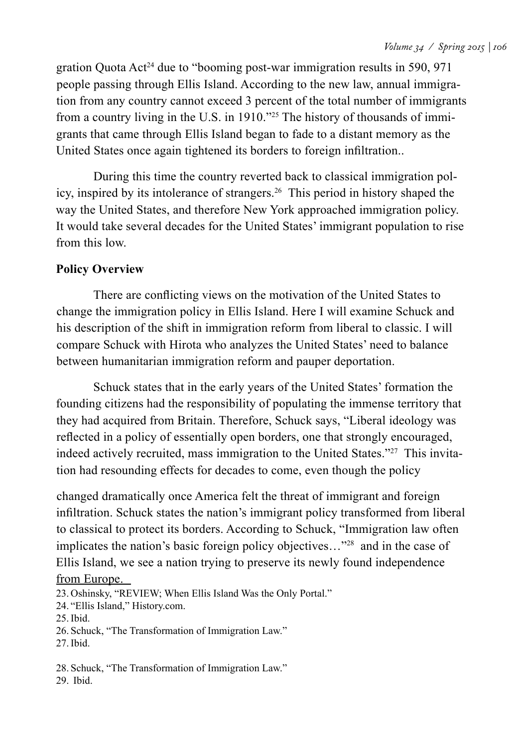gration Quota Act24 due to "booming post-war immigration results in 590, 971 people passing through Ellis Island. According to the new law, annual immigration from any country cannot exceed 3 percent of the total number of immigrants from a country living in the U.S. in 1910."25 The history of thousands of immigrants that came through Ellis Island began to fade to a distant memory as the United States once again tightened its borders to foreign infiltration..

During this time the country reverted back to classical immigration policy, inspired by its intolerance of strangers.26 This period in history shaped the way the United States, and therefore New York approached immigration policy. It would take several decades for the United States' immigrant population to rise from this low.

#### **Policy Overview**

There are conflicting views on the motivation of the United States to change the immigration policy in Ellis Island. Here I will examine Schuck and his description of the shift in immigration reform from liberal to classic. I will compare Schuck with Hirota who analyzes the United States' need to balance between humanitarian immigration reform and pauper deportation.

Schuck states that in the early years of the United States' formation the founding citizens had the responsibility of populating the immense territory that they had acquired from Britain. Therefore, Schuck says, "Liberal ideology was reflected in a policy of essentially open borders, one that strongly encouraged, indeed actively recruited, mass immigration to the United States."27 This invitation had resounding effects for decades to come, even though the policy

changed dramatically once America felt the threat of immigrant and foreign infiltration. Schuck states the nation's immigrant policy transformed from liberal to classical to protect its borders. According to Schuck, "Immigration law often implicates the nation's basic foreign policy objectives…"28 and in the case of Ellis Island, we see a nation trying to preserve its newly found independence from Europe.

23. Oshinsky, "REVIEW; When Ellis Island Was the Only Portal."

24. "Ellis Island," History.com.

25.Ibid.

26. Schuck, "The Transformation of Immigration Law."

27.Ibid.

28. Schuck, "The Transformation of Immigration Law."

29. Ibid.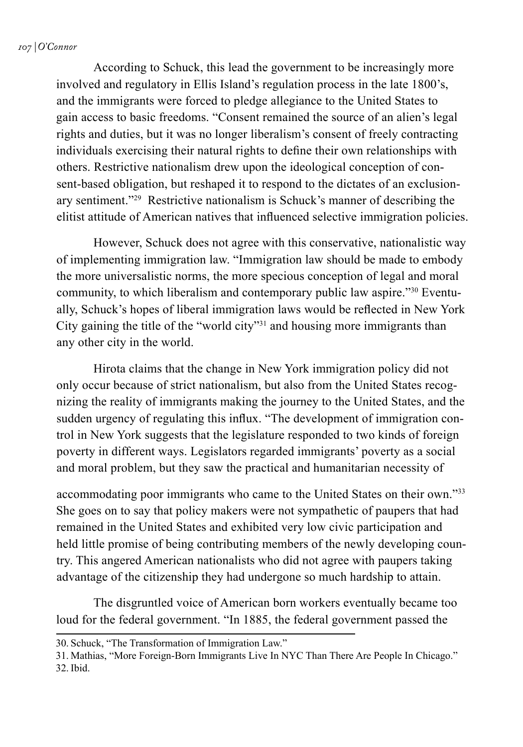#### *107 | O'Connor*

According to Schuck, this lead the government to be increasingly more involved and regulatory in Ellis Island's regulation process in the late 1800's, and the immigrants were forced to pledge allegiance to the United States to gain access to basic freedoms. "Consent remained the source of an alien's legal rights and duties, but it was no longer liberalism's consent of freely contracting individuals exercising their natural rights to define their own relationships with others. Restrictive nationalism drew upon the ideological conception of consent-based obligation, but reshaped it to respond to the dictates of an exclusionary sentiment."29 Restrictive nationalism is Schuck's manner of describing the elitist attitude of American natives that influenced selective immigration policies.

However, Schuck does not agree with this conservative, nationalistic way of implementing immigration law. "Immigration law should be made to embody the more universalistic norms, the more specious conception of legal and moral community, to which liberalism and contemporary public law aspire."30 Eventually, Schuck's hopes of liberal immigration laws would be reflected in New York City gaining the title of the "world city"31 and housing more immigrants than any other city in the world.

Hirota claims that the change in New York immigration policy did not only occur because of strict nationalism, but also from the United States recognizing the reality of immigrants making the journey to the United States, and the sudden urgency of regulating this influx. "The development of immigration control in New York suggests that the legislature responded to two kinds of foreign poverty in different ways. Legislators regarded immigrants' poverty as a social and moral problem, but they saw the practical and humanitarian necessity of

accommodating poor immigrants who came to the United States on their own."33 She goes on to say that policy makers were not sympathetic of paupers that had remained in the United States and exhibited very low civic participation and held little promise of being contributing members of the newly developing country. This angered American nationalists who did not agree with paupers taking advantage of the citizenship they had undergone so much hardship to attain.

The disgruntled voice of American born workers eventually became too loud for the federal government. "In 1885, the federal government passed the

<sup>30.</sup> Schuck, "The Transformation of Immigration Law."

<sup>31.</sup> Mathias, "More Foreign-Born Immigrants Live In NYC Than There Are People In Chicago." 32. Ibid.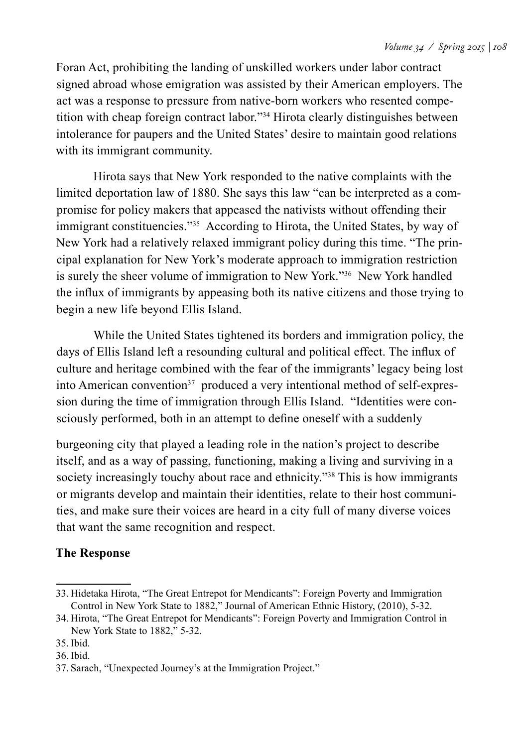Foran Act, prohibiting the landing of unskilled workers under labor contract signed abroad whose emigration was assisted by their American employers. The act was a response to pressure from native-born workers who resented competition with cheap foreign contract labor."34 Hirota clearly distinguishes between intolerance for paupers and the United States' desire to maintain good relations with its immigrant community.

Hirota says that New York responded to the native complaints with the limited deportation law of 1880. She says this law "can be interpreted as a compromise for policy makers that appeased the nativists without offending their immigrant constituencies."35 According to Hirota, the United States, by way of New York had a relatively relaxed immigrant policy during this time. "The principal explanation for New York's moderate approach to immigration restriction is surely the sheer volume of immigration to New York."36 New York handled the influx of immigrants by appeasing both its native citizens and those trying to begin a new life beyond Ellis Island.

While the United States tightened its borders and immigration policy, the days of Ellis Island left a resounding cultural and political effect. The influx of culture and heritage combined with the fear of the immigrants' legacy being lost into American convention<sup>37</sup> produced a very intentional method of self-expression during the time of immigration through Ellis Island. "Identities were consciously performed, both in an attempt to define oneself with a suddenly

burgeoning city that played a leading role in the nation's project to describe itself, and as a way of passing, functioning, making a living and surviving in a society increasingly touchy about race and ethnicity.<sup>338</sup> This is how immigrants or migrants develop and maintain their identities, relate to their host communities, and make sure their voices are heard in a city full of many diverse voices that want the same recognition and respect.

#### **The Response**

<sup>33.</sup> Hidetaka Hirota, "The Great Entrepot for Mendicants": Foreign Poverty and Immigration Control in New York State to 1882," Journal of American Ethnic History, (2010), 5-32.

<sup>34.</sup> Hirota, "The Great Entrepot for Mendicants": Foreign Poverty and Immigration Control in New York State to 1882," 5-32.

<sup>35.</sup> Ibid.

<sup>36.</sup> Ibid.

<sup>37.</sup> Sarach, "Unexpected Journey's at the Immigration Project."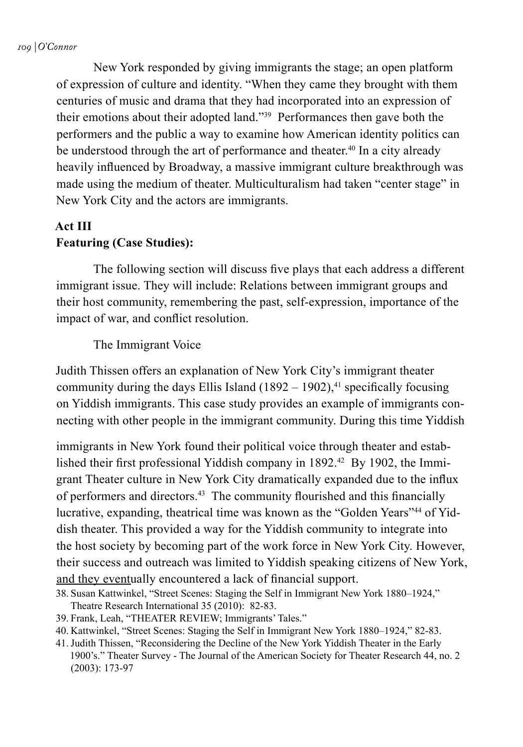New York responded by giving immigrants the stage; an open platform of expression of culture and identity. "When they came they brought with them centuries of music and drama that they had incorporated into an expression of their emotions about their adopted land."39 Performances then gave both the performers and the public a way to examine how American identity politics can be understood through the art of performance and theater.<sup>40</sup> In a city already heavily influenced by Broadway, a massive immigrant culture breakthrough was made using the medium of theater. Multiculturalism had taken "center stage" in New York City and the actors are immigrants.

#### **Act III Featuring (Case Studies):**

The following section will discuss five plays that each address a different immigrant issue. They will include: Relations between immigrant groups and their host community, remembering the past, self-expression, importance of the impact of war, and conflict resolution.

The Immigrant Voice

Judith Thissen offers an explanation of New York City's immigrant theater community during the days Ellis Island  $(1892 – 1902)$ ,<sup>41</sup> specifically focusing on Yiddish immigrants. This case study provides an example of immigrants connecting with other people in the immigrant community. During this time Yiddish

immigrants in New York found their political voice through theater and established their first professional Yiddish company in 1892.42 By 1902, the Immigrant Theater culture in New York City dramatically expanded due to the influx of performers and directors.43 The community flourished and this financially lucrative, expanding, theatrical time was known as the "Golden Years"44 of Yiddish theater. This provided a way for the Yiddish community to integrate into the host society by becoming part of the work force in New York City. However, their success and outreach was limited to Yiddish speaking citizens of New York, and they eventually encountered a lack of financial support.

- 39. Frank, Leah, "THEATER REVIEW; Immigrants' Tales."
- 40. Kattwinkel, "Street Scenes: Staging the Self in Immigrant New York 1880–1924," 82-83.
- 41.Judith Thissen, "Reconsidering the Decline of the New York Yiddish Theater in the Early 1900's." Theater Survey - The Journal of the American Society for Theater Research 44, no. 2 (2003): 173-97

<sup>38.</sup> Susan Kattwinkel, "Street Scenes: Staging the Self in Immigrant New York 1880–1924," Theatre Research International 35 (2010): 82-83.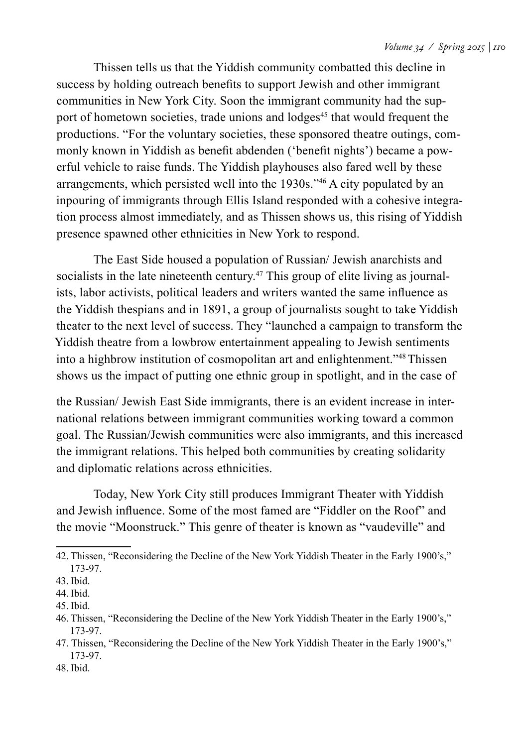Thissen tells us that the Yiddish community combatted this decline in success by holding outreach benefits to support Jewish and other immigrant communities in New York City. Soon the immigrant community had the support of hometown societies, trade unions and lodges<sup>45</sup> that would frequent the productions. "For the voluntary societies, these sponsored theatre outings, commonly known in Yiddish as benefit abdenden ('benefit nights') became a powerful vehicle to raise funds. The Yiddish playhouses also fared well by these arrangements, which persisted well into the 1930s."46 A city populated by an inpouring of immigrants through Ellis Island responded with a cohesive integration process almost immediately, and as Thissen shows us, this rising of Yiddish presence spawned other ethnicities in New York to respond.

The East Side housed a population of Russian/ Jewish anarchists and socialists in the late nineteenth century.<sup>47</sup> This group of elite living as journalists, labor activists, political leaders and writers wanted the same influence as the Yiddish thespians and in 1891, a group of journalists sought to take Yiddish theater to the next level of success. They "launched a campaign to transform the Yiddish theatre from a lowbrow entertainment appealing to Jewish sentiments into a highbrow institution of cosmopolitan art and enlightenment."48 Thissen shows us the impact of putting one ethnic group in spotlight, and in the case of

the Russian/ Jewish East Side immigrants, there is an evident increase in international relations between immigrant communities working toward a common goal. The Russian/Jewish communities were also immigrants, and this increased the immigrant relations. This helped both communities by creating solidarity and diplomatic relations across ethnicities.

Today, New York City still produces Immigrant Theater with Yiddish and Jewish influence. Some of the most famed are "Fiddler on the Roof" and the movie "Moonstruck." This genre of theater is known as "vaudeville" and

<sup>42.</sup> Thissen, "Reconsidering the Decline of the New York Yiddish Theater in the Early 1900's," 173-97.

<sup>43.</sup> Ibid.

<sup>44.</sup> Ibid.

<sup>45.</sup> Ibid.

<sup>46.</sup> Thissen, "Reconsidering the Decline of the New York Yiddish Theater in the Early 1900's," 173-97.

<sup>47.</sup> Thissen, "Reconsidering the Decline of the New York Yiddish Theater in the Early 1900's," 173-97.

<sup>48.</sup> Ibid.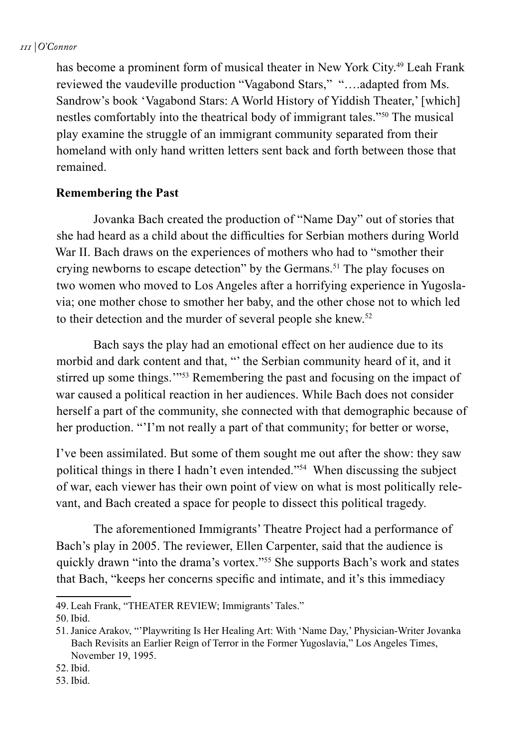has become a prominent form of musical theater in New York City.49 Leah Frank reviewed the vaudeville production "Vagabond Stars," "….adapted from Ms. Sandrow's book 'Vagabond Stars: A World History of Yiddish Theater,' [which] nestles comfortably into the theatrical body of immigrant tales."50 The musical play examine the struggle of an immigrant community separated from their homeland with only hand written letters sent back and forth between those that remained.

#### **Remembering the Past**

Jovanka Bach created the production of "Name Day" out of stories that she had heard as a child about the difficulties for Serbian mothers during World War II. Bach draws on the experiences of mothers who had to "smother their crying newborns to escape detection" by the Germans.<sup>51</sup> The play focuses on two women who moved to Los Angeles after a horrifying experience in Yugoslavia; one mother chose to smother her baby, and the other chose not to which led to their detection and the murder of several people she knew.<sup>52</sup>

Bach says the play had an emotional effect on her audience due to its morbid and dark content and that, "' the Serbian community heard of it, and it stirred up some things.'"53 Remembering the past and focusing on the impact of war caused a political reaction in her audiences. While Bach does not consider herself a part of the community, she connected with that demographic because of her production. "'I'm not really a part of that community; for better or worse,

I've been assimilated. But some of them sought me out after the show: they saw political things in there I hadn't even intended."54 When discussing the subject of war, each viewer has their own point of view on what is most politically relevant, and Bach created a space for people to dissect this political tragedy.

The aforementioned Immigrants' Theatre Project had a performance of Bach's play in 2005. The reviewer, Ellen Carpenter, said that the audience is quickly drawn "into the drama's vortex."55 She supports Bach's work and states that Bach, "keeps her concerns specific and intimate, and it's this immediacy

<sup>49.</sup> Leah Frank, "THEATER REVIEW; Immigrants' Tales."

<sup>50.</sup> Ibid.

<sup>51.</sup>Janice Arakov, "'Playwriting Is Her Healing Art: With 'Name Day,' Physician-Writer Jovanka Bach Revisits an Earlier Reign of Terror in the Former Yugoslavia," Los Angeles Times, November 19, 1995.

<sup>52.</sup> Ibid.

<sup>53.</sup> Ibid.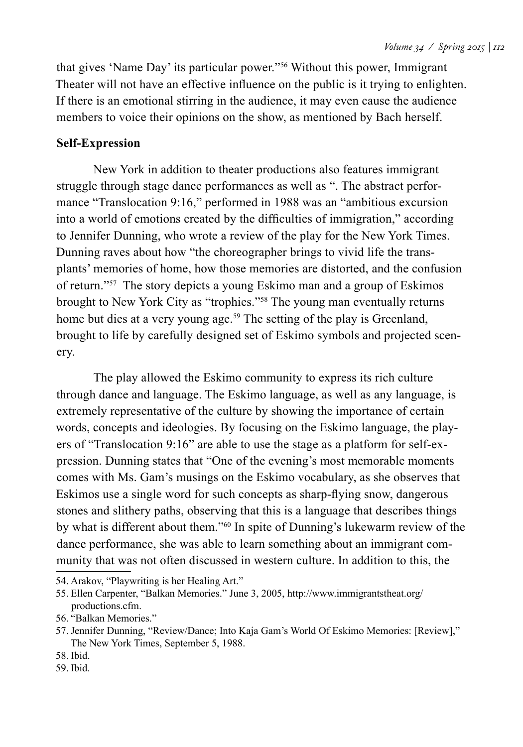that gives 'Name Day' its particular power."56 Without this power, Immigrant Theater will not have an effective influence on the public is it trying to enlighten. If there is an emotional stirring in the audience, it may even cause the audience members to voice their opinions on the show, as mentioned by Bach herself.

## **Self-Expression**

New York in addition to theater productions also features immigrant struggle through stage dance performances as well as ". The abstract performance "Translocation 9:16," performed in 1988 was an "ambitious excursion into a world of emotions created by the difficulties of immigration," according to Jennifer Dunning, who wrote a review of the play for the New York Times. Dunning raves about how "the choreographer brings to vivid life the transplants' memories of home, how those memories are distorted, and the confusion of return."57 The story depicts a young Eskimo man and a group of Eskimos brought to New York City as "trophies."58 The young man eventually returns home but dies at a very young age.<sup>59</sup> The setting of the play is Greenland, brought to life by carefully designed set of Eskimo symbols and projected scenery.

The play allowed the Eskimo community to express its rich culture through dance and language. The Eskimo language, as well as any language, is extremely representative of the culture by showing the importance of certain words, concepts and ideologies. By focusing on the Eskimo language, the players of "Translocation 9:16" are able to use the stage as a platform for self-expression. Dunning states that "One of the evening's most memorable moments comes with Ms. Gam's musings on the Eskimo vocabulary, as she observes that Eskimos use a single word for such concepts as sharp-flying snow, dangerous stones and slithery paths, observing that this is a language that describes things by what is different about them."60 In spite of Dunning's lukewarm review of the dance performance, she was able to learn something about an immigrant community that was not often discussed in western culture. In addition to this, the

- 58. Ibid.
- 59. Ibid.

<sup>54.</sup> Arakov, "Playwriting is her Healing Art."

<sup>55.</sup> Ellen Carpenter, "Balkan Memories." June 3, 2005, http://www.immigrantstheat.org/ productions.cfm.

<sup>56.</sup> "Balkan Memories."

<sup>57.</sup>Jennifer Dunning, "Review/Dance; Into Kaja Gam's World Of Eskimo Memories: [Review]," The New York Times, September 5, 1988.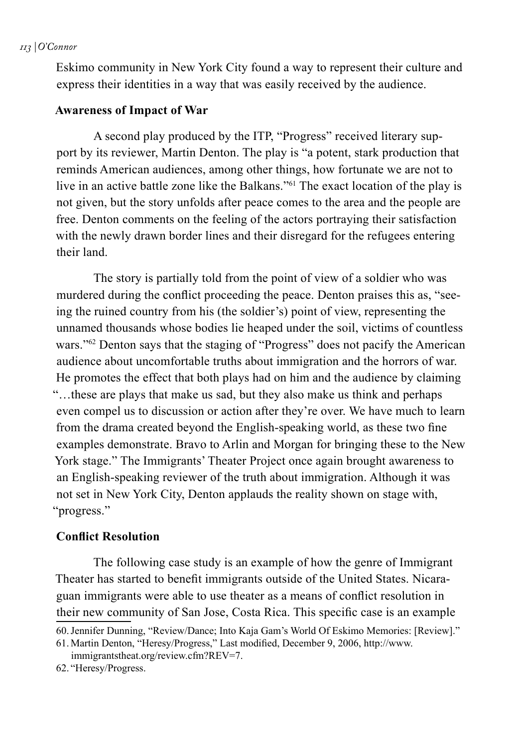#### *113 | O'Connor*

Eskimo community in New York City found a way to represent their culture and express their identities in a way that was easily received by the audience.

### **Awareness of Impact of War**

A second play produced by the ITP, "Progress" received literary support by its reviewer, Martin Denton. The play is "a potent, stark production that reminds American audiences, among other things, how fortunate we are not to live in an active battle zone like the Balkans."61 The exact location of the play is not given, but the story unfolds after peace comes to the area and the people are free. Denton comments on the feeling of the actors portraying their satisfaction with the newly drawn border lines and their disregard for the refugees entering their land.

The story is partially told from the point of view of a soldier who was murdered during the conflict proceeding the peace. Denton praises this as, "seeing the ruined country from his (the soldier's) point of view, representing the unnamed thousands whose bodies lie heaped under the soil, victims of countless wars."<sup>62</sup> Denton says that the staging of "Progress" does not pacify the American audience about uncomfortable truths about immigration and the horrors of war. He promotes the effect that both plays had on him and the audience by claiming "…these are plays that make us sad, but they also make us think and perhaps even compel us to discussion or action after they're over. We have much to learn from the drama created beyond the English-speaking world, as these two fine examples demonstrate. Bravo to Arlin and Morgan for bringing these to the New York stage." The Immigrants' Theater Project once again brought awareness to an English-speaking reviewer of the truth about immigration. Although it was not set in New York City, Denton applauds the reality shown on stage with, "progress."

#### **Conflict Resolution**

The following case study is an example of how the genre of Immigrant Theater has started to benefit immigrants outside of the United States. Nicaraguan immigrants were able to use theater as a means of conflict resolution in their new community of San Jose, Costa Rica. This specific case is an example

61. Martin Denton, "Heresy/Progress," Last modified, December 9, 2006, http://www.

immigrantstheat.org/review.cfm?REV=7.

<sup>60.</sup>Jennifer Dunning, "Review/Dance; Into Kaja Gam's World Of Eskimo Memories: [Review]."

<sup>62.</sup> "Heresy/Progress.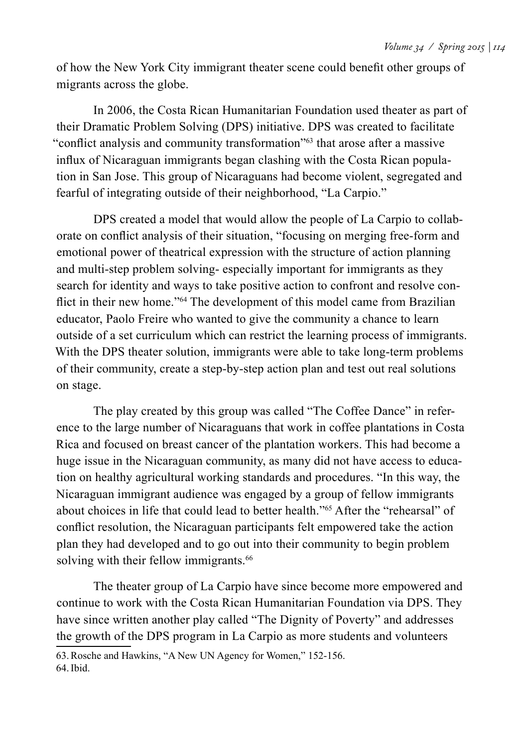of how the New York City immigrant theater scene could benefit other groups of migrants across the globe.

In 2006, the Costa Rican Humanitarian Foundation used theater as part of their Dramatic Problem Solving (DPS) initiative. DPS was created to facilitate "conflict analysis and community transformation"63 that arose after a massive influx of Nicaraguan immigrants began clashing with the Costa Rican population in San Jose. This group of Nicaraguans had become violent, segregated and fearful of integrating outside of their neighborhood, "La Carpio."

DPS created a model that would allow the people of La Carpio to collaborate on conflict analysis of their situation, "focusing on merging free-form and emotional power of theatrical expression with the structure of action planning and multi-step problem solving- especially important for immigrants as they search for identity and ways to take positive action to confront and resolve conflict in their new home."<sup>64</sup> The development of this model came from Brazilian educator, Paolo Freire who wanted to give the community a chance to learn outside of a set curriculum which can restrict the learning process of immigrants. With the DPS theater solution, immigrants were able to take long-term problems of their community, create a step-by-step action plan and test out real solutions on stage.

The play created by this group was called "The Coffee Dance" in reference to the large number of Nicaraguans that work in coffee plantations in Costa Rica and focused on breast cancer of the plantation workers. This had become a huge issue in the Nicaraguan community, as many did not have access to education on healthy agricultural working standards and procedures. "In this way, the Nicaraguan immigrant audience was engaged by a group of fellow immigrants about choices in life that could lead to better health."65 After the "rehearsal" of conflict resolution, the Nicaraguan participants felt empowered take the action plan they had developed and to go out into their community to begin problem solving with their fellow immigrants.<sup>66</sup>

The theater group of La Carpio have since become more empowered and continue to work with the Costa Rican Humanitarian Foundation via DPS. They have since written another play called "The Dignity of Poverty" and addresses the growth of the DPS program in La Carpio as more students and volunteers

<sup>63.</sup>Rosche and Hawkins, "A New UN Agency for Women," 152-156. 64.Ibid.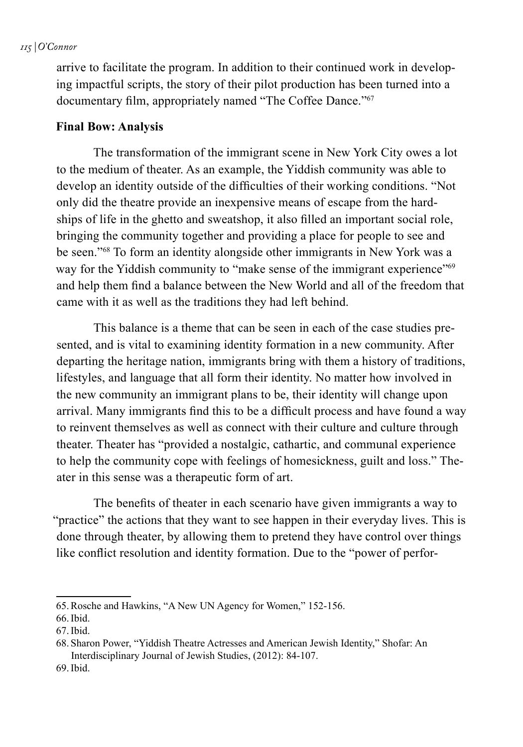#### *115 | O'Connor*

arrive to facilitate the program. In addition to their continued work in developing impactful scripts, the story of their pilot production has been turned into a documentary film, appropriately named "The Coffee Dance."<sup>67</sup>

### **Final Bow: Analysis**

The transformation of the immigrant scene in New York City owes a lot to the medium of theater. As an example, the Yiddish community was able to develop an identity outside of the difficulties of their working conditions. "Not only did the theatre provide an inexpensive means of escape from the hardships of life in the ghetto and sweatshop, it also filled an important social role, bringing the community together and providing a place for people to see and be seen."68 To form an identity alongside other immigrants in New York was a way for the Yiddish community to "make sense of the immigrant experience"<sup>69</sup> and help them find a balance between the New World and all of the freedom that came with it as well as the traditions they had left behind.

This balance is a theme that can be seen in each of the case studies presented, and is vital to examining identity formation in a new community. After departing the heritage nation, immigrants bring with them a history of traditions, lifestyles, and language that all form their identity. No matter how involved in the new community an immigrant plans to be, their identity will change upon arrival. Many immigrants find this to be a difficult process and have found a way to reinvent themselves as well as connect with their culture and culture through theater. Theater has "provided a nostalgic, cathartic, and communal experience to help the community cope with feelings of homesickness, guilt and loss." Theater in this sense was a therapeutic form of art.

The benefits of theater in each scenario have given immigrants a way to "practice" the actions that they want to see happen in their everyday lives. This is done through theater, by allowing them to pretend they have control over things like conflict resolution and identity formation. Due to the "power of perfor-

<sup>65.</sup>Rosche and Hawkins, "A New UN Agency for Women," 152-156.

<sup>66.</sup>Ibid.

<sup>67.</sup>Ibid.

<sup>68.</sup> Sharon Power, "Yiddish Theatre Actresses and American Jewish Identity," Shofar: An Interdisciplinary Journal of Jewish Studies, (2012): 84-107.

<sup>69.</sup>Ibid.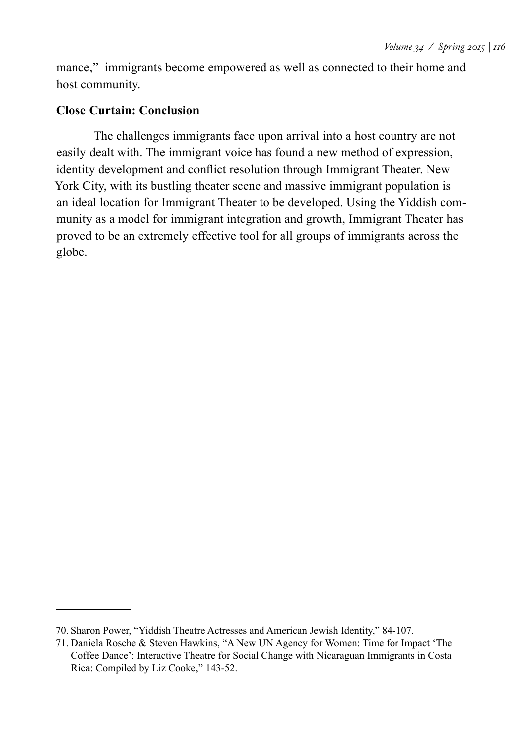mance," immigrants become empowered as well as connected to their home and host community.

# **Close Curtain: Conclusion**

The challenges immigrants face upon arrival into a host country are not easily dealt with. The immigrant voice has found a new method of expression, identity development and conflict resolution through Immigrant Theater. New York City, with its bustling theater scene and massive immigrant population is an ideal location for Immigrant Theater to be developed. Using the Yiddish community as a model for immigrant integration and growth, Immigrant Theater has proved to be an extremely effective tool for all groups of immigrants across the globe.

<sup>70.</sup> Sharon Power, "Yiddish Theatre Actresses and American Jewish Identity," 84-107.

<sup>71.</sup> Daniela Rosche & Steven Hawkins, "A New UN Agency for Women: Time for Impact 'The Coffee Dance': Interactive Theatre for Social Change with Nicaraguan Immigrants in Costa Rica: Compiled by Liz Cooke," 143-52.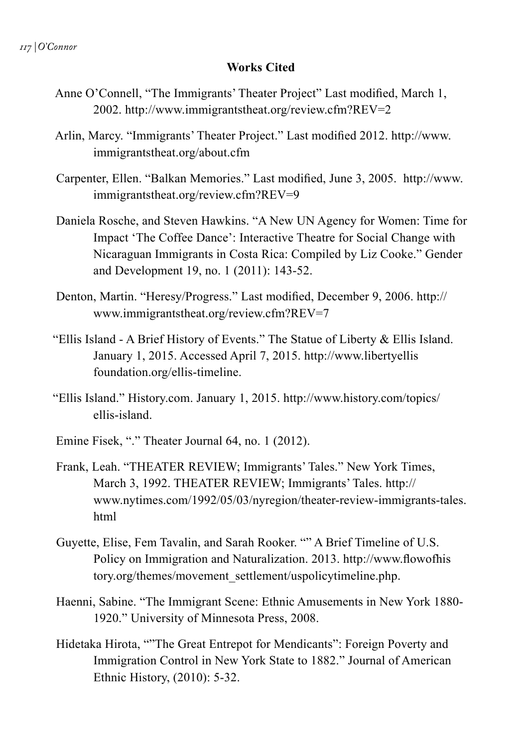#### **Works Cited**

- Anne O'Connell, "The Immigrants' Theater Project" Last modified, March 1, 2002. http://www.immigrantstheat.org/review.cfm?REV=2
- Arlin, Marcy. "Immigrants' Theater Project." Last modified 2012. http://www. immigrantstheat.org/about.cfm
- Carpenter, Ellen. "Balkan Memories." Last modified, June 3, 2005. http://www. immigrantstheat.org/review.cfm?REV=9
- Daniela Rosche, and Steven Hawkins. "A New UN Agency for Women: Time for Impact 'The Coffee Dance': Interactive Theatre for Social Change with Nicaraguan Immigrants in Costa Rica: Compiled by Liz Cooke." Gender and Development 19, no. 1 (2011): 143-52.
- Denton, Martin. "Heresy/Progress." Last modified, December 9, 2006. http:// www.immigrantstheat.org/review.cfm?REV=7
- "Ellis Island A Brief History of Events." The Statue of Liberty & Ellis Island. January 1, 2015. Accessed April 7, 2015. http://www.libertyellis foundation.org/ellis-timeline.
- "Ellis Island." History.com. January 1, 2015. http://www.history.com/topics/ ellis-island.
- Emine Fisek, "." Theater Journal 64, no. 1 (2012).
- Frank, Leah. "THEATER REVIEW; Immigrants' Tales." New York Times, March 3, 1992. THEATER REVIEW; Immigrants' Tales. http:// www.nytimes.com/1992/05/03/nyregion/theater-review-immigrants-tales. html
- Guyette, Elise, Fem Tavalin, and Sarah Rooker. "" A Brief Timeline of U.S. Policy on Immigration and Naturalization. 2013. http://www.flowofhis tory.org/themes/movement\_settlement/uspolicytimeline.php.
- Haenni, Sabine. "The Immigrant Scene: Ethnic Amusements in New York 1880- 1920." University of Minnesota Press, 2008.
- Hidetaka Hirota, ""The Great Entrepot for Mendicants": Foreign Poverty and Immigration Control in New York State to 1882." Journal of American Ethnic History, (2010): 5-32.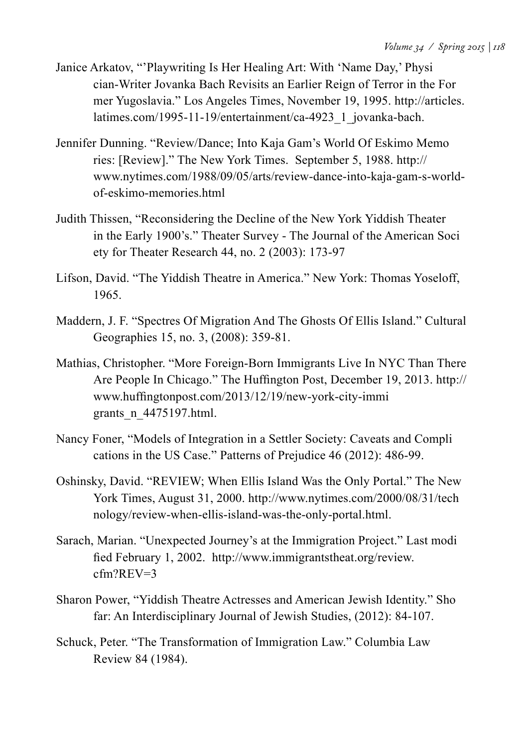- Janice Arkatov, "'Playwriting Is Her Healing Art: With 'Name Day,' Physi cian-Writer Jovanka Bach Revisits an Earlier Reign of Terror in the For mer Yugoslavia." Los Angeles Times, November 19, 1995. http://articles. latimes.com/1995-11-19/entertainment/ca-4923\_1\_jovanka-bach.
- Jennifer Dunning. "Review/Dance; Into Kaja Gam's World Of Eskimo Memo ries: [Review]." The New York Times. September 5, 1988. http:// www.nytimes.com/1988/09/05/arts/review-dance-into-kaja-gam-s-worldof-eskimo-memories.html
- Judith Thissen, "Reconsidering the Decline of the New York Yiddish Theater in the Early 1900's." Theater Survey - The Journal of the American Soci ety for Theater Research 44, no. 2 (2003): 173-97
- Lifson, David. "The Yiddish Theatre in America." New York: Thomas Yoseloff, 1965.
- Maddern, J. F. "Spectres Of Migration And The Ghosts Of Ellis Island." Cultural Geographies 15, no. 3, (2008): 359-81.
- Mathias, Christopher. "More Foreign-Born Immigrants Live In NYC Than There Are People In Chicago." The Huffington Post, December 19, 2013. http:// www.huffingtonpost.com/2013/12/19/new-york-city-immi grants\_n\_4475197.html.
- Nancy Foner, "Models of Integration in a Settler Society: Caveats and Compli cations in the US Case." Patterns of Prejudice 46 (2012): 486-99.
- Oshinsky, David. "REVIEW; When Ellis Island Was the Only Portal." The New York Times, August 31, 2000. http://www.nytimes.com/2000/08/31/tech nology/review-when-ellis-island-was-the-only-portal.html.
- Sarach, Marian. "Unexpected Journey's at the Immigration Project." Last modi fied February 1, 2002. http://www.immigrantstheat.org/review. cfm?REV=3
- Sharon Power, "Yiddish Theatre Actresses and American Jewish Identity." Sho far: An Interdisciplinary Journal of Jewish Studies, (2012): 84-107.
- Schuck, Peter. "The Transformation of Immigration Law." Columbia Law Review 84 (1984).